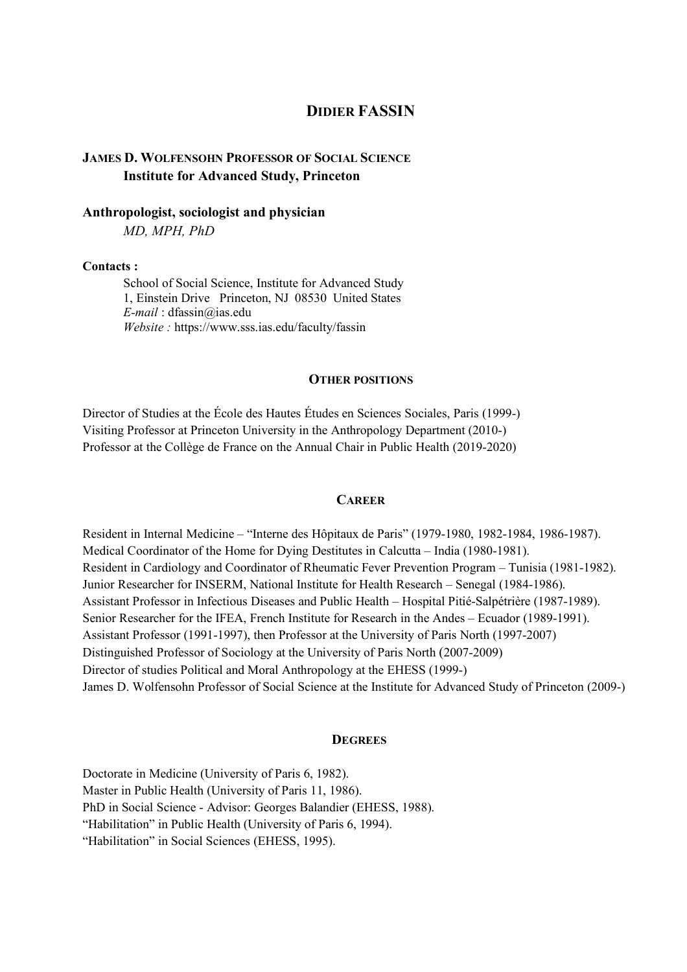# **DIDIER FASSIN**

# **JAMES D. WOLFENSOHN PROFESSOR OF SOCIAL SCIENCE Institute for Advanced Study, Princeton**

# **Anthropologist, sociologist and physician**

*MD, MPH, PhD*

#### **Contacts :**

School of Social Science, Institute for Advanced Study 1, Einstein Drive Princeton, NJ 08530 United States *E-mail* : dfassin@ias.edu *Website :* https://www.sss.ias.edu/faculty/fassin

#### **OTHER POSITIONS**

Director of Studies at the École des Hautes Études en Sciences Sociales, Paris (1999-) Visiting Professor at Princeton University in the Anthropology Department (2010-) Professor at the Collège de France on the Annual Chair in Public Health (2019-2020)

### **CAREER**

Resident in Internal Medicine – "Interne des Hôpitaux de Paris" (1979-1980, 1982-1984, 1986-1987). Medical Coordinator of the Home for Dying Destitutes in Calcutta – India (1980-1981). Resident in Cardiology and Coordinator of Rheumatic Fever Prevention Program – Tunisia (1981-1982). Junior Researcher for INSERM, National Institute for Health Research – Senegal (1984-1986). Assistant Professor in Infectious Diseases and Public Health – Hospital Pitié-Salpétrière (1987-1989). Senior Researcher for the IFEA, French Institute for Research in the Andes – Ecuador (1989-1991). Assistant Professor (1991-1997), then Professor at the University of Paris North (1997-2007) Distinguished Professor of Sociology at the University of Paris North (2007-2009) Director of studies Political and Moral Anthropology at the EHESS (1999-) James D. Wolfensohn Professor of Social Science at the Institute for Advanced Study of Princeton (2009-)

#### **DEGREES**

Doctorate in Medicine (University of Paris 6, 1982). Master in Public Health (University of Paris 11, 1986). PhD in Social Science - Advisor: Georges Balandier (EHESS, 1988). "Habilitation" in Public Health (University of Paris 6, 1994). "Habilitation" in Social Sciences (EHESS, 1995).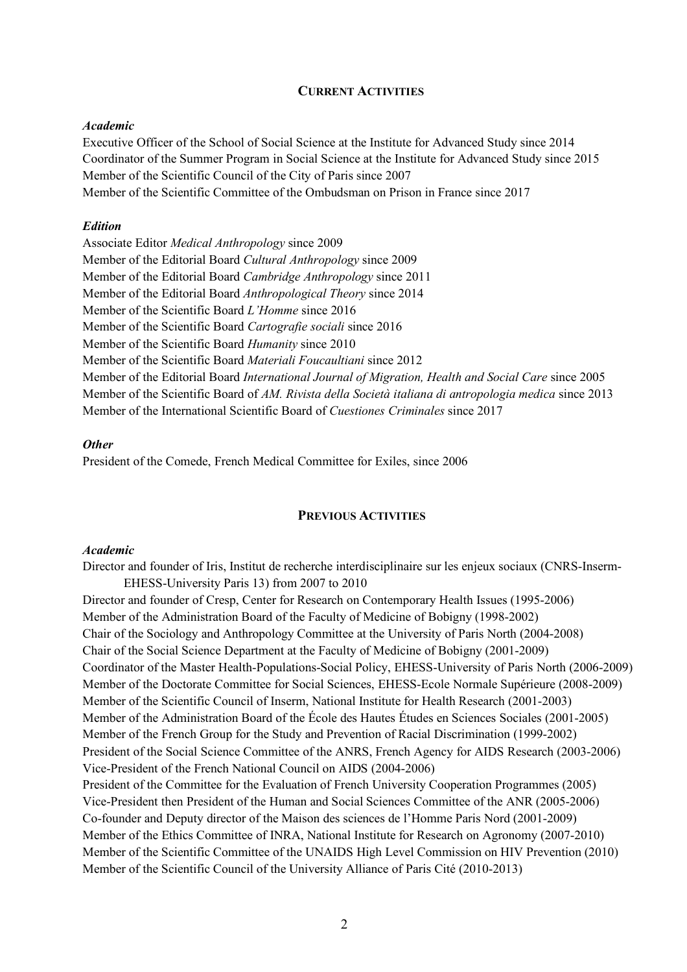#### **CURRENT ACTIVITIES**

#### *Academic*

Executive Officer of the School of Social Science at the Institute for Advanced Study since 2014 Coordinator of the Summer Program in Social Science at the Institute for Advanced Study since 2015 Member of the Scientific Council of the City of Paris since 2007 Member of the Scientific Committee of the Ombudsman on Prison in France since 2017

### *Edition*

Associate Editor *Medical Anthropology* since 2009 Member of the Editorial Board *Cultural Anthropology* since 2009 Member of the Editorial Board *Cambridge Anthropology* since 2011 Member of the Editorial Board *Anthropological Theory* since 2014 Member of the Scientific Board *L'Homme* since 2016 Member of the Scientific Board *Cartografie sociali* since 2016 Member of the Scientific Board *Humanity* since 2010 Member of the Scientific Board *Materiali Foucaultiani* since 2012 Member of the Editorial Board *International Journal of Migration, Health and Social Care* since 2005 Member of the Scientific Board of *AM. Rivista della Società italiana di antropologia medica* since 2013 Member of the International Scientific Board of *Cuestiones Criminales* since 2017

#### *Other*

President of the Comede, French Medical Committee for Exiles, since 2006

### **PREVIOUS ACTIVITIES**

### *Academic*

Director and founder of Iris, Institut de recherche interdisciplinaire sur les enjeux sociaux (CNRS-Inserm-EHESS-University Paris 13) from 2007 to 2010

Director and founder of Cresp, Center for Research on Contemporary Health Issues (1995-2006) Member of the Administration Board of the Faculty of Medicine of Bobigny (1998-2002) Chair of the Sociology and Anthropology Committee at the University of Paris North (2004-2008) Chair of the Social Science Department at the Faculty of Medicine of Bobigny (2001-2009) Coordinator of the Master Health-Populations-Social Policy, EHESS-University of Paris North (2006-2009) Member of the Doctorate Committee for Social Sciences, EHESS-Ecole Normale Supérieure (2008-2009) Member of the Scientific Council of Inserm, National Institute for Health Research (2001-2003) Member of the Administration Board of the École des Hautes Études en Sciences Sociales (2001-2005) Member of the French Group for the Study and Prevention of Racial Discrimination (1999-2002) President of the Social Science Committee of the ANRS, French Agency for AIDS Research (2003-2006) Vice-President of the French National Council on AIDS (2004-2006) President of the Committee for the Evaluation of French University Cooperation Programmes (2005) Vice-President then President of the Human and Social Sciences Committee of the ANR (2005-2006) Co-founder and Deputy director of the Maison des sciences de l'Homme Paris Nord (2001-2009) Member of the Ethics Committee of INRA, National Institute for Research on Agronomy (2007-2010) Member of the Scientific Committee of the UNAIDS High Level Commission on HIV Prevention (2010) Member of the Scientific Council of the University Alliance of Paris Cité (2010-2013)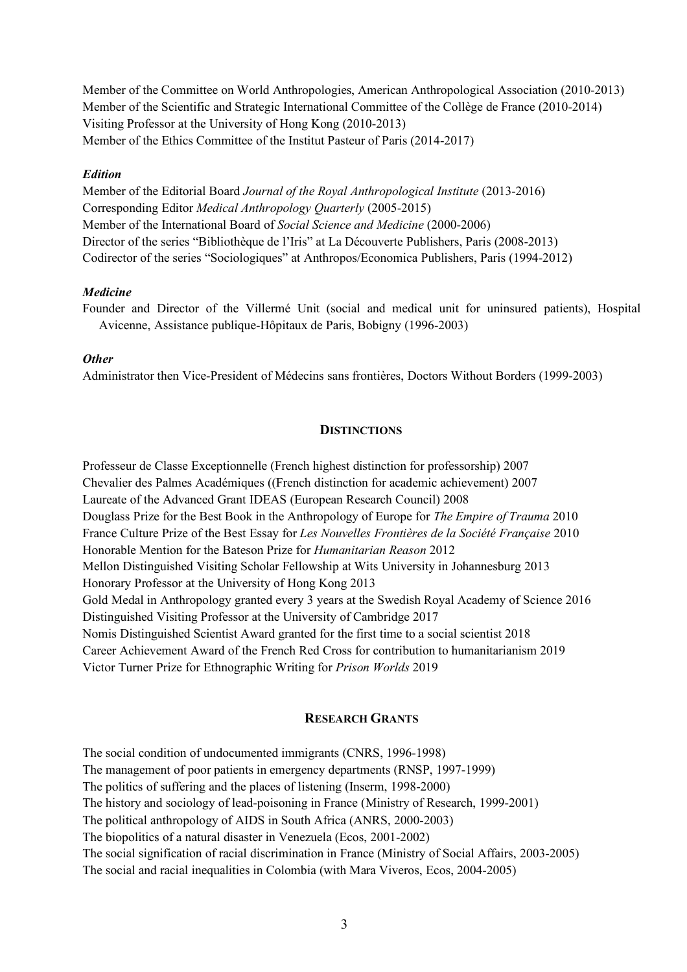Member of the Committee on World Anthropologies, American Anthropological Association (2010-2013) Member of the Scientific and Strategic International Committee of the Collège de France (2010-2014) Visiting Professor at the University of Hong Kong (2010-2013) Member of the Ethics Committee of the Institut Pasteur of Paris (2014-2017)

### *Edition*

Member of the Editorial Board *Journal of the Royal Anthropological Institute* (2013-2016) Corresponding Editor *Medical Anthropology Quarterly* (2005-2015) Member of the International Board of *Social Science and Medicine* (2000-2006) Director of the series "Bibliothèque de l'Iris" at La Découverte Publishers, Paris (2008-2013) Codirector of the series "Sociologiques" at Anthropos/Economica Publishers, Paris (1994-2012)

### *Medicine*

Founder and Director of the Villermé Unit (social and medical unit for uninsured patients), Hospital Avicenne, Assistance publique-Hôpitaux de Paris, Bobigny (1996-2003)

### *Other*

Administrator then Vice-President of Médecins sans frontières, Doctors Without Borders (1999-2003)

### **DISTINCTIONS**

Professeur de Classe Exceptionnelle (French highest distinction for professorship) 2007 Chevalier des Palmes Académiques ((French distinction for academic achievement) 2007 Laureate of the Advanced Grant IDEAS (European Research Council) 2008 Douglass Prize for the Best Book in the Anthropology of Europe for *The Empire of Trauma* 2010 France Culture Prize of the Best Essay for *Les Nouvelles Frontières de la Société Française* 2010 Honorable Mention for the Bateson Prize for *Humanitarian Reason* 2012 Mellon Distinguished Visiting Scholar Fellowship at Wits University in Johannesburg 2013 Honorary Professor at the University of Hong Kong 2013 Gold Medal in Anthropology granted every 3 years at the Swedish Royal Academy of Science 2016 Distinguished Visiting Professor at the University of Cambridge 2017 Nomis Distinguished Scientist Award granted for the first time to a social scientist 2018 Career Achievement Award of the French Red Cross for contribution to humanitarianism 2019 Victor Turner Prize for Ethnographic Writing for *Prison Worlds* 2019

# **RESEARCH GRANTS**

The social condition of undocumented immigrants (CNRS, 1996-1998) The management of poor patients in emergency departments (RNSP, 1997-1999) The politics of suffering and the places of listening (Inserm, 1998-2000) The history and sociology of lead-poisoning in France (Ministry of Research, 1999-2001) The political anthropology of AIDS in South Africa (ANRS, 2000-2003) The biopolitics of a natural disaster in Venezuela (Ecos, 2001-2002) The social signification of racial discrimination in France (Ministry of Social Affairs, 2003-2005) The social and racial inequalities in Colombia (with Mara Viveros, Ecos, 2004-2005)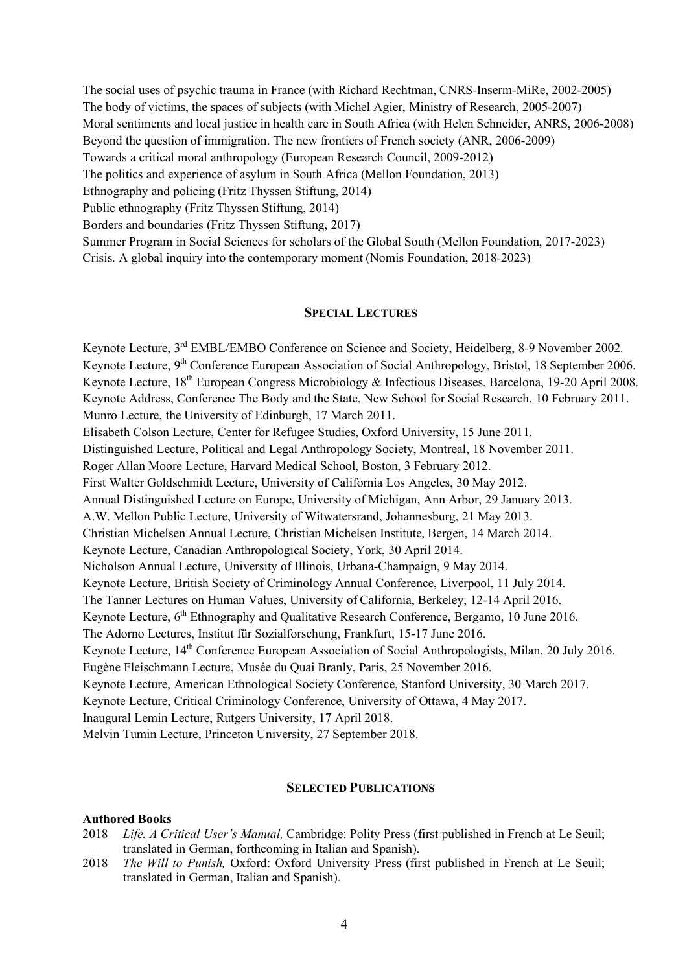The social uses of psychic trauma in France (with Richard Rechtman, CNRS-Inserm-MiRe, 2002-2005) The body of victims, the spaces of subjects (with Michel Agier, Ministry of Research, 2005-2007) Moral sentiments and local justice in health care in South Africa (with Helen Schneider, ANRS, 2006-2008) Beyond the question of immigration. The new frontiers of French society (ANR, 2006-2009) Towards a critical moral anthropology (European Research Council, 2009-2012) The politics and experience of asylum in South Africa (Mellon Foundation, 2013) Ethnography and policing (Fritz Thyssen Stiftung, 2014) Public ethnography (Fritz Thyssen Stiftung, 2014) Borders and boundaries (Fritz Thyssen Stiftung, 2017) Summer Program in Social Sciences for scholars of the Global South (Mellon Foundation, 2017-2023) Crisis. A global inquiry into the contemporary moment (Nomis Foundation, 2018-2023)

#### **SPECIAL LECTURES**

Keynote Lecture, 3<sup>rd</sup> EMBL/EMBO Conference on Science and Society, Heidelberg, 8-9 November 2002. Keynote Lecture, 9<sup>th</sup> Conference European Association of Social Anthropology, Bristol, 18 September 2006. Keynote Lecture, 18<sup>th</sup> European Congress Microbiology & Infectious Diseases, Barcelona, 19-20 April 2008. Keynote Address, Conference The Body and the State, New School for Social Research, 10 February 2011. Munro Lecture, the University of Edinburgh, 17 March 2011. Elisabeth Colson Lecture, Center for Refugee Studies, Oxford University, 15 June 2011. Distinguished Lecture, Political and Legal Anthropology Society, Montreal, 18 November 2011. Roger Allan Moore Lecture, Harvard Medical School, Boston, 3 February 2012. First Walter Goldschmidt Lecture, University of California Los Angeles, 30 May 2012. Annual Distinguished Lecture on Europe, University of Michigan, Ann Arbor, 29 January 2013. A.W. Mellon Public Lecture, University of Witwatersrand, Johannesburg, 21 May 2013. Christian Michelsen Annual Lecture, Christian Michelsen Institute, Bergen, 14 March 2014. Keynote Lecture, Canadian Anthropological Society, York, 30 April 2014. Nicholson Annual Lecture, University of Illinois, Urbana-Champaign, 9 May 2014. Keynote Lecture, British Society of Criminology Annual Conference, Liverpool, 11 July 2014. The Tanner Lectures on Human Values, University of California, Berkeley, 12-14 April 2016. Keynote Lecture, 6<sup>th</sup> Ethnography and Qualitative Research Conference, Bergamo, 10 June 2016. The Adorno Lectures, Institut für Sozialforschung, Frankfurt, 15-17 June 2016. Keynote Lecture, 14<sup>th</sup> Conference European Association of Social Anthropologists, Milan, 20 July 2016. Eugène Fleischmann Lecture, Musée du Quai Branly, Paris, 25 November 2016. Keynote Lecture, American Ethnological Society Conference, Stanford University, 30 March 2017. Keynote Lecture, Critical Criminology Conference, University of Ottawa, 4 May 2017. Inaugural Lemin Lecture, Rutgers University, 17 April 2018. Melvin Tumin Lecture, Princeton University, 27 September 2018.

#### **SELECTED PUBLICATIONS**

#### **Authored Books**

- 2018 *Life. A Critical User's Manual,* Cambridge: Polity Press (first published in French at Le Seuil; translated in German, forthcoming in Italian and Spanish).
- 2018 *The Will to Punish,* Oxford: Oxford University Press (first published in French at Le Seuil; translated in German, Italian and Spanish).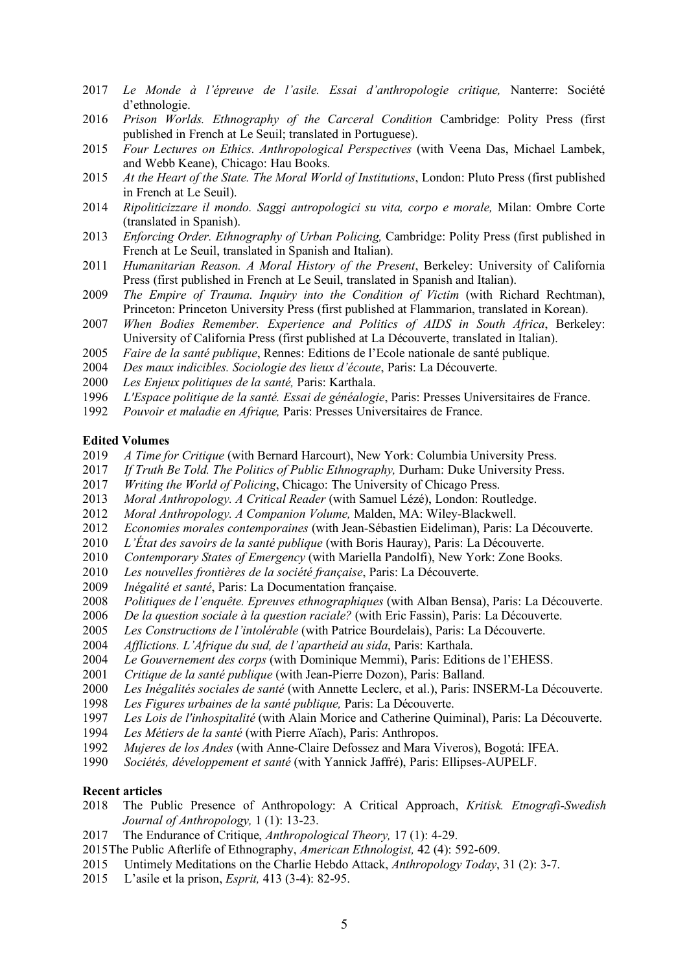- *Le Monde à l'épreuve de l'asile. Essai d'anthropologie critique,* Nanterre: Société d'ethnologie.
- *Prison Worlds. Ethnography of the Carceral Condition* Cambridge: Polity Press (first published in French at Le Seuil; translated in Portuguese).
- *Four Lectures on Ethics. Anthropological Perspectives* (with Veena Das, Michael Lambek, and Webb Keane), Chicago: Hau Books.
- *At the Heart of the State. The Moral World of Institutions*, London: Pluto Press (first published in French at Le Seuil).
- *Ripoliticizzare il mondo. Saggi antropologici su vita, corpo e morale,* Milan: Ombre Corte (translated in Spanish).
- *Enforcing Order. Ethnography of Urban Policing,* Cambridge: Polity Press (first published in French at Le Seuil, translated in Spanish and Italian).
- *Humanitarian Reason. A Moral History of the Present*, Berkeley: University of California Press (first published in French at Le Seuil, translated in Spanish and Italian).
- *The Empire of Trauma. Inquiry into the Condition of Victim* (with Richard Rechtman), Princeton: Princeton University Press (first published at Flammarion, translated in Korean).
- *When Bodies Remember. Experience and Politics of AIDS in South Africa*, Berkeley: University of California Press (first published at La Découverte, translated in Italian).
- *Faire de la santé publique*, Rennes: Editions de l'Ecole nationale de santé publique.
- *Des maux indicibles. Sociologie des lieux d'écoute*, Paris: La Découverte.
- *Les Enjeux politiques de la santé,* Paris: Karthala.
- *L'Espace politique de la santé. Essai de généalogie*, Paris: Presses Universitaires de France.
- *Pouvoir et maladie en Afrique,* Paris: Presses Universitaires de France.

#### **Edited Volumes**

- *A Time for Critique* (with Bernard Harcourt), New York: Columbia University Press.
- *If Truth Be Told. The Politics of Public Ethnography,* Durham: Duke University Press.
- *Writing the World of Policing*, Chicago: The University of Chicago Press.
- *Moral Anthropology. A Critical Reader* (with Samuel Lézé), London: Routledge.
- *Moral Anthropology. A Companion Volume,* Malden, MA: Wiley-Blackwell.
- *Economies morales contemporaines* (with Jean-Sébastien Eideliman), Paris: La Découverte.
- *L'État des savoirs de la santé publique* (with Boris Hauray), Paris: La Découverte.
- *Contemporary States of Emergency* (with Mariella Pandolfi), New York: Zone Books.
- *Les nouvelles frontières de la société française*, Paris: La Découverte.
- *Inégalité et santé*, Paris: La Documentation française.
- *Politiques de l'enquête. Epreuves ethnographiques* (with Alban Bensa), Paris: La Découverte.
- *De la question sociale à la question raciale?* (with Eric Fassin), Paris: La Découverte.
- *Les Constructions de l'intolérable* (with Patrice Bourdelais), Paris: La Découverte.
- *Afflictions. L'Afrique du sud, de l'apartheid au sida*, Paris: Karthala.
- *Le Gouvernement des corps* (with Dominique Memmi), Paris: Editions de l'EHESS.
- *Critique de la santé publique* (with Jean-Pierre Dozon), Paris: Balland.
- *Les Inégalités sociales de santé* (with Annette Leclerc, et al.), Paris: INSERM-La Découverte.
- *Les Figures urbaines de la santé publique,* Paris: La Découverte.
- *Les Lois de l'inhospitalité* (with Alain Morice and Catherine Quiminal), Paris: La Découverte.
- *Les Métiers de la santé* (with Pierre Aïach), Paris: Anthropos.
- *Mujeres de los Andes* (with Anne-Claire Defossez and Mara Viveros), Bogotá: IFEA.
- *Sociétés, développement et santé* (with Yannick Jaffré), Paris: Ellipses-AUPELF.

#### **Recent articles**

- The Public Presence of Anthropology: A Critical Approach, *Kritisk. Etnografi-Swedish Journal of Anthropology,* 1 (1): 13-23.
- The Endurance of Critique, *Anthropological Theory,* 17 (1): 4-29.
- 2015The Public Afterlife of Ethnography, *American Ethnologist,* 42 (4): 592-609.
- Untimely Meditations on the Charlie Hebdo Attack, *Anthropology Today*, 31 (2): 3-7.
- L'asile et la prison, *Esprit,* 413 (3-4): 82-95.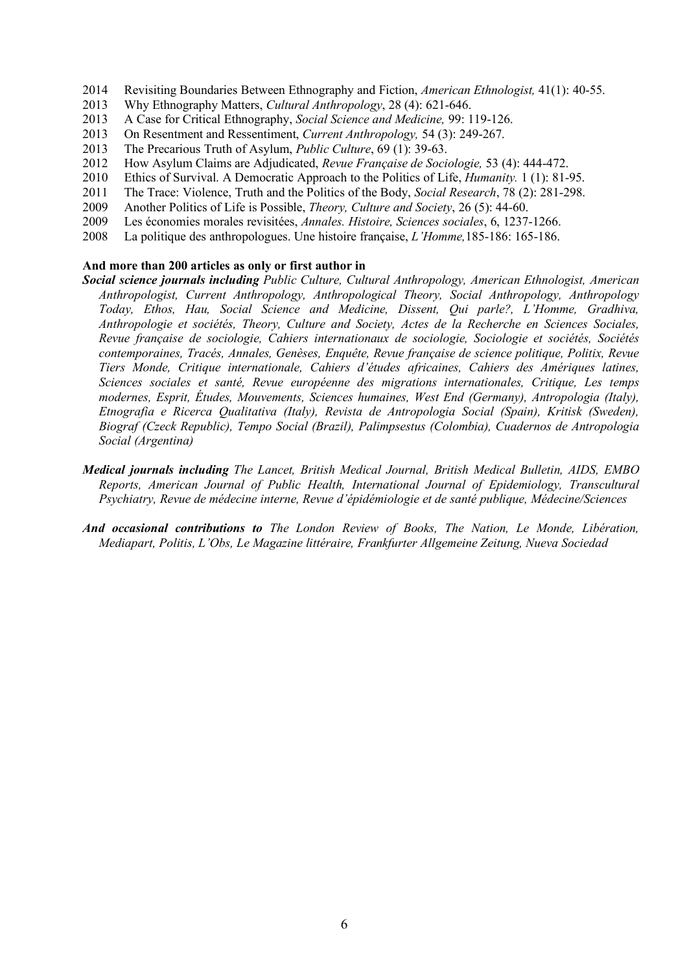- 2014 Revisiting Boundaries Between Ethnography and Fiction, *American Ethnologist,* 41(1): 40-55.
- 2013 Why Ethnography Matters, *Cultural Anthropology*, 28 (4): 621-646.
- 2013 A Case for Critical Ethnography, *Social Science and Medicine,* 99: 119-126.
- 2013 On Resentment and Ressentiment, *Current Anthropology,* 54 (3): 249-267.
- 2013 The Precarious Truth of Asylum, *Public Culture*, 69 (1): 39-63.
- 2012 How Asylum Claims are Adjudicated, *Revue Française de Sociologie,* 53 (4): 444-472.
- 2010 Ethics of Survival. A Democratic Approach to the Politics of Life, *Humanity.* 1 (1): 81-95.
- 2011 The Trace: Violence, Truth and the Politics of the Body, *Social Research*, 78 (2): 281-298.
- 2009 Another Politics of Life is Possible, *Theory, Culture and Society*, 26 (5): 44-60.
- 2009 Les économies morales revisitées, *Annales. Histoire, Sciences sociales*, 6, 1237-1266.
- 2008 La politique des anthropologues. Une histoire française, *L'Homme,*185-186: 165-186.

#### **And more than 200 articles as only or first author in**

- *Social science journals including Public Culture, Cultural Anthropology, American Ethnologist, American Anthropologist, Current Anthropology, Anthropological Theory, Social Anthropology, Anthropology Today, Ethos, Hau, Social Science and Medicine, Dissent, Qui parle?, L'Homme, Gradhiva, Anthropologie et sociétés, Theory, Culture and Society, Actes de la Recherche en Sciences Sociales, Revue française de sociologie, Cahiers internationaux de sociologie, Sociologie et sociétés, Sociétés contemporaines, Tracés, Annales, Genèses, Enquête, Revue française de science politique, Politix, Revue Tiers Monde, Critique internationale, Cahiers d'études africaines, Cahiers des Amériques latines, Sciences sociales et santé, Revue européenne des migrations internationales, Critique, Les temps modernes, Esprit, Études, Mouvements, Sciences humaines, West End (Germany), Antropologia (Italy), Etnografia e Ricerca Qualitativa (Italy), Revista de Antropologia Social (Spain), Kritisk (Sweden), Biograf (Czeck Republic), Tempo Social (Brazil), Palimpsestus (Colombia), Cuadernos de Antropologia Social (Argentina)*
- *Medical journals including The Lancet, British Medical Journal, British Medical Bulletin, AIDS, EMBO Reports, American Journal of Public Health, International Journal of Epidemiology, Transcultural Psychiatry, Revue de médecine interne, Revue d'épidémiologie et de santé publique, Médecine/Sciences*
- *And occasional contributions to The London Review of Books, The Nation, Le Monde, Libération, Mediapart, Politis, L'Obs, Le Magazine littéraire, Frankfurter Allgemeine Zeitung, Nueva Sociedad*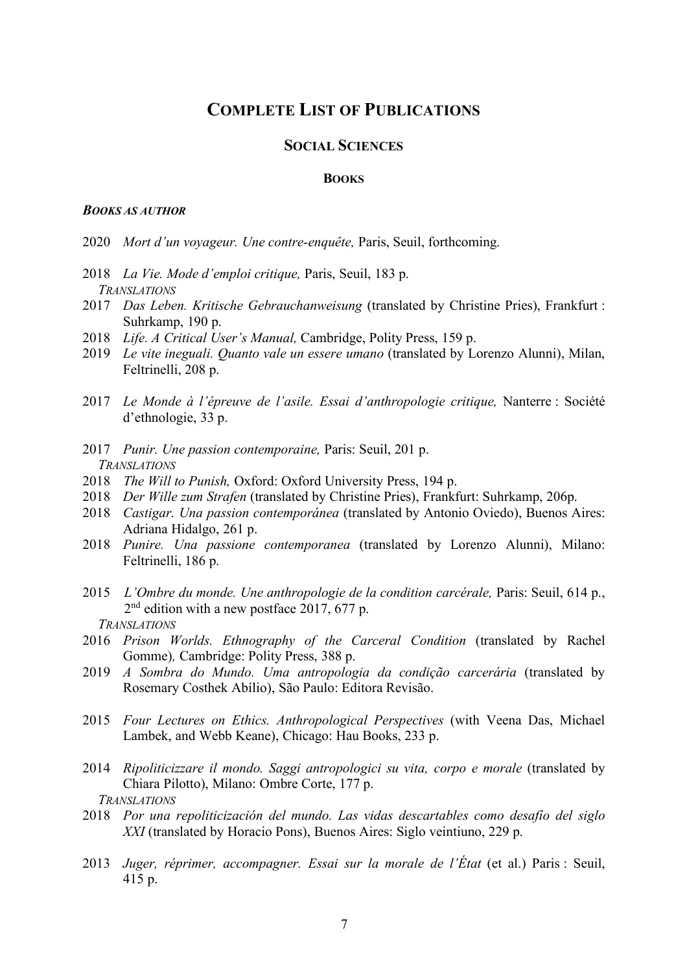# **COMPLETE LIST OF PUBLICATIONS**

### **SOCIAL SCIENCES**

#### **BOOKS**

### *BOOKS AS AUTHOR*

- 2020 *Mort d'un voyageur. Une contre-enquête,* Paris, Seuil, forthcoming.
- 2018 *La Vie. Mode d'emploi critique,* Paris, Seuil, 183 p. *TRANSLATIONS*
- 2017 *Das Leben. Kritische Gebrauchanweisung* (translated by Christine Pries), Frankfurt : Suhrkamp, 190 p.
- 2018 *Life. A Critical User's Manual,* Cambridge, Polity Press, 159 p.
- 2019 *Le vite ineguali. Quanto vale un essere umano* (translated by Lorenzo Alunni), Milan, Feltrinelli, 208 p.
- 2017 *Le Monde à l'épreuve de l'asile. Essai d'anthropologie critique,* Nanterre : Société d'ethnologie, 33 p.
- 2017 *Punir. Une passion contemporaine,* Paris: Seuil, 201 p. *TRANSLATIONS*
- 2018 *The Will to Punish,* Oxford: Oxford University Press, 194 p.
- 2018 *Der Wille zum Strafen* (translated by Christine Pries), Frankfurt: Suhrkamp, 206p.
- 2018 *Castigar. Una passion contemporánea* (translated by Antonio Oviedo), Buenos Aires: Adriana Hidalgo, 261 p.
- 2018 *Punire. Una passione contemporanea* (translated by Lorenzo Alunni), Milano: Feltrinelli, 186 p.
- 2015 *L'Ombre du monde. Une anthropologie de la condition carcérale,* Paris: Seuil, 614 p., 2<sup>nd</sup> edition with a new postface 2017, 677 p.
	- *TRANSLATIONS*
- 2016 *Prison Worlds. Ethnography of the Carceral Condition* (translated by Rachel Gomme)*,* Cambridge: Polity Press, 388 p.
- 2019 *A Sombra do Mundo. Uma antropologia da condição carcerária* (translated by Rosemary Costhek Abílio), São Paulo: Editora Revisão.
- 2015 *Four Lectures on Ethics. Anthropological Perspectives* (with Veena Das, Michael Lambek, and Webb Keane), Chicago: Hau Books, 233 p.
- 2014 *Ripoliticizzare il mondo. Saggi antropologici su vita, corpo e morale* (translated by Chiara Pilotto), Milano: Ombre Corte, 177 p. *TRANSLATIONS*
- 2018 *Por una repoliticización del mundo. Las vidas descartables como desafío del siglo XXI* (translated by Horacio Pons), Buenos Aires: Siglo veintiuno, 229 p.
- 2013 *Juger, réprimer, accompagner. Essai sur la morale de l'État* (et al.) Paris : Seuil, 415 p.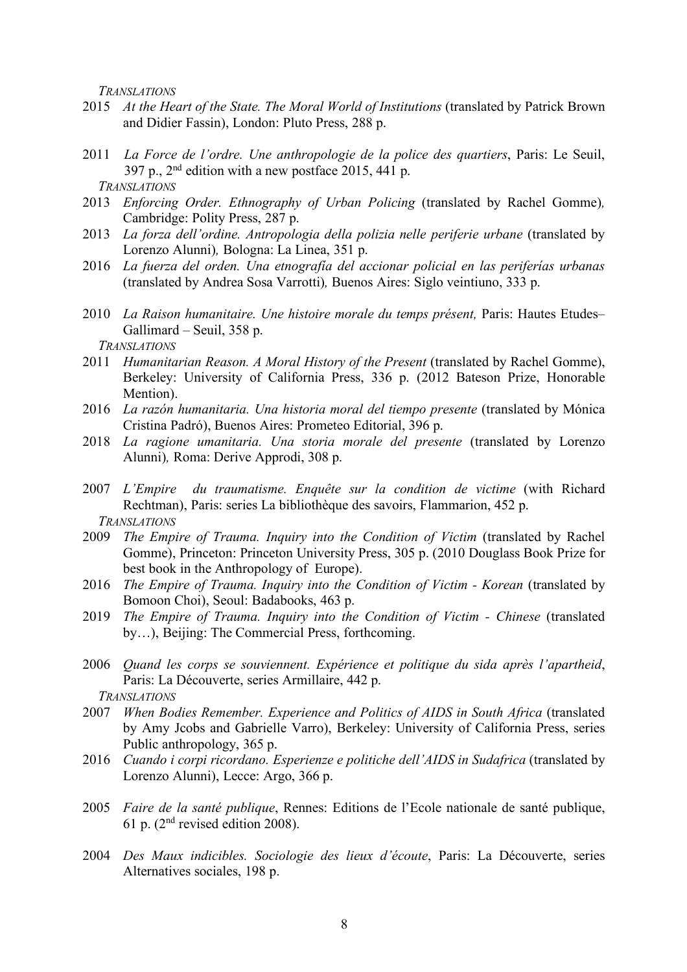*TRANSLATIONS*

- 2015 At the Heart of the State. The Moral World of Institutions (translated by Patrick Brown and Didier Fassin), London: Pluto Press, 288 p.
- 2011 *La Force de l'ordre. Une anthropologie de la police des quartiers*, Paris: Le Seuil, 397 p.,  $2<sup>nd</sup>$  edition with a new postface 2015, 441 p. *TRANSLATIONS*
- 2013 *Enforcing Order. Ethnography of Urban Policing* (translated by Rachel Gomme)*,* Cambridge: Polity Press, 287 p.
- 2013 *La forza dell'ordine. Antropologia della polizia nelle periferie urbane* (translated by Lorenzo Alunni)*,* Bologna: La Linea, 351 p.
- 2016 *La fuerza del orden. Una etnografía del accionar policial en las periferías urbanas*  (translated by Andrea Sosa Varrotti)*,* Buenos Aires: Siglo veintiuno, 333 p.
- 2010 *La Raison humanitaire. Une histoire morale du temps présent,* Paris: Hautes Etudes– Gallimard – Seuil, 358 p.

*TRANSLATIONS*

- 2011 *Humanitarian Reason. A Moral History of the Present* (translated by Rachel Gomme), Berkeley: University of California Press, 336 p. (2012 Bateson Prize, Honorable Mention).
- 2016 *La razón humanitaria. Una historia moral del tiempo presente* (translated by Mónica Cristina Padró), Buenos Aires: Prometeo Editorial, 396 p.
- 2018 *La ragione umanitaria. Una storia morale del presente* (translated by Lorenzo Alunni)*,* Roma: Derive Approdi, 308 p.
- 2007 *L'Empire du traumatisme. Enquête sur la condition de victime* (with Richard Rechtman), Paris: series La bibliothèque des savoirs, Flammarion, 452 p. *TRANSLATIONS*
- 2009 *The Empire of Trauma. Inquiry into the Condition of Victim* (translated by Rachel Gomme), Princeton: Princeton University Press, 305 p. (2010 Douglass Book Prize for best book in the Anthropology of Europe).
- 2016 *The Empire of Trauma. Inquiry into the Condition of Victim - Korean* (translated by Bomoon Choi), Seoul: Badabooks, 463 p.
- 2019 *The Empire of Trauma. Inquiry into the Condition of Victim - Chinese* (translated by…), Beijing: The Commercial Press, forthcoming.
- 2006 *Quand les corps se souviennent. Expérience et politique du sida après l'apartheid*, Paris: La Découverte, series Armillaire, 442 p.
	- *TRANSLATIONS*
- 2007 *When Bodies Remember. Experience and Politics of AIDS in South Africa* (translated by Amy Jcobs and Gabrielle Varro), Berkeley: University of California Press, series Public anthropology, 365 p.
- 2016 *Cuando i corpi ricordano. Esperienze e politiche dell'AIDS in Sudafrica* (translated by Lorenzo Alunni), Lecce: Argo, 366 p.
- 2005 *Faire de la santé publique*, Rennes: Editions de l'Ecole nationale de santé publique, 61 p. (2nd revised edition 2008).
- 2004 *Des Maux indicibles. Sociologie des lieux d'écoute*, Paris: La Découverte, series Alternatives sociales, 198 p.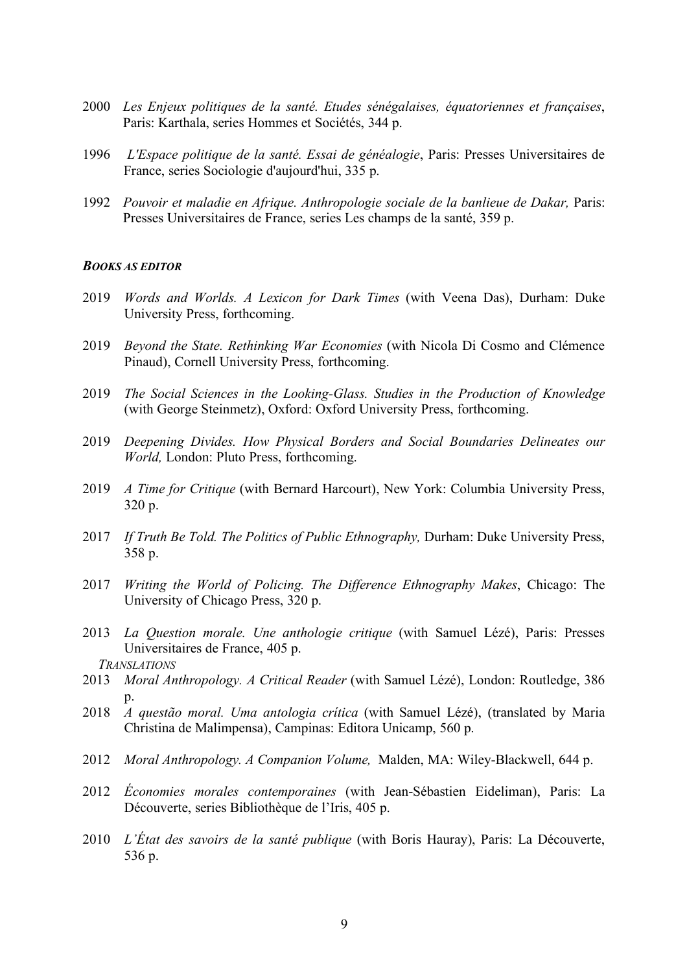- 2000 *Les Enjeux politiques de la santé. Etudes sénégalaises, équatoriennes et françaises*, Paris: Karthala, series Hommes et Sociétés, 344 p.
- 1996 *L'Espace politique de la santé. Essai de généalogie*, Paris: Presses Universitaires de France, series Sociologie d'aujourd'hui, 335 p.
- 1992 *Pouvoir et maladie en Afrique. Anthropologie sociale de la banlieue de Dakar,* Paris: Presses Universitaires de France, series Les champs de la santé, 359 p.

#### *BOOKS AS EDITOR*

- 2019 *Words and Worlds. A Lexicon for Dark Times* (with Veena Das), Durham: Duke University Press, forthcoming.
- 2019 *Beyond the State. Rethinking War Economies* (with Nicola Di Cosmo and Clémence Pinaud), Cornell University Press, forthcoming.
- 2019 *The Social Sciences in the Looking-Glass. Studies in the Production of Knowledge* (with George Steinmetz), Oxford: Oxford University Press, forthcoming.
- 2019 *Deepening Divides. How Physical Borders and Social Boundaries Delineates our World,* London: Pluto Press, forthcoming.
- 2019 *A Time for Critique* (with Bernard Harcourt), New York: Columbia University Press, 320 p.
- 2017 *If Truth Be Told. The Politics of Public Ethnography, Durham: Duke University Press,* 358 p.
- 2017 *Writing the World of Policing. The Difference Ethnography Makes*, Chicago: The University of Chicago Press, 320 p.
- 2013 *La Question morale. Une anthologie critique* (with Samuel Lézé), Paris: Presses Universitaires de France, 405 p.
	- *TRANSLATIONS*
- 2013 *Moral Anthropology. A Critical Reader* (with Samuel Lézé), London: Routledge, 386 p.
- 2018 *A questão moral. Uma antologia crítica* (with Samuel Lézé), (translated by Maria Christina de Malimpensa), Campinas: Editora Unicamp, 560 p.
- 2012 *Moral Anthropology. A Companion Volume,* Malden, MA: Wiley-Blackwell, 644 p.
- 2012 *Économies morales contemporaines* (with Jean-Sébastien Eideliman), Paris: La Découverte, series Bibliothèque de l'Iris, 405 p.
- 2010 *L'État des savoirs de la santé publique* (with Boris Hauray), Paris: La Découverte, 536 p.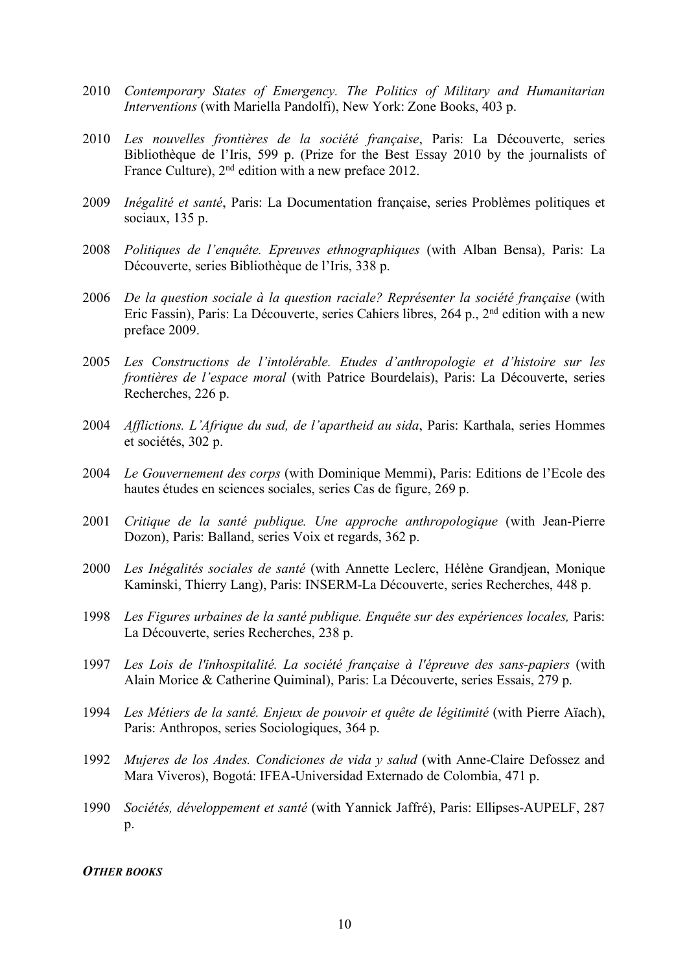- 2010 *Contemporary States of Emergency. The Politics of Military and Humanitarian Interventions* (with Mariella Pandolfi), New York: Zone Books, 403 p.
- 2010 *Les nouvelles frontières de la société française*, Paris: La Découverte, series Bibliothèque de l'Iris, 599 p. (Prize for the Best Essay 2010 by the journalists of France Culture), 2<sup>nd</sup> edition with a new preface 2012.
- 2009 *Inégalité et santé*, Paris: La Documentation française, series Problèmes politiques et sociaux, 135 p.
- 2008 *Politiques de l'enquête. Epreuves ethnographiques* (with Alban Bensa), Paris: La Découverte, series Bibliothèque de l'Iris, 338 p.
- 2006 *De la question sociale à la question raciale? Représenter la société française* (with Eric Fassin), Paris: La Découverte, series Cahiers libres, 264 p., 2nd edition with a new preface 2009.
- 2005 *Les Constructions de l'intolérable. Etudes d'anthropologie et d'histoire sur les frontières de l'espace moral* (with Patrice Bourdelais), Paris: La Découverte, series Recherches, 226 p.
- 2004 *Afflictions. L'Afrique du sud, de l'apartheid au sida*, Paris: Karthala, series Hommes et sociétés, 302 p.
- 2004 *Le Gouvernement des corps* (with Dominique Memmi), Paris: Editions de l'Ecole des hautes études en sciences sociales, series Cas de figure, 269 p.
- 2001 *Critique de la santé publique. Une approche anthropologique* (with Jean-Pierre Dozon), Paris: Balland, series Voix et regards, 362 p.
- 2000 *Les Inégalités sociales de santé* (with Annette Leclerc, Hélène Grandjean, Monique Kaminski, Thierry Lang), Paris: INSERM-La Découverte, series Recherches, 448 p.
- 1998 *Les Figures urbaines de la santé publique. Enquête sur des expériences locales*, Paris: La Découverte, series Recherches, 238 p.
- 1997 *Les Lois de l'inhospitalité. La société française à l'épreuve des sans-papiers* (with Alain Morice & Catherine Quiminal), Paris: La Découverte, series Essais, 279 p.
- 1994 *Les Métiers de la santé. Enjeux de pouvoir et quête de légitimité* (with Pierre Aïach), Paris: Anthropos, series Sociologiques, 364 p.
- 1992 *Mujeres de los Andes. Condiciones de vida y salud* (with Anne-Claire Defossez and Mara Viveros), Bogotá: IFEA-Universidad Externado de Colombia, 471 p.
- 1990 *Sociétés, développement et santé* (with Yannick Jaffré), Paris: Ellipses-AUPELF, 287 p.

#### *OTHER BOOKS*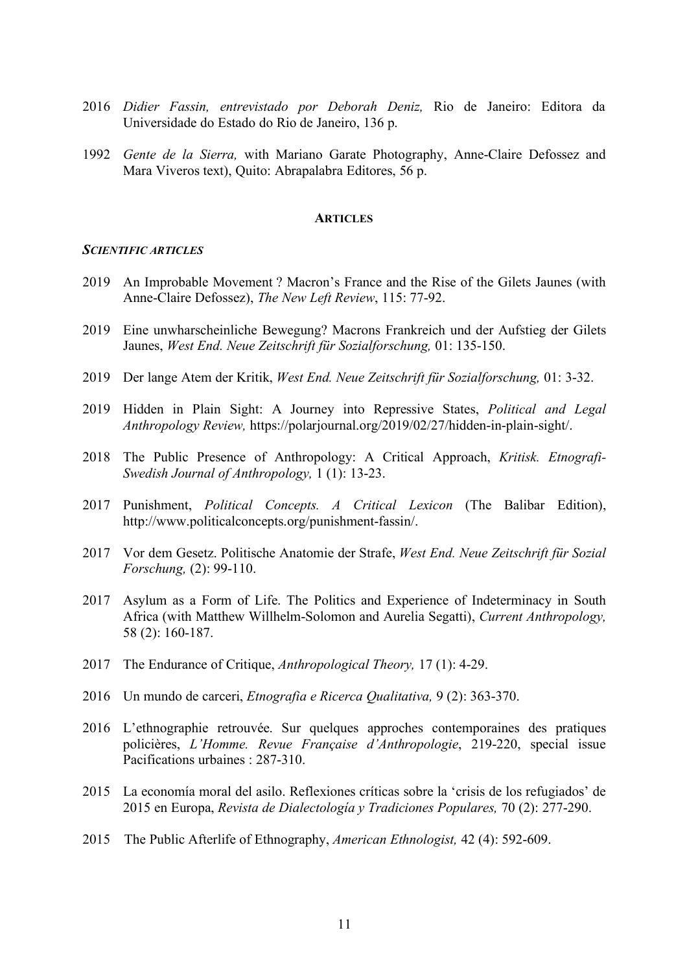- 2016 *Didier Fassin, entrevistado por Deborah Deniz,* Rio de Janeiro: Editora da Universidade do Estado do Rio de Janeiro, 136 p.
- 1992 *Gente de la Sierra,* with Mariano Garate Photography, Anne-Claire Defossez and Mara Viveros text), Quito: Abrapalabra Editores, 56 p.

#### **ARTICLES**

### *SCIENTIFIC ARTICLES*

- 2019 An Improbable Movement ? Macron's France and the Rise of the Gilets Jaunes (with Anne-Claire Defossez), *The New Left Review*, 115: 77-92.
- 2019 Eine unwharscheinliche Bewegung? Macrons Frankreich und der Aufstieg der Gilets Jaunes, *West End. Neue Zeitschrift für Sozialforschung,* 01: 135-150.
- 2019 Der lange Atem der Kritik, *West End. Neue Zeitschrift für Sozialforschung,* 01: 3-32.
- 2019 Hidden in Plain Sight: A Journey into Repressive States, *Political and Legal Anthropology Review,* https://polarjournal.org/2019/02/27/hidden-in-plain-sight/.
- 2018 The Public Presence of Anthropology: A Critical Approach, *Kritisk. Etnografi-Swedish Journal of Anthropology,* 1 (1): 13-23.
- 2017 Punishment, *Political Concepts. A Critical Lexicon* (The Balibar Edition), http://www.politicalconcepts.org/punishment-fassin/.
- 2017 Vor dem Gesetz. Politische Anatomie der Strafe, *West End. Neue Zeitschrift für Sozial Forschung,* (2): 99-110.
- 2017 Asylum as a Form of Life. The Politics and Experience of Indeterminacy in South Africa (with Matthew Willhelm-Solomon and Aurelia Segatti), *Current Anthropology,* 58 (2): 160-187.
- 2017 The Endurance of Critique, *Anthropological Theory,* 17 (1): 4-29.
- 2016 Un mundo de carceri, *Etnografia e Ricerca Qualitativa,* 9 (2): 363-370.
- 2016 L'ethnographie retrouvée. Sur quelques approches contemporaines des pratiques policières, *L'Homme. Revue Française d'Anthropologie*, 219-220, special issue Pacifications urbaines : 287-310.
- 2015 La economía moral del asilo. Reflexiones críticas sobre la 'crisis de los refugiados' de 2015 en Europa, *Revista de Dialectología y Tradiciones Populares,* 70 (2): 277-290.
- 2015 The Public Afterlife of Ethnography, *American Ethnologist,* 42 (4): 592-609.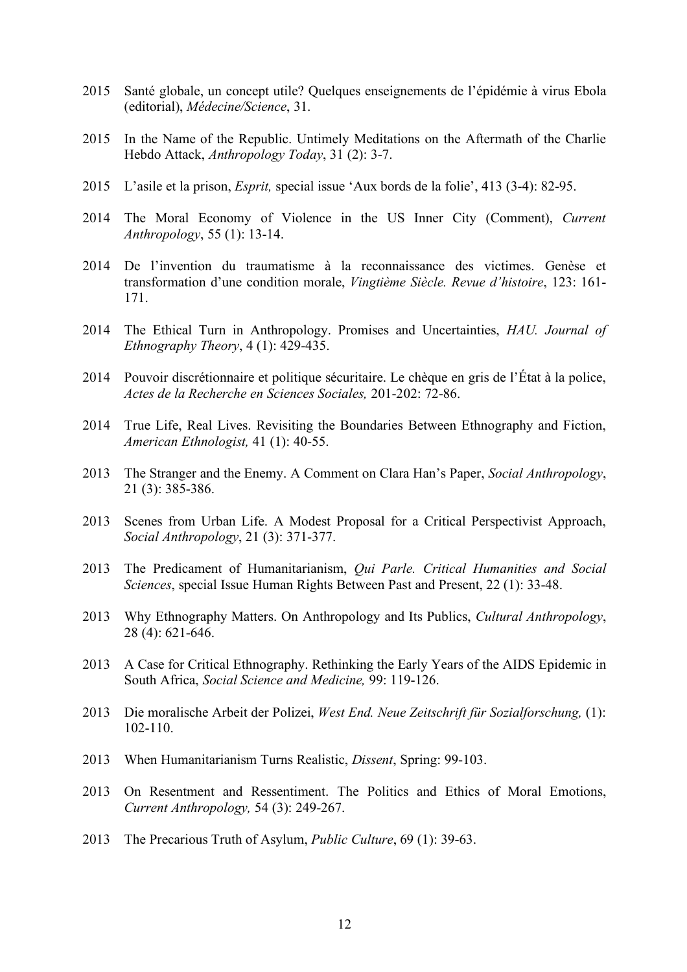- 2015 Santé globale, un concept utile? Quelques enseignements de l'épidémie à virus Ebola (editorial), *Médecine/Science*, 31.
- 2015 In the Name of the Republic. Untimely Meditations on the Aftermath of the Charlie Hebdo Attack, *Anthropology Today*, 31 (2): 3-7.
- 2015 L'asile et la prison, *Esprit,* special issue 'Aux bords de la folie', 413 (3-4): 82-95.
- 2014 The Moral Economy of Violence in the US Inner City (Comment), *Current Anthropology*, 55 (1): 13-14.
- 2014 De l'invention du traumatisme à la reconnaissance des victimes. Genèse et transformation d'une condition morale, *Vingtième Siècle. Revue d'histoire*, 123: 161- 171.
- 2014 The Ethical Turn in Anthropology. Promises and Uncertainties, *HAU. Journal of Ethnography Theory*, 4 (1): 429-435.
- 2014 Pouvoir discrétionnaire et politique sécuritaire. Le chèque en gris de l'État à la police, *Actes de la Recherche en Sciences Sociales,* 201-202: 72-86.
- 2014 True Life, Real Lives. Revisiting the Boundaries Between Ethnography and Fiction, *American Ethnologist,* 41 (1): 40-55.
- 2013 The Stranger and the Enemy. A Comment on Clara Han's Paper, *Social Anthropology*, 21 (3): 385-386.
- 2013 Scenes from Urban Life. A Modest Proposal for a Critical Perspectivist Approach, *Social Anthropology*, 21 (3): 371-377.
- 2013 The Predicament of Humanitarianism, *Qui Parle. Critical Humanities and Social Sciences*, special Issue Human Rights Between Past and Present, 22 (1): 33-48.
- 2013 Why Ethnography Matters. On Anthropology and Its Publics, *Cultural Anthropology*, 28 (4): 621-646.
- 2013 A Case for Critical Ethnography. Rethinking the Early Years of the AIDS Epidemic in South Africa, *Social Science and Medicine,* 99: 119-126.
- 2013 Die moralische Arbeit der Polizei, *West End. Neue Zeitschrift für Sozialforschung,* (1): 102-110.
- 2013 When Humanitarianism Turns Realistic, *Dissent*, Spring: 99-103.
- 2013 On Resentment and Ressentiment. The Politics and Ethics of Moral Emotions, *Current Anthropology,* 54 (3): 249-267.
- 2013 The Precarious Truth of Asylum, *Public Culture*, 69 (1): 39-63.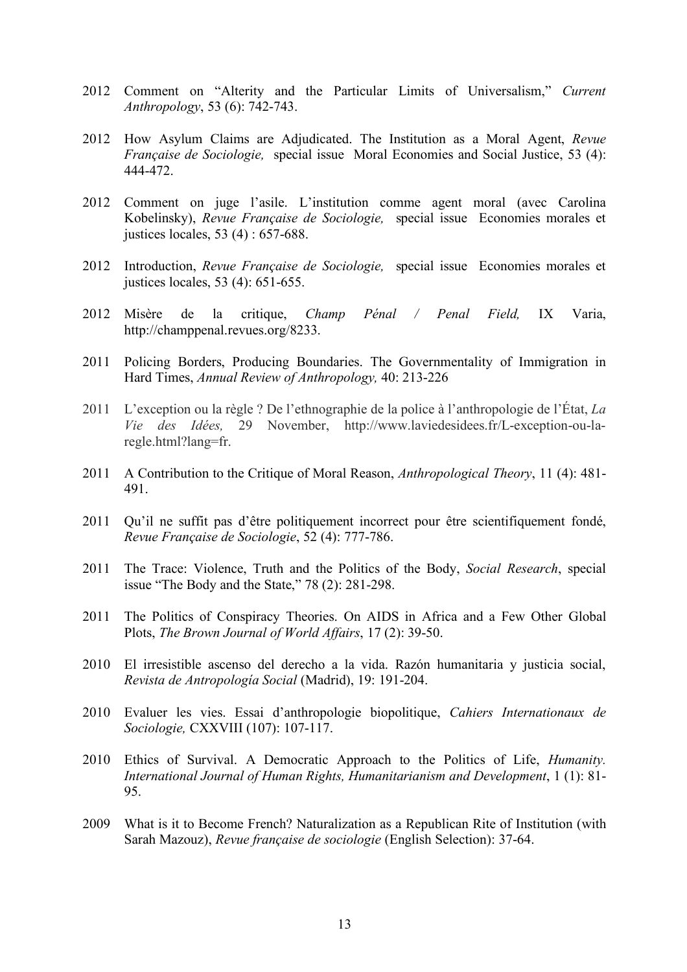- 2012 Comment on "Alterity and the Particular Limits of Universalism," *Current Anthropology*, 53 (6): 742-743.
- 2012 How Asylum Claims are Adjudicated. The Institution as a Moral Agent, *Revue Française de Sociologie,* special issue Moral Economies and Social Justice, 53 (4): 444-472.
- 2012 Comment on juge l'asile. L'institution comme agent moral (avec Carolina Kobelinsky), *Revue Française de Sociologie,* special issue Economies morales et justices locales, 53 (4) : 657-688.
- 2012 Introduction, *Revue Française de Sociologie,* special issue Economies morales et justices locales, 53 (4): 651-655.
- 2012 Misère de la critique, *Champ Pénal / Penal Field,* IX Varia, http://champpenal.revues.org/8233.
- 2011 Policing Borders, Producing Boundaries. The Governmentality of Immigration in Hard Times, *Annual Review of Anthropology,* 40: 213-226
- 2011 L'exception ou la règle ? De l'ethnographie de la police à l'anthropologie de l'État, *La Vie des Idées,* 29 November, http://www.laviedesidees.fr/L-exception-ou-laregle.html?lang=fr.
- 2011 A Contribution to the Critique of Moral Reason, *Anthropological Theory*, 11 (4): 481- 491.
- 2011 Qu'il ne suffit pas d'être politiquement incorrect pour être scientifiquement fondé, *Revue Française de Sociologie*, 52 (4): 777-786.
- 2011 The Trace: Violence, Truth and the Politics of the Body, *Social Research*, special issue "The Body and the State," 78 (2): 281-298.
- 2011 The Politics of Conspiracy Theories. On AIDS in Africa and a Few Other Global Plots, *The Brown Journal of World Affairs*, 17 (2): 39-50.
- 2010 El irresistible ascenso del derecho a la vida. Razón humanitaria y justicia social, *Revista de Antropología Social* (Madrid), 19: 191-204.
- 2010 Evaluer les vies. Essai d'anthropologie biopolitique, *Cahiers Internationaux de Sociologie,* CXXVIII (107): 107-117.
- 2010 Ethics of Survival. A Democratic Approach to the Politics of Life, *Humanity. International Journal of Human Rights, Humanitarianism and Development*, 1 (1): 81- 95.
- 2009 What is it to Become French? Naturalization as a Republican Rite of Institution (with Sarah Mazouz), *Revue française de sociologie* (English Selection): 37-64.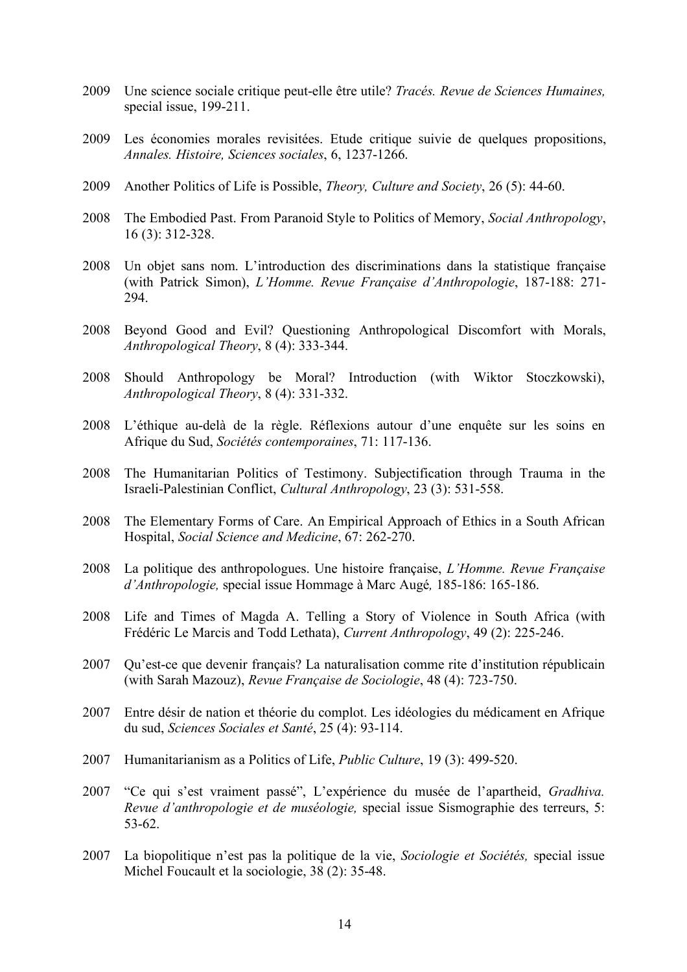- 2009 Une science sociale critique peut-elle être utile? *Tracés. Revue de Sciences Humaines,*  special issue, 199-211.
- 2009 Les économies morales revisitées. Etude critique suivie de quelques propositions, *Annales. Histoire, Sciences sociales*, 6, 1237-1266.
- 2009 Another Politics of Life is Possible, *Theory, Culture and Society*, 26 (5): 44-60.
- 2008 The Embodied Past. From Paranoid Style to Politics of Memory, *Social Anthropology*, 16 (3): 312-328.
- 2008 Un objet sans nom. L'introduction des discriminations dans la statistique française (with Patrick Simon), *L'Homme. Revue Française d'Anthropologie*, 187-188: 271- 294.
- 2008 Beyond Good and Evil? Questioning Anthropological Discomfort with Morals, *Anthropological Theory*, 8 (4): 333-344.
- 2008 Should Anthropology be Moral? Introduction (with Wiktor Stoczkowski), *Anthropological Theory*, 8 (4): 331-332.
- 2008 L'éthique au-delà de la règle. Réflexions autour d'une enquête sur les soins en Afrique du Sud, *Sociétés contemporaines*, 71: 117-136.
- 2008 The Humanitarian Politics of Testimony. Subjectification through Trauma in the Israeli-Palestinian Conflict, *Cultural Anthropology*, 23 (3): 531-558.
- 2008 The Elementary Forms of Care. An Empirical Approach of Ethics in a South African Hospital, *Social Science and Medicine*, 67: 262-270.
- 2008 La politique des anthropologues. Une histoire française, *L'Homme. Revue Française d'Anthropologie,* special issue Hommage à Marc Augé*,* 185-186: 165-186.
- 2008 Life and Times of Magda A. Telling a Story of Violence in South Africa (with Frédéric Le Marcis and Todd Lethata), *Current Anthropology*, 49 (2): 225-246.
- 2007 Qu'est-ce que devenir français? La naturalisation comme rite d'institution républicain (with Sarah Mazouz), *Revue Française de Sociologie*, 48 (4): 723-750.
- 2007 Entre désir de nation et théorie du complot. Les idéologies du médicament en Afrique du sud, *Sciences Sociales et Santé*, 25 (4): 93-114.
- 2007 Humanitarianism as a Politics of Life, *Public Culture*, 19 (3): 499-520.
- 2007 "Ce qui s'est vraiment passé", L'expérience du musée de l'apartheid, *Gradhiva. Revue d'anthropologie et de muséologie,* special issue Sismographie des terreurs, 5: 53-62.
- 2007 La biopolitique n'est pas la politique de la vie, *Sociologie et Sociétés,* special issue Michel Foucault et la sociologie, 38 (2): 35-48.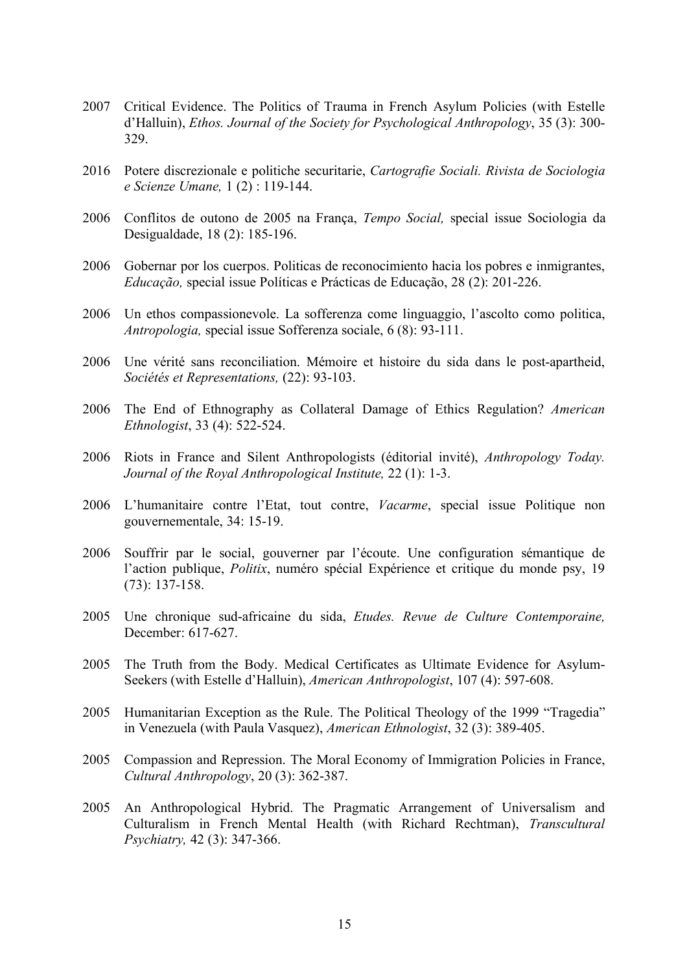- 2007 Critical Evidence. The Politics of Trauma in French Asylum Policies (with Estelle d'Halluin), *Ethos. Journal of the Society for Psychological Anthropology*, 35 (3): 300- 329.
- 2016 Potere discrezionale e politiche securitarie, *Cartografie Sociali. Rivista de Sociologia e Scienze Umane,* 1 (2) : 119-144.
- 2006 Conflitos de outono de 2005 na França, *Tempo Social,* special issue Sociologia da Desigualdade, 18 (2): 185-196.
- 2006 Gobernar por los cuerpos. Politicas de reconocimiento hacia los pobres e inmigrantes, *Educação,* special issue Políticas e Prácticas de Educação, 28 (2): 201-226.
- 2006 Un ethos compassionevole. La sofferenza come linguaggio, l'ascolto como politica, *Antropologia,* special issue Sofferenza sociale, 6 (8): 93-111.
- 2006 Une vérité sans reconciliation. Mémoire et histoire du sida dans le post-apartheid, *Sociétés et Representations,* (22): 93-103.
- 2006 The End of Ethnography as Collateral Damage of Ethics Regulation? *American Ethnologist*, 33 (4): 522-524.
- 2006 Riots in France and Silent Anthropologists (éditorial invité), *Anthropology Today. Journal of the Royal Anthropological Institute,* 22 (1): 1-3.
- 2006 L'humanitaire contre l'Etat, tout contre, *Vacarme*, special issue Politique non gouvernementale, 34: 15-19.
- 2006 Souffrir par le social, gouverner par l'écoute. Une configuration sémantique de l'action publique, *Politix*, numéro spécial Expérience et critique du monde psy, 19 (73): 137-158.
- 2005 Une chronique sud-africaine du sida, *Etudes. Revue de Culture Contemporaine,* December: 617-627.
- 2005 The Truth from the Body. Medical Certificates as Ultimate Evidence for Asylum-Seekers (with Estelle d'Halluin), *American Anthropologist*, 107 (4): 597-608.
- 2005 Humanitarian Exception as the Rule. The Political Theology of the 1999 "Tragedia" in Venezuela (with Paula Vasquez), *American Ethnologist*, 32 (3): 389-405.
- 2005 Compassion and Repression. The Moral Economy of Immigration Policies in France, *Cultural Anthropology*, 20 (3): 362-387.
- 2005 An Anthropological Hybrid. The Pragmatic Arrangement of Universalism and Culturalism in French Mental Health (with Richard Rechtman), *Transcultural Psychiatry,* 42 (3): 347-366.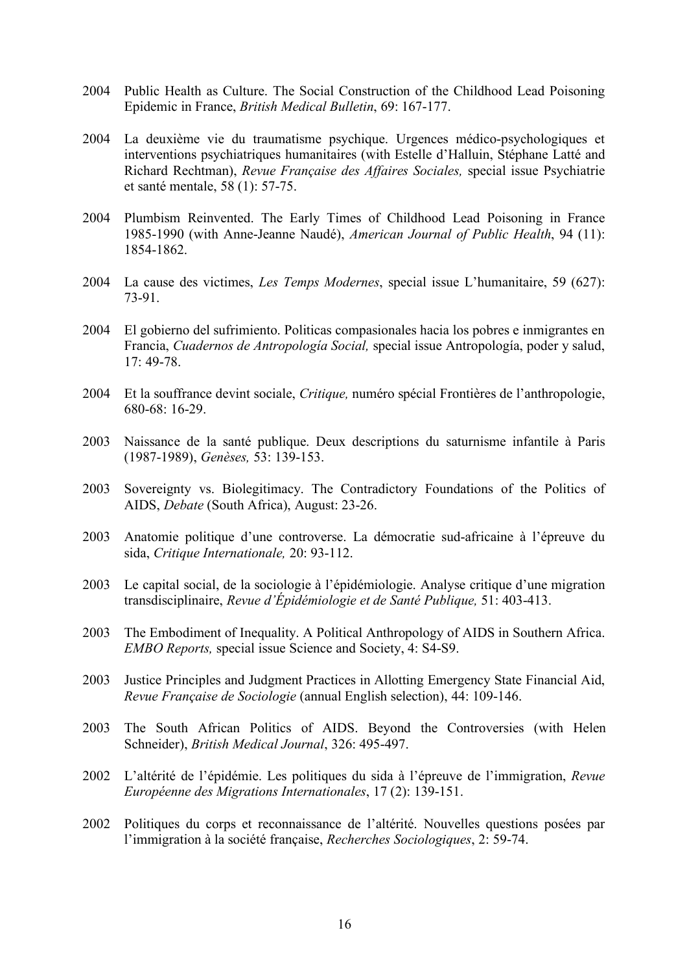- 2004 Public Health as Culture. The Social Construction of the Childhood Lead Poisoning Epidemic in France, *British Medical Bulletin*, 69: 167-177.
- 2004 La deuxième vie du traumatisme psychique. Urgences médico-psychologiques et interventions psychiatriques humanitaires (with Estelle d'Halluin, Stéphane Latté and Richard Rechtman), *Revue Française des Affaires Sociales,* special issue Psychiatrie et santé mentale, 58 (1): 57-75.
- 2004 Plumbism Reinvented. The Early Times of Childhood Lead Poisoning in France 1985-1990 (with Anne-Jeanne Naudé), *American Journal of Public Health*, 94 (11): 1854-1862.
- 2004 La cause des victimes, *Les Temps Modernes*, special issue L'humanitaire, 59 (627): 73-91.
- 2004 El gobierno del sufrimiento. Politicas compasionales hacia los pobres e inmigrantes en Francia, *Cuadernos de Antropología Social,* special issue Antropología, poder y salud, 17: 49-78.
- 2004 Et la souffrance devint sociale, *Critique,* numéro spécial Frontières de l'anthropologie,  $680-68.16-29$
- 2003 Naissance de la santé publique. Deux descriptions du saturnisme infantile à Paris (1987-1989), *Genèses,* 53: 139-153.
- 2003 Sovereignty vs. Biolegitimacy. The Contradictory Foundations of the Politics of AIDS, *Debate* (South Africa), August: 23-26.
- 2003 Anatomie politique d'une controverse. La démocratie sud-africaine à l'épreuve du sida, *Critique Internationale,* 20: 93-112.
- 2003 Le capital social, de la sociologie à l'épidémiologie. Analyse critique d'une migration transdisciplinaire, *Revue d'Épidémiologie et de Santé Publique,* 51: 403-413.
- 2003 The Embodiment of Inequality. A Political Anthropology of AIDS in Southern Africa. *EMBO Reports,* special issue Science and Society, 4: S4-S9.
- 2003 Justice Principles and Judgment Practices in Allotting Emergency State Financial Aid, *Revue Française de Sociologie* (annual English selection), 44: 109-146.
- 2003 The South African Politics of AIDS. Beyond the Controversies (with Helen Schneider), *British Medical Journal*, 326: 495-497.
- 2002 L'altérité de l'épidémie. Les politiques du sida à l'épreuve de l'immigration, *Revue Européenne des Migrations Internationales*, 17 (2): 139-151.
- 2002 Politiques du corps et reconnaissance de l'altérité. Nouvelles questions posées par l'immigration à la société française, *Recherches Sociologiques*, 2: 59-74.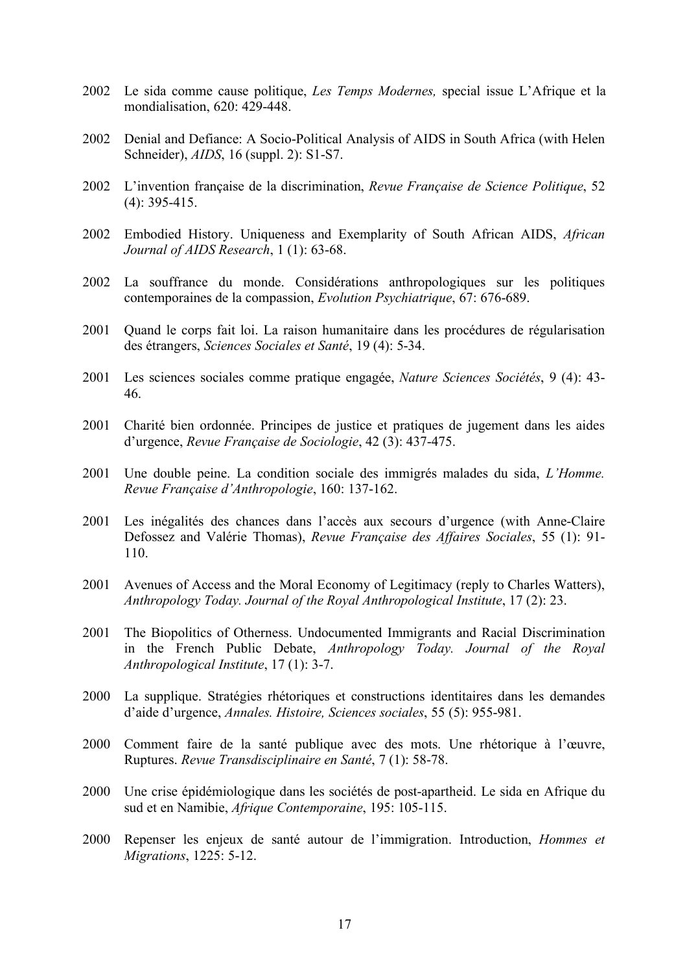- 2002 Le sida comme cause politique, *Les Temps Modernes,* special issue L'Afrique et la mondialisation, 620: 429-448.
- 2002 Denial and Defiance: A Socio-Political Analysis of AIDS in South Africa (with Helen Schneider), *AIDS*, 16 (suppl. 2): S1-S7.
- 2002 L'invention française de la discrimination, *Revue Française de Science Politique*, 52 (4): 395-415.
- 2002 Embodied History. Uniqueness and Exemplarity of South African AIDS, *African Journal of AIDS Research*, 1 (1): 63-68.
- 2002 La souffrance du monde. Considérations anthropologiques sur les politiques contemporaines de la compassion, *Evolution Psychiatrique*, 67: 676-689.
- 2001 Quand le corps fait loi. La raison humanitaire dans les procédures de régularisation des étrangers, *Sciences Sociales et Santé*, 19 (4): 5-34.
- 2001 Les sciences sociales comme pratique engagée, *Nature Sciences Sociétés*, 9 (4): 43- 46.
- 2001 Charité bien ordonnée. Principes de justice et pratiques de jugement dans les aides d'urgence, *Revue Française de Sociologie*, 42 (3): 437-475.
- 2001 Une double peine. La condition sociale des immigrés malades du sida, *L'Homme. Revue Française d'Anthropologie*, 160: 137-162.
- 2001 Les inégalités des chances dans l'accès aux secours d'urgence (with Anne-Claire Defossez and Valérie Thomas), *Revue Française des Affaires Sociales*, 55 (1): 91- 110.
- 2001 Avenues of Access and the Moral Economy of Legitimacy (reply to Charles Watters), *Anthropology Today. Journal of the Royal Anthropological Institute*, 17 (2): 23.
- 2001 The Biopolitics of Otherness. Undocumented Immigrants and Racial Discrimination in the French Public Debate, *Anthropology Today. Journal of the Royal Anthropological Institute*, 17 (1): 3-7.
- 2000 La supplique. Stratégies rhétoriques et constructions identitaires dans les demandes d'aide d'urgence, *Annales. Histoire, Sciences sociales*, 55 (5): 955-981.
- 2000 Comment faire de la santé publique avec des mots. Une rhétorique à l'œuvre, Ruptures. *Revue Transdisciplinaire en Santé*, 7 (1): 58-78.
- 2000 Une crise épidémiologique dans les sociétés de post-apartheid. Le sida en Afrique du sud et en Namibie, *Afrique Contemporaine*, 195: 105-115.
- 2000 Repenser les enjeux de santé autour de l'immigration. Introduction, *Hommes et Migrations*, 1225: 5-12.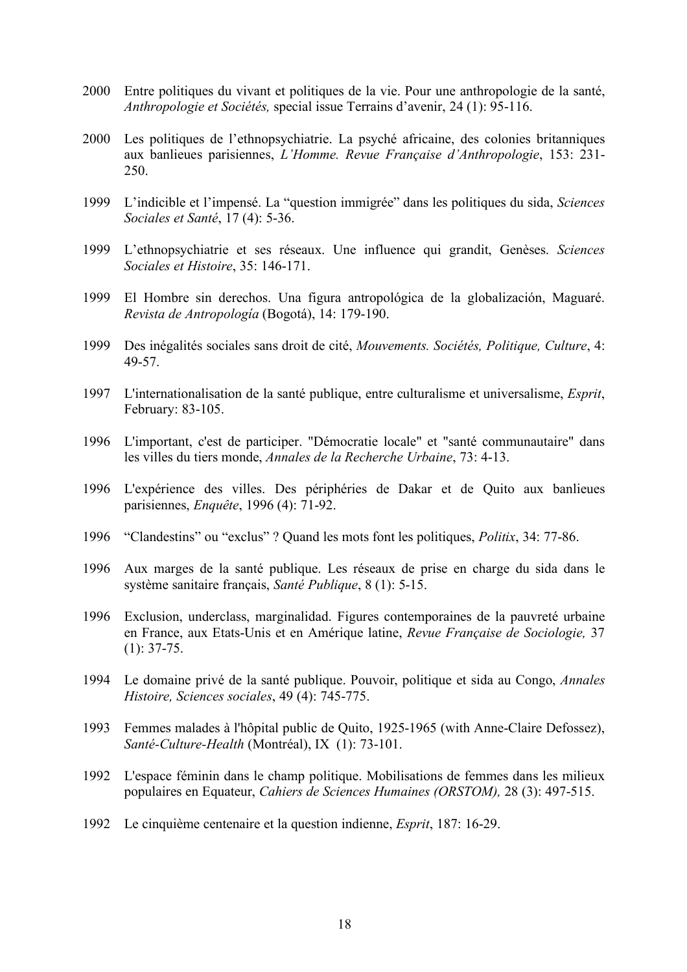- 2000 Entre politiques du vivant et politiques de la vie. Pour une anthropologie de la santé, *Anthropologie et Sociétés,* special issue Terrains d'avenir, 24 (1): 95-116.
- 2000 Les politiques de l'ethnopsychiatrie. La psyché africaine, des colonies britanniques aux banlieues parisiennes, *L'Homme. Revue Française d'Anthropologie*, 153: 231- 250.
- 1999 L'indicible et l'impensé. La "question immigrée" dans les politiques du sida, *Sciences Sociales et Santé*, 17 (4): 5-36.
- 1999 L'ethnopsychiatrie et ses réseaux. Une influence qui grandit, Genèses. *Sciences Sociales et Histoire*, 35: 146-171.
- 1999 El Hombre sin derechos. Una figura antropológica de la globalización, Maguaré. *Revista de Antropología* (Bogotá), 14: 179-190.
- 1999 Des inégalités sociales sans droit de cité, *Mouvements. Sociétés, Politique, Culture*, 4: 49-57.
- 1997 L'internationalisation de la santé publique, entre culturalisme et universalisme, *Esprit*, February: 83-105.
- 1996 L'important, c'est de participer. "Démocratie locale" et "santé communautaire" dans les villes du tiers monde, *Annales de la Recherche Urbaine*, 73: 4-13.
- 1996 L'expérience des villes. Des périphéries de Dakar et de Quito aux banlieues parisiennes, *Enquête*, 1996 (4): 71-92.
- 1996 "Clandestins" ou "exclus" ? Quand les mots font les politiques, *Politix*, 34: 77-86.
- 1996 Aux marges de la santé publique. Les réseaux de prise en charge du sida dans le système sanitaire français, *Santé Publique*, 8 (1): 5-15.
- 1996 Exclusion, underclass, marginalidad. Figures contemporaines de la pauvreté urbaine en France, aux Etats-Unis et en Amérique latine, *Revue Française de Sociologie,* 37  $(1): 37-75.$
- 1994 Le domaine privé de la santé publique. Pouvoir, politique et sida au Congo, *Annales Histoire, Sciences sociales*, 49 (4): 745-775.
- 1993 Femmes malades à l'hôpital public de Quito, 1925-1965 (with Anne-Claire Defossez), *Santé-Culture-Health* (Montréal), IX (1): 73-101.
- 1992 L'espace féminin dans le champ politique. Mobilisations de femmes dans les milieux populaires en Equateur, *Cahiers de Sciences Humaines (ORSTOM),* 28 (3): 497-515.
- 1992 Le cinquième centenaire et la question indienne, *Esprit*, 187: 16-29.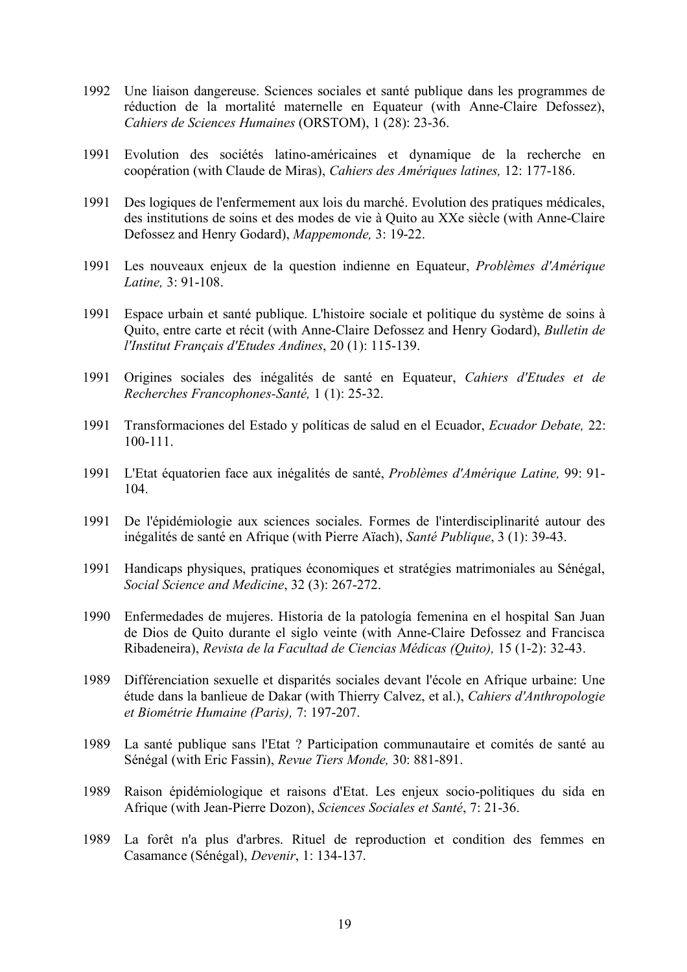- 1992 Une liaison dangereuse. Sciences sociales et santé publique dans les programmes de réduction de la mortalité maternelle en Equateur (with Anne-Claire Defossez), *Cahiers de Sciences Humaines* (ORSTOM), 1 (28): 23-36.
- 1991 Evolution des sociétés latino-américaines et dynamique de la recherche en coopération (with Claude de Miras), *Cahiers des Amériques latines,* 12: 177-186.
- 1991 Des logiques de l'enfermement aux lois du marché. Evolution des pratiques médicales, des institutions de soins et des modes de vie à Quito au XXe siècle (with Anne-Claire Defossez and Henry Godard), *Mappemonde,* 3: 19-22.
- 1991 Les nouveaux enjeux de la question indienne en Equateur, *Problèmes d'Amérique Latine,* 3: 91-108.
- 1991 Espace urbain et santé publique. L'histoire sociale et politique du système de soins à Quito, entre carte et récit (with Anne-Claire Defossez and Henry Godard), *Bulletin de l'Institut Français d'Etudes Andines*, 20 (1): 115-139.
- 1991 Origines sociales des inégalités de santé en Equateur, *Cahiers d'Etudes et de Recherches Francophones-Santé,* 1 (1): 25-32.
- 1991 Transformaciones del Estado y políticas de salud en el Ecuador, *Ecuador Debate,* 22: 100-111.
- 1991 L'Etat équatorien face aux inégalités de santé, *Problèmes d'Amérique Latine,* 99: 91- 104.
- 1991 De l'épidémiologie aux sciences sociales. Formes de l'interdisciplinarité autour des inégalités de santé en Afrique (with Pierre Aïach), *Santé Publique*, 3 (1): 39-43.
- 1991 Handicaps physiques, pratiques économiques et stratégies matrimoniales au Sénégal, *Social Science and Medicine*, 32 (3): 267-272.
- 1990 Enfermedades de mujeres. Historia de la patología femenina en el hospital San Juan de Dios de Quito durante el siglo veinte (with Anne-Claire Defossez and Francisca Ribadeneira), *Revista de la Facultad de Ciencias Médicas (Quito),* 15 (1-2): 32-43.
- 1989 Différenciation sexuelle et disparités sociales devant l'école en Afrique urbaine: Une étude dans la banlieue de Dakar (with Thierry Calvez, et al.), *Cahiers d'Anthropologie et Biométrie Humaine (Paris),* 7: 197-207.
- 1989 La santé publique sans l'Etat ? Participation communautaire et comités de santé au Sénégal (with Eric Fassin), *Revue Tiers Monde,* 30: 881-891.
- 1989 Raison épidémiologique et raisons d'Etat. Les enjeux socio-politiques du sida en Afrique (with Jean-Pierre Dozon), *Sciences Sociales et Santé*, 7: 21-36.
- 1989 La forêt n'a plus d'arbres. Rituel de reproduction et condition des femmes en Casamance (Sénégal), *Devenir*, 1: 134-137.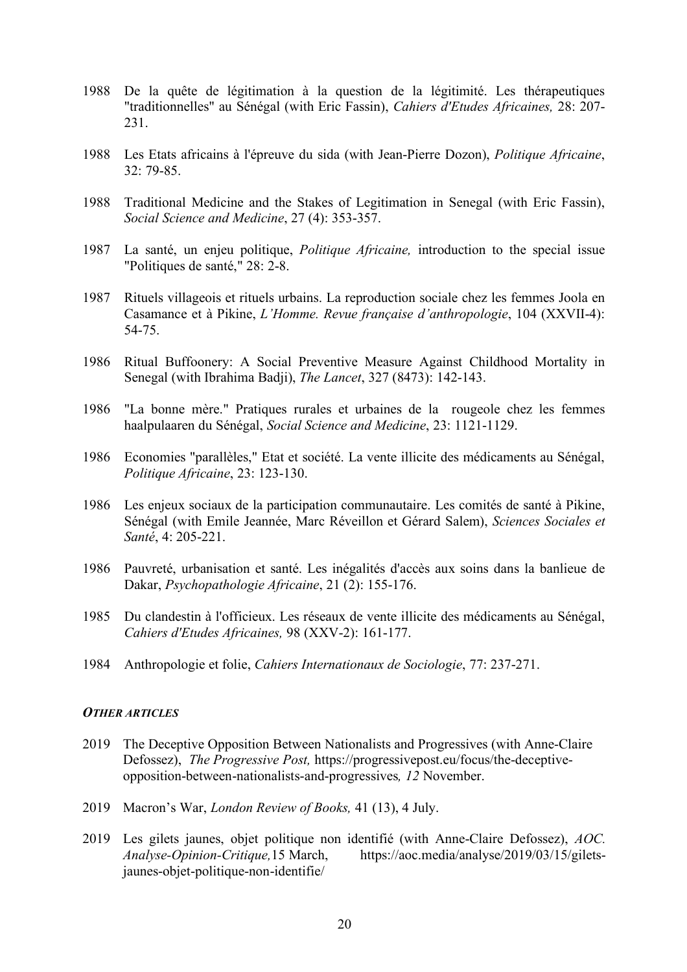- 1988 De la quête de légitimation à la question de la légitimité. Les thérapeutiques "traditionnelles" au Sénégal (with Eric Fassin), *Cahiers d'Etudes Africaines,* 28: 207- 231.
- 1988 Les Etats africains à l'épreuve du sida (with Jean-Pierre Dozon), *Politique Africaine*, 32: 79-85.
- 1988 Traditional Medicine and the Stakes of Legitimation in Senegal (with Eric Fassin), *Social Science and Medicine*, 27 (4): 353-357.
- 1987 La santé, un enjeu politique, *Politique Africaine,* introduction to the special issue "Politiques de santé," 28: 2-8.
- 1987 Rituels villageois et rituels urbains. La reproduction sociale chez les femmes Joola en Casamance et à Pikine, *L'Homme. Revue française d'anthropologie*, 104 (XXVII-4): 54-75.
- 1986 Ritual Buffoonery: A Social Preventive Measure Against Childhood Mortality in Senegal (with Ibrahima Badji), *The Lancet*, 327 (8473): 142-143.
- 1986 "La bonne mère." Pratiques rurales et urbaines de la rougeole chez les femmes haalpulaaren du Sénégal, *Social Science and Medicine*, 23: 1121-1129.
- 1986 Economies "parallèles," Etat et société. La vente illicite des médicaments au Sénégal, *Politique Africaine*, 23: 123-130.
- 1986 Les enjeux sociaux de la participation communautaire. Les comités de santé à Pikine, Sénégal (with Emile Jeannée, Marc Réveillon et Gérard Salem), *Sciences Sociales et Santé*, 4: 205-221.
- 1986 Pauvreté, urbanisation et santé. Les inégalités d'accès aux soins dans la banlieue de Dakar, *Psychopathologie Africaine*, 21 (2): 155-176.
- 1985 Du clandestin à l'officieux. Les réseaux de vente illicite des médicaments au Sénégal, *Cahiers d'Etudes Africaines,* 98 (XXV-2): 161-177.
- 1984 Anthropologie et folie, *Cahiers Internationaux de Sociologie*, 77: 237-271.

### *OTHER ARTICLES*

- 2019 The Deceptive Opposition Between Nationalists and Progressives (with Anne-Claire Defossez), *The Progressive Post,* https://progressivepost.eu/focus/the-deceptiveopposition-between-nationalists-and-progressives*, 12* November.
- 2019 Macron's War, *London Review of Books,* 41 (13), 4 July.
- 2019 Les gilets jaunes, objet politique non identifié (with Anne-Claire Defossez), *AOC. Analyse-Opinion-Critique,*15 March, https://aoc.media/analyse/2019/03/15/giletsjaunes-objet-politique-non-identifie/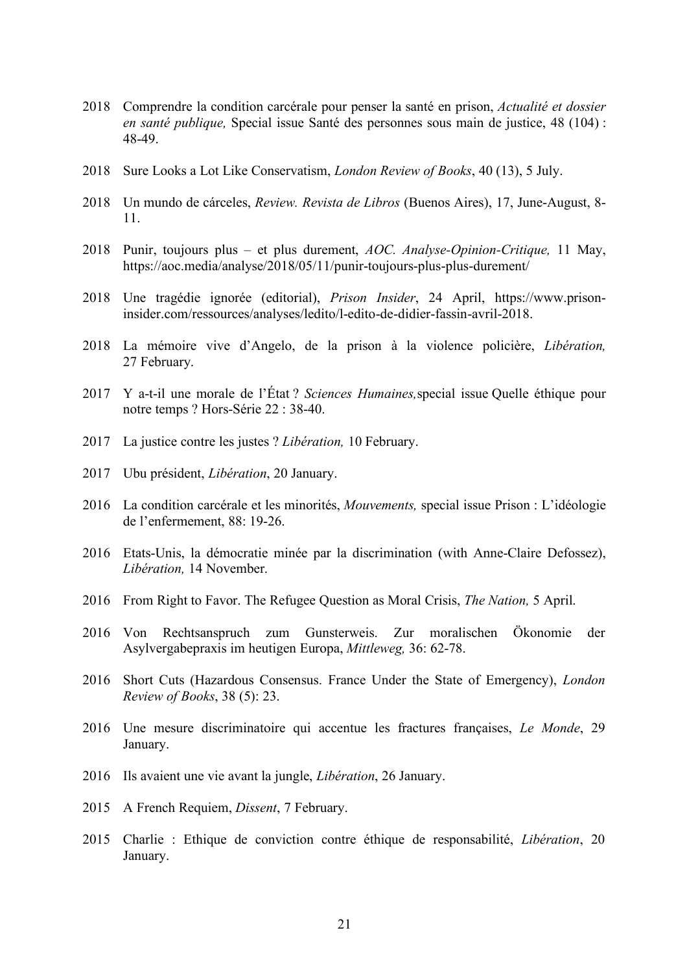- 2018 Comprendre la condition carcérale pour penser la santé en prison, *Actualité et dossier en santé publique,* Special issue Santé des personnes sous main de justice, 48 (104) : 48-49.
- 2018 Sure Looks a Lot Like Conservatism, *London Review of Books*, 40 (13), 5 July.
- 2018 Un mundo de cárceles, *Review. Revista de Libros* (Buenos Aires), 17, June-August, 8- 11.
- 2018 Punir, toujours plus et plus durement, *AOC. Analyse-Opinion-Critique,* 11 May, https://aoc.media/analyse/2018/05/11/punir-toujours-plus-plus-durement/
- 2018 Une tragédie ignorée (editorial), *Prison Insider*, 24 April, https://www.prisoninsider.com/ressources/analyses/ledito/l-edito-de-didier-fassin-avril-2018.
- 2018 La mémoire vive d'Angelo, de la prison à la violence policière, *Libération,* 27 February.
- 2017 Y a-t-il une morale de l'État ? *Sciences Humaines,*special issue Quelle éthique pour notre temps ? Hors-Série 22 : 38-40.
- 2017 La justice contre les justes ? *Libération,* 10 February.
- 2017 Ubu président, *Libération*, 20 January.
- 2016 La condition carcérale et les minorités, *Mouvements,* special issue Prison : L'idéologie de l'enfermement, 88: 19-26.
- 2016 Etats-Unis, la démocratie minée par la discrimination (with Anne-Claire Defossez), *Libération,* 14 November.
- 2016 From Right to Favor. The Refugee Question as Moral Crisis, *The Nation,* 5 April.
- 2016 Von Rechtsanspruch zum Gunsterweis. Zur moralischen Ökonomie der Asylvergabepraxis im heutigen Europa, *Mittleweg,* 36: 62-78.
- 2016 Short Cuts (Hazardous Consensus. France Under the State of Emergency), *London Review of Books*, 38 (5): 23.
- 2016 Une mesure discriminatoire qui accentue les fractures françaises, *Le Monde*, 29 January.
- 2016 Ils avaient une vie avant la jungle, *Libération*, 26 January.
- 2015 A French Requiem, *Dissent*, 7 February.
- 2015 Charlie : Ethique de conviction contre éthique de responsabilité, *Libération*, 20 January.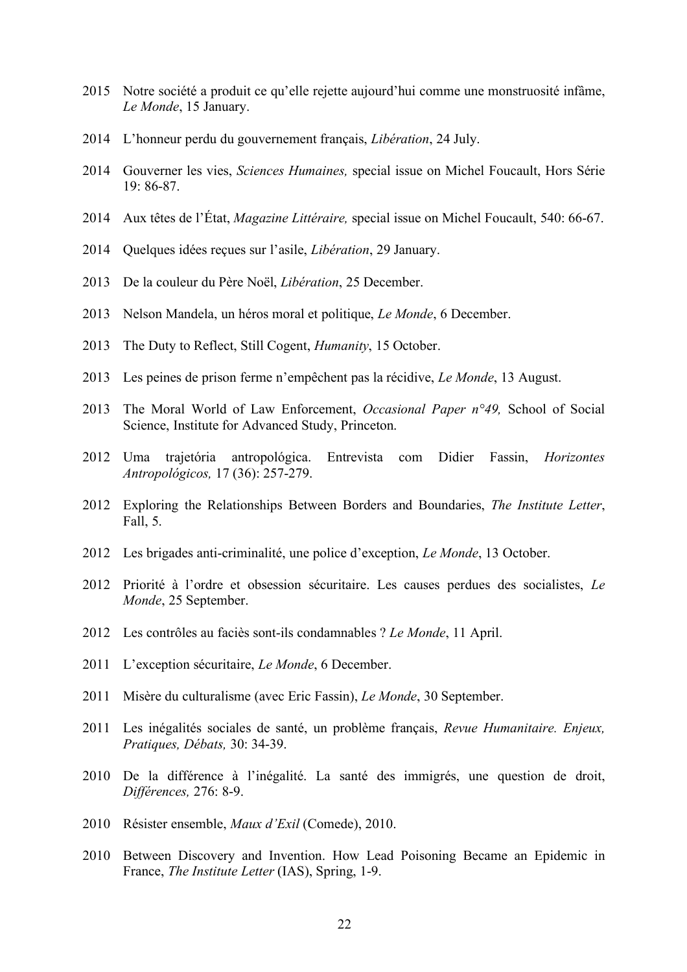- Notre société a produit ce qu'elle rejette aujourd'hui comme une monstruosité infâme, *Le Monde*, 15 January.
- L'honneur perdu du gouvernement français, *Libération*, 24 July.
- Gouverner les vies, *Sciences Humaines,* special issue on Michel Foucault, Hors Série 19: 86-87.
- Aux têtes de l'État, *Magazine Littéraire,* special issue on Michel Foucault, 540: 66-67.
- Quelques idées reçues sur l'asile, *Libération*, 29 January.
- De la couleur du Père Noël, *Libération*, 25 December.
- Nelson Mandela, un héros moral et politique, *Le Monde*, 6 December.
- The Duty to Reflect, Still Cogent, *Humanity*, 15 October.
- Les peines de prison ferme n'empêchent pas la récidive, *Le Monde*, 13 August.
- The Moral World of Law Enforcement, *Occasional Paper n°49,* School of Social Science, Institute for Advanced Study, Princeton.
- Uma trajetória antropológica. Entrevista com Didier Fassin, *Horizontes Antropológicos,* 17 (36): 257-279.
- Exploring the Relationships Between Borders and Boundaries, *The Institute Letter*, Fall, 5.
- Les brigades anti-criminalité, une police d'exception, *Le Monde*, 13 October.
- Priorité à l'ordre et obsession sécuritaire. Les causes perdues des socialistes, *Le Monde*, 25 September.
- Les contrôles au faciès sont-ils condamnables ? *Le Monde*, 11 April.
- L'exception sécuritaire, *Le Monde*, 6 December.
- Misère du culturalisme (avec Eric Fassin), *Le Monde*, 30 September.
- Les inégalités sociales de santé, un problème français, *Revue Humanitaire. Enjeux, Pratiques, Débats,* 30: 34-39.
- De la différence à l'inégalité. La santé des immigrés, une question de droit, *Différences,* 276: 8-9.
- Résister ensemble, *Maux d'Exil* (Comede), 2010.
- Between Discovery and Invention. How Lead Poisoning Became an Epidemic in France, *The Institute Letter* (IAS), Spring, 1-9.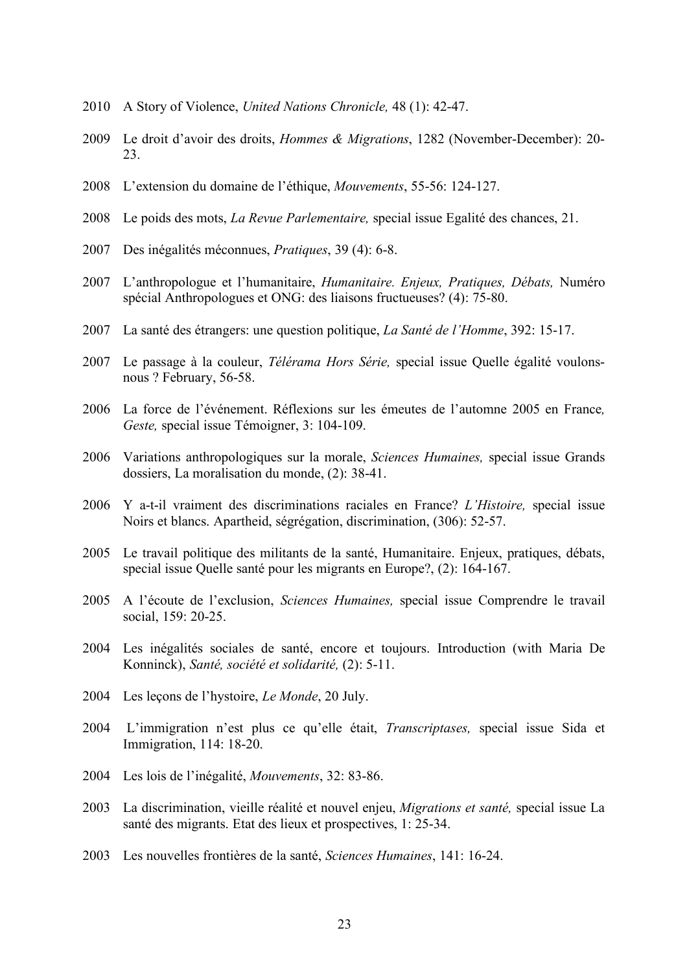- A Story of Violence, *United Nations Chronicle,* 48 (1): 42-47.
- Le droit d'avoir des droits, *Hommes & Migrations*, 1282 (November-December): 20- 23.
- L'extension du domaine de l'éthique, *Mouvements*, 55-56: 124-127.
- Le poids des mots, *La Revue Parlementaire,* special issue Egalité des chances, 21.
- Des inégalités méconnues, *Pratiques*, 39 (4): 6-8.
- L'anthropologue et l'humanitaire, *Humanitaire. Enjeux, Pratiques, Débats,* Numéro spécial Anthropologues et ONG: des liaisons fructueuses? (4): 75-80.
- La santé des étrangers: une question politique, *La Santé de l'Homme*, 392: 15-17.
- Le passage à la couleur, *Télérama Hors Série,* special issue Quelle égalité voulonsnous ? February, 56-58.
- La force de l'événement. Réflexions sur les émeutes de l'automne 2005 en France*, Geste,* special issue Témoigner, 3: 104-109.
- Variations anthropologiques sur la morale, *Sciences Humaines,* special issue Grands dossiers, La moralisation du monde, (2): 38-41.
- Y a-t-il vraiment des discriminations raciales en France? *L'Histoire,* special issue Noirs et blancs. Apartheid, ségrégation, discrimination, (306): 52-57.
- Le travail politique des militants de la santé, Humanitaire. Enjeux, pratiques, débats, special issue Quelle santé pour les migrants en Europe?, (2): 164-167.
- A l'écoute de l'exclusion, *Sciences Humaines,* special issue Comprendre le travail social, 159: 20-25.
- Les inégalités sociales de santé, encore et toujours. Introduction (with Maria De Konninck), *Santé, société et solidarité,* (2): 5-11.
- Les leçons de l'hystoire, *Le Monde*, 20 July.
- L'immigration n'est plus ce qu'elle était, *Transcriptases,* special issue Sida et Immigration, 114: 18-20.
- Les lois de l'inégalité, *Mouvements*, 32: 83-86.
- La discrimination, vieille réalité et nouvel enjeu, *Migrations et santé,* special issue La santé des migrants. Etat des lieux et prospectives, 1: 25-34.
- Les nouvelles frontières de la santé, *Sciences Humaines*, 141: 16-24.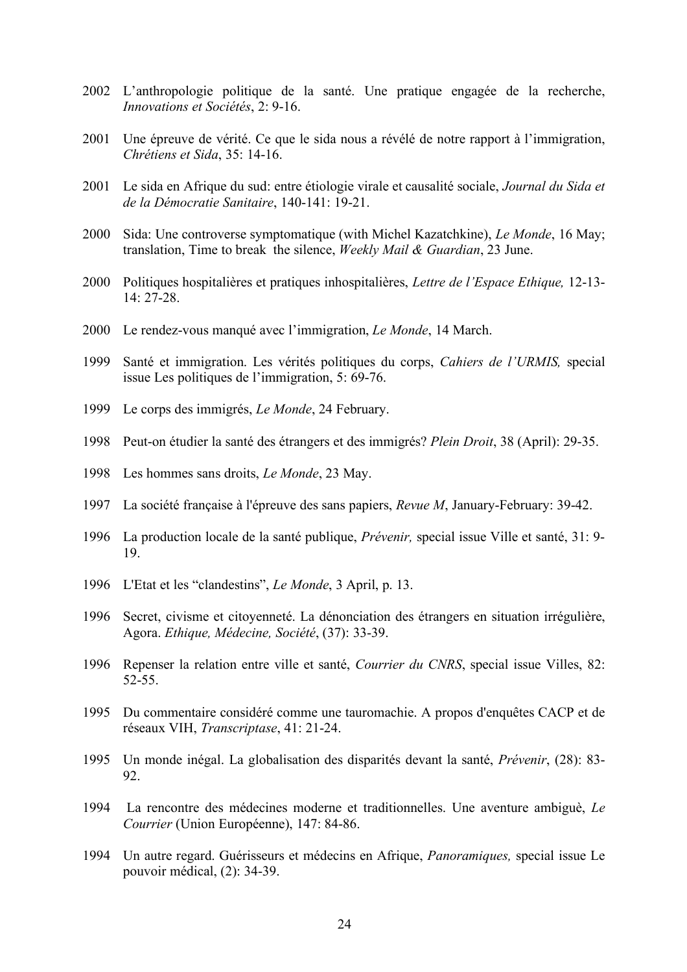- L'anthropologie politique de la santé. Une pratique engagée de la recherche, *Innovations et Sociétés*, 2: 9-16.
- Une épreuve de vérité. Ce que le sida nous a révélé de notre rapport à l'immigration, *Chrétiens et Sida*, 35: 14-16.
- Le sida en Afrique du sud: entre étiologie virale et causalité sociale, *Journal du Sida et de la Démocratie Sanitaire*, 140-141: 19-21.
- Sida: Une controverse symptomatique (with Michel Kazatchkine), *Le Monde*, 16 May; translation, Time to break the silence, *Weekly Mail & Guardian*, 23 June.
- Politiques hospitalières et pratiques inhospitalières, *Lettre de l'Espace Ethique,* 12-13- 14: 27-28.
- Le rendez-vous manqué avec l'immigration, *Le Monde*, 14 March.
- Santé et immigration. Les vérités politiques du corps, *Cahiers de l'URMIS,* special issue Les politiques de l'immigration, 5: 69-76.
- Le corps des immigrés, *Le Monde*, 24 February.
- Peut-on étudier la santé des étrangers et des immigrés? *Plein Droit*, 38 (April): 29-35.
- Les hommes sans droits, *Le Monde*, 23 May.
- La société française à l'épreuve des sans papiers, *Revue M*, January-February: 39-42.
- La production locale de la santé publique, *Prévenir,* special issue Ville et santé, 31: 9- 19.
- L'Etat et les "clandestins", *Le Monde*, 3 April, p. 13.
- Secret, civisme et citoyenneté. La dénonciation des étrangers en situation irrégulière, Agora. *Ethique, Médecine, Société*, (37): 33-39.
- Repenser la relation entre ville et santé, *Courrier du CNRS*, special issue Villes, 82: 52-55.
- Du commentaire considéré comme une tauromachie. A propos d'enquêtes CACP et de réseaux VIH, *Transcriptase*, 41: 21-24.
- Un monde inégal. La globalisation des disparités devant la santé, *Prévenir*, (28): 83- 92.
- La rencontre des médecines moderne et traditionnelles. Une aventure ambiguè, *Le Courrier* (Union Européenne), 147: 84-86.
- Un autre regard. Guérisseurs et médecins en Afrique, *Panoramiques,* special issue Le pouvoir médical, (2): 34-39.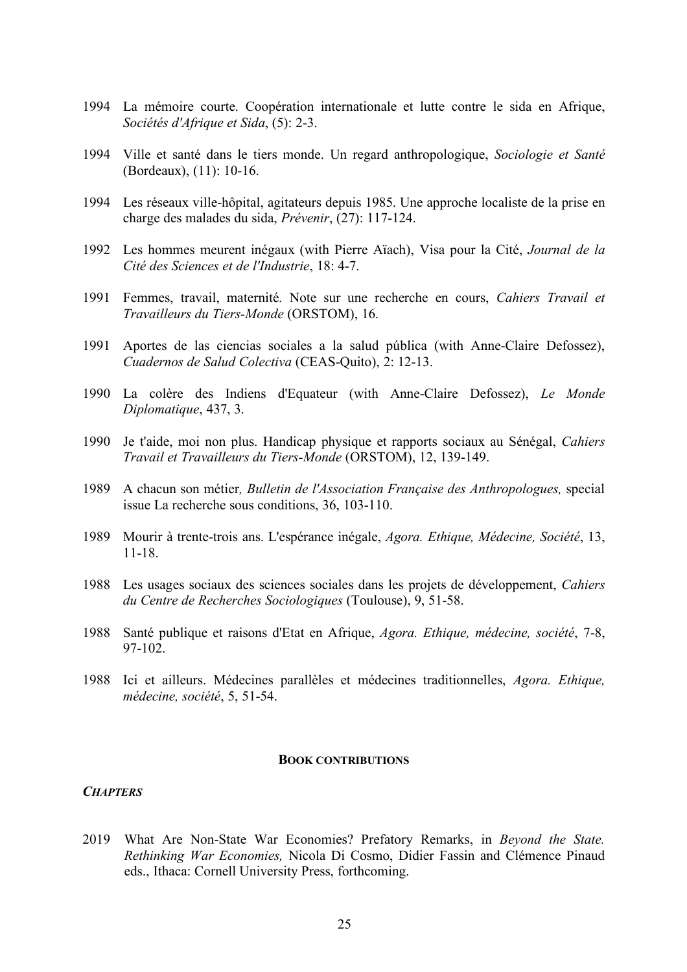- 1994 La mémoire courte. Coopération internationale et lutte contre le sida en Afrique, *Sociétés d'Afrique et Sida*, (5): 2-3.
- 1994 Ville et santé dans le tiers monde. Un regard anthropologique, *Sociologie et Santé* (Bordeaux), (11): 10-16.
- 1994 Les réseaux ville-hôpital, agitateurs depuis 1985. Une approche localiste de la prise en charge des malades du sida, *Prévenir*, (27): 117-124.
- 1992 Les hommes meurent inégaux (with Pierre Aïach), Visa pour la Cité, *Journal de la Cité des Sciences et de l'Industrie*, 18: 4-7.
- 1991 Femmes, travail, maternité. Note sur une recherche en cours, *Cahiers Travail et Travailleurs du Tiers-Monde* (ORSTOM), 16.
- 1991 Aportes de las ciencias sociales a la salud pública (with Anne-Claire Defossez), *Cuadernos de Salud Colectiva* (CEAS-Quito), 2: 12-13.
- 1990 La colère des Indiens d'Equateur (with Anne-Claire Defossez), *Le Monde Diplomatique*, 437, 3.
- 1990 Je t'aide, moi non plus. Handicap physique et rapports sociaux au Sénégal, *Cahiers Travail et Travailleurs du Tiers-Monde* (ORSTOM), 12, 139-149.
- 1989 A chacun son métier*, Bulletin de l'Association Française des Anthropologues,* special issue La recherche sous conditions, 36, 103-110.
- 1989 Mourir à trente-trois ans. L'espérance inégale, *Agora. Ethique, Médecine, Société*, 13, 11-18.
- 1988 Les usages sociaux des sciences sociales dans les projets de développement, *Cahiers du Centre de Recherches Sociologiques* (Toulouse), 9, 51-58.
- 1988 Santé publique et raisons d'Etat en Afrique, *Agora. Ethique, médecine, société*, 7-8, 97-102.
- 1988 Ici et ailleurs. Médecines parallèles et médecines traditionnelles, *Agora. Ethique, médecine, société*, 5, 51-54.

#### **BOOK CONTRIBUTIONS**

### *CHAPTERS*

2019 What Are Non-State War Economies? Prefatory Remarks, in *Beyond the State. Rethinking War Economies,* Nicola Di Cosmo, Didier Fassin and Clémence Pinaud eds., Ithaca: Cornell University Press, forthcoming.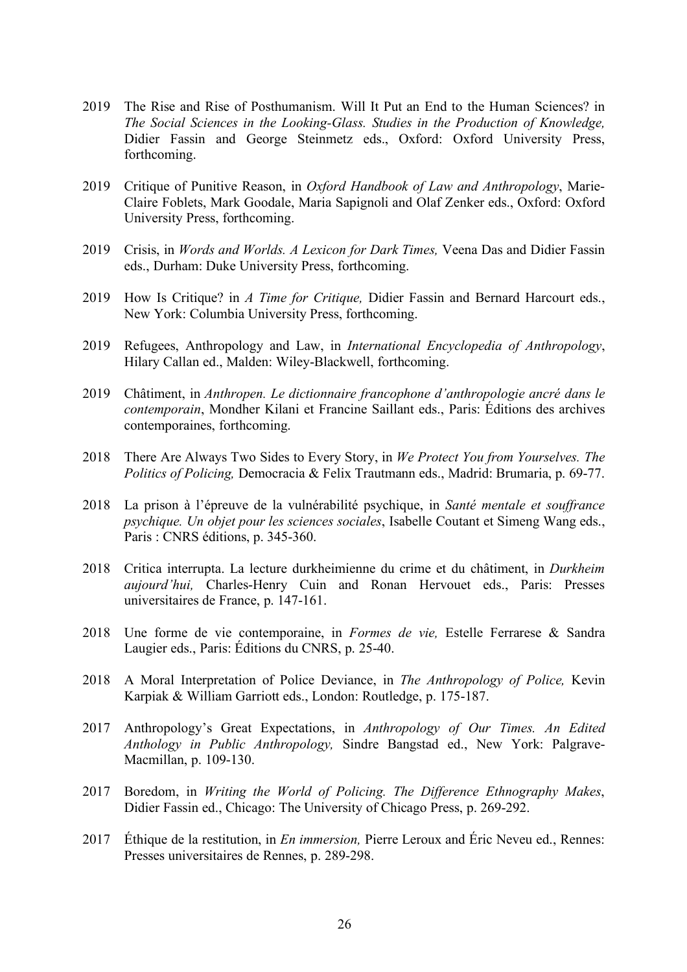- 2019 The Rise and Rise of Posthumanism. Will It Put an End to the Human Sciences? in *The Social Sciences in the Looking-Glass. Studies in the Production of Knowledge,* Didier Fassin and George Steinmetz eds., Oxford: Oxford University Press, forthcoming.
- 2019 Critique of Punitive Reason, in *Oxford Handbook of Law and Anthropology*, Marie-Claire Foblets, Mark Goodale, Maria Sapignoli and Olaf Zenker eds., Oxford: Oxford University Press, forthcoming.
- 2019 Crisis, in *Words and Worlds. A Lexicon for Dark Times,* Veena Das and Didier Fassin eds., Durham: Duke University Press, forthcoming.
- 2019 How Is Critique? in *A Time for Critique,* Didier Fassin and Bernard Harcourt eds., New York: Columbia University Press, forthcoming.
- 2019 Refugees, Anthropology and Law, in *International Encyclopedia of Anthropology*, Hilary Callan ed., Malden: Wiley-Blackwell, forthcoming.
- 2019 Châtiment, in *Anthropen. Le dictionnaire francophone d'anthropologie ancré dans le contemporain*, Mondher Kilani et Francine Saillant eds., Paris: Éditions des archives contemporaines, forthcoming.
- 2018 There Are Always Two Sides to Every Story, in *We Protect You from Yourselves. The Politics of Policing,* Democracia & Felix Trautmann eds., Madrid: Brumaria, p. 69-77.
- 2018 La prison à l'épreuve de la vulnérabilité psychique, in *Santé mentale et souffrance psychique. Un objet pour les sciences sociales*, Isabelle Coutant et Simeng Wang eds., Paris : CNRS éditions, p. 345-360.
- 2018 Critica interrupta. La lecture durkheimienne du crime et du châtiment, in *Durkheim aujourd'hui,* Charles-Henry Cuin and Ronan Hervouet eds., Paris: Presses universitaires de France, p. 147-161.
- 2018 Une forme de vie contemporaine, in *Formes de vie,* Estelle Ferrarese & Sandra Laugier eds., Paris: Éditions du CNRS, p. 25-40.
- 2018 A Moral Interpretation of Police Deviance, in *The Anthropology of Police,* Kevin Karpiak & William Garriott eds., London: Routledge, p. 175-187.
- 2017 Anthropology's Great Expectations, in *Anthropology of Our Times. An Edited Anthology in Public Anthropology,* Sindre Bangstad ed., New York: Palgrave-Macmillan, p. 109-130.
- 2017 Boredom, in *Writing the World of Policing. The Difference Ethnography Makes*, Didier Fassin ed., Chicago: The University of Chicago Press, p. 269-292.
- 2017 Éthique de la restitution, in *En immersion,* Pierre Leroux and Éric Neveu ed., Rennes: Presses universitaires de Rennes, p. 289-298.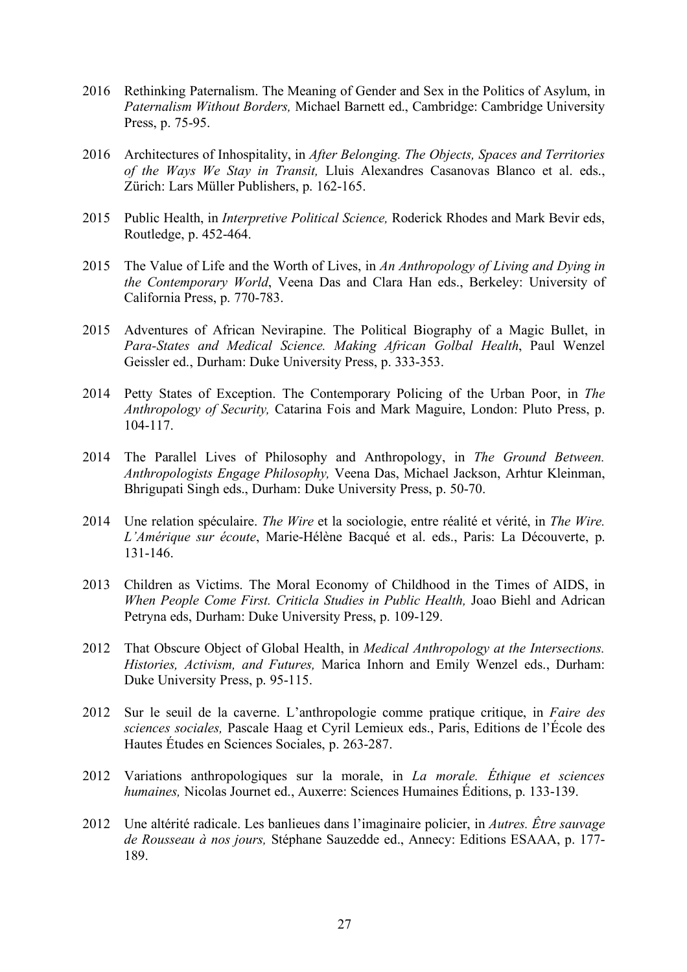- 2016 Rethinking Paternalism. The Meaning of Gender and Sex in the Politics of Asylum, in *Paternalism Without Borders,* Michael Barnett ed., Cambridge: Cambridge University Press, p. 75-95.
- 2016 Architectures of Inhospitality, in *After Belonging. The Objects, Spaces and Territories of the Ways We Stay in Transit,* Lluis Alexandres Casanovas Blanco et al. eds., Zürich: Lars Müller Publishers, p. 162-165.
- 2015 Public Health, in *Interpretive Political Science,* Roderick Rhodes and Mark Bevir eds, Routledge, p. 452-464.
- 2015 The Value of Life and the Worth of Lives, in *An Anthropology of Living and Dying in the Contemporary World*, Veena Das and Clara Han eds., Berkeley: University of California Press, p. 770-783.
- 2015 Adventures of African Nevirapine. The Political Biography of a Magic Bullet, in *Para-States and Medical Science. Making African Golbal Health*, Paul Wenzel Geissler ed., Durham: Duke University Press, p. 333-353.
- 2014 Petty States of Exception. The Contemporary Policing of the Urban Poor, in *The Anthropology of Security,* Catarina Fois and Mark Maguire, London: Pluto Press, p. 104-117.
- 2014 The Parallel Lives of Philosophy and Anthropology, in *The Ground Between. Anthropologists Engage Philosophy,* Veena Das, Michael Jackson, Arhtur Kleinman, Bhrigupati Singh eds., Durham: Duke University Press, p. 50-70.
- 2014 Une relation spéculaire. *The Wire* et la sociologie, entre réalité et vérité, in *The Wire. L'Amérique sur écoute*, Marie-Hélène Bacqué et al. eds., Paris: La Découverte, p. 131-146.
- 2013 Children as Victims. The Moral Economy of Childhood in the Times of AIDS, in *When People Come First. Criticla Studies in Public Health,* Joao Biehl and Adrican Petryna eds, Durham: Duke University Press, p. 109-129.
- 2012 That Obscure Object of Global Health, in *Medical Anthropology at the Intersections. Histories, Activism, and Futures,* Marica Inhorn and Emily Wenzel eds., Durham: Duke University Press, p. 95-115.
- 2012 Sur le seuil de la caverne. L'anthropologie comme pratique critique, in *Faire des sciences sociales,* Pascale Haag et Cyril Lemieux eds., Paris, Editions de l'École des Hautes Études en Sciences Sociales, p. 263-287.
- 2012 Variations anthropologiques sur la morale, in *La morale. Éthique et sciences humaines,* Nicolas Journet ed., Auxerre: Sciences Humaines Éditions, p. 133-139.
- 2012 Une altérité radicale. Les banlieues dans l'imaginaire policier, in *Autres. Être sauvage de Rousseau à nos jours,* Stéphane Sauzedde ed., Annecy: Editions ESAAA, p. 177- 189.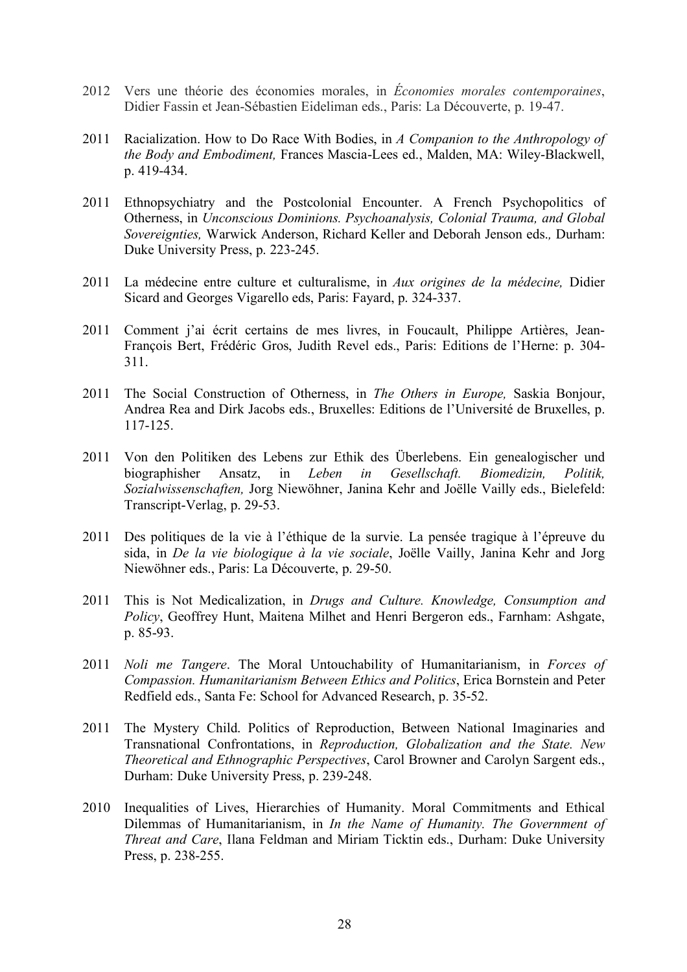- 2012 Vers une théorie des économies morales, in *Économies morales contemporaines*, Didier Fassin et Jean-Sébastien Eideliman eds., Paris: La Découverte, p. 19-47.
- 2011 Racialization. How to Do Race With Bodies, in *A Companion to the Anthropology of the Body and Embodiment,* Frances Mascia-Lees ed., Malden, MA: Wiley-Blackwell, p. 419-434.
- 2011 Ethnopsychiatry and the Postcolonial Encounter. A French Psychopolitics of Otherness, in *Unconscious Dominions. Psychoanalysis, Colonial Trauma, and Global Sovereignties,* Warwick Anderson, Richard Keller and Deborah Jenson eds.*,* Durham: Duke University Press, p. 223-245.
- 2011 La médecine entre culture et culturalisme, in *Aux origines de la médecine,* Didier Sicard and Georges Vigarello eds, Paris: Fayard, p. 324-337.
- 2011 Comment j'ai écrit certains de mes livres, in Foucault, Philippe Artières, Jean-François Bert, Frédéric Gros, Judith Revel eds., Paris: Editions de l'Herne: p. 304- 311.
- 2011 The Social Construction of Otherness, in *The Others in Europe,* Saskia Bonjour, Andrea Rea and Dirk Jacobs eds., Bruxelles: Editions de l'Université de Bruxelles, p. 117-125.
- 2011 Von den Politiken des Lebens zur Ethik des Überlebens. Ein genealogischer und biographisher Ansatz, in *Leben in Gesellschaft. Biomedizin, Politik, Sozialwissenschaften,* Jorg Niewöhner, Janina Kehr and Joëlle Vailly eds., Bielefeld: Transcript-Verlag, p. 29-53.
- 2011 Des politiques de la vie à l'éthique de la survie. La pensée tragique à l'épreuve du sida, in *De la vie biologique à la vie sociale*, Joëlle Vailly, Janina Kehr and Jorg Niewöhner eds., Paris: La Découverte, p. 29-50.
- 2011 This is Not Medicalization, in *Drugs and Culture. Knowledge, Consumption and Policy*, Geoffrey Hunt, Maitena Milhet and Henri Bergeron eds., Farnham: Ashgate, p. 85-93.
- 2011 *Noli me Tangere*. The Moral Untouchability of Humanitarianism, in *Forces of Compassion. Humanitarianism Between Ethics and Politics*, Erica Bornstein and Peter Redfield eds., Santa Fe: School for Advanced Research, p. 35-52.
- 2011 The Mystery Child. Politics of Reproduction, Between National Imaginaries and Transnational Confrontations, in *Reproduction, Globalization and the State. New Theoretical and Ethnographic Perspectives*, Carol Browner and Carolyn Sargent eds., Durham: Duke University Press, p. 239-248.
- 2010 Inequalities of Lives, Hierarchies of Humanity. Moral Commitments and Ethical Dilemmas of Humanitarianism, in *In the Name of Humanity. The Government of Threat and Care*, Ilana Feldman and Miriam Ticktin eds., Durham: Duke University Press, p. 238-255.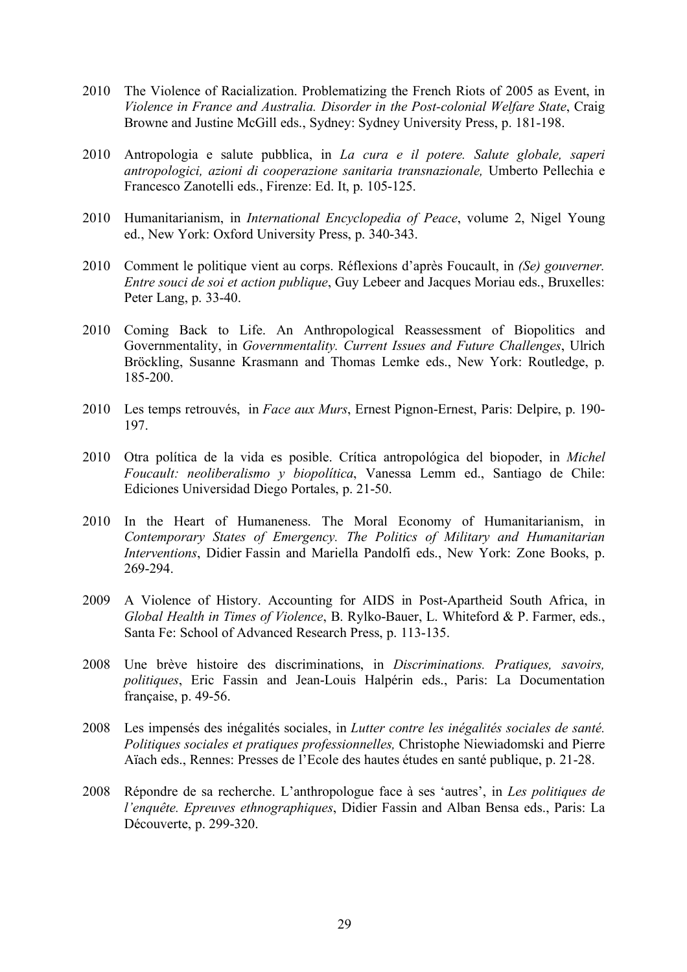- 2010 The Violence of Racialization. Problematizing the French Riots of 2005 as Event, in *Violence in France and Australia. Disorder in the Post-colonial Welfare State*, Craig Browne and Justine McGill eds., Sydney: Sydney University Press, p. 181-198.
- 2010 Antropologia e salute pubblica, in *La cura e il potere. Salute globale, saperi antropologici, azioni di cooperazione sanitaria transnazionale,* Umberto Pellechia e Francesco Zanotelli eds., Firenze: Ed. It, p. 105-125.
- 2010 Humanitarianism, in *International Encyclopedia of Peace*, volume 2, Nigel Young ed., New York: Oxford University Press, p. 340-343.
- 2010 Comment le politique vient au corps. Réflexions d'après Foucault, in *(Se) gouverner. Entre souci de soi et action publique*, Guy Lebeer and Jacques Moriau eds., Bruxelles: Peter Lang, p. 33-40.
- 2010 Coming Back to Life. An Anthropological Reassessment of Biopolitics and Governmentality, in *Governmentality. Current Issues and Future Challenges*, Ulrich Bröckling, Susanne Krasmann and Thomas Lemke eds., New York: Routledge, p. 185-200.
- 2010 Les temps retrouvés, in *Face aux Murs*, Ernest Pignon-Ernest, Paris: Delpire, p. 190- 197.
- 2010 Otra política de la vida es posible. Crítica antropológica del biopoder, in *Michel Foucault: neoliberalismo y biopolítica*, Vanessa Lemm ed., Santiago de Chile: Ediciones Universidad Diego Portales, p. 21-50.
- 2010 In the Heart of Humaneness. The Moral Economy of Humanitarianism, in *Contemporary States of Emergency. The Politics of Military and Humanitarian Interventions*, Didier Fassin and Mariella Pandolfi eds., New York: Zone Books, p. 269-294.
- 2009 A Violence of History. Accounting for AIDS in Post-Apartheid South Africa, in *Global Health in Times of Violence*, B. Rylko-Bauer, L. Whiteford & P. Farmer, eds., Santa Fe: School of Advanced Research Press, p. 113-135.
- 2008 Une brève histoire des discriminations, in *Discriminations. Pratiques, savoirs, politiques*, Eric Fassin and Jean-Louis Halpérin eds., Paris: La Documentation française, p. 49-56.
- 2008 Les impensés des inégalités sociales, in *Lutter contre les inégalités sociales de santé. Politiques sociales et pratiques professionnelles,* Christophe Niewiadomski and Pierre Aïach eds., Rennes: Presses de l'Ecole des hautes études en santé publique, p. 21-28.
- 2008 Répondre de sa recherche. L'anthropologue face à ses 'autres', in *Les politiques de l'enquête. Epreuves ethnographiques*, Didier Fassin and Alban Bensa eds., Paris: La Découverte, p. 299-320.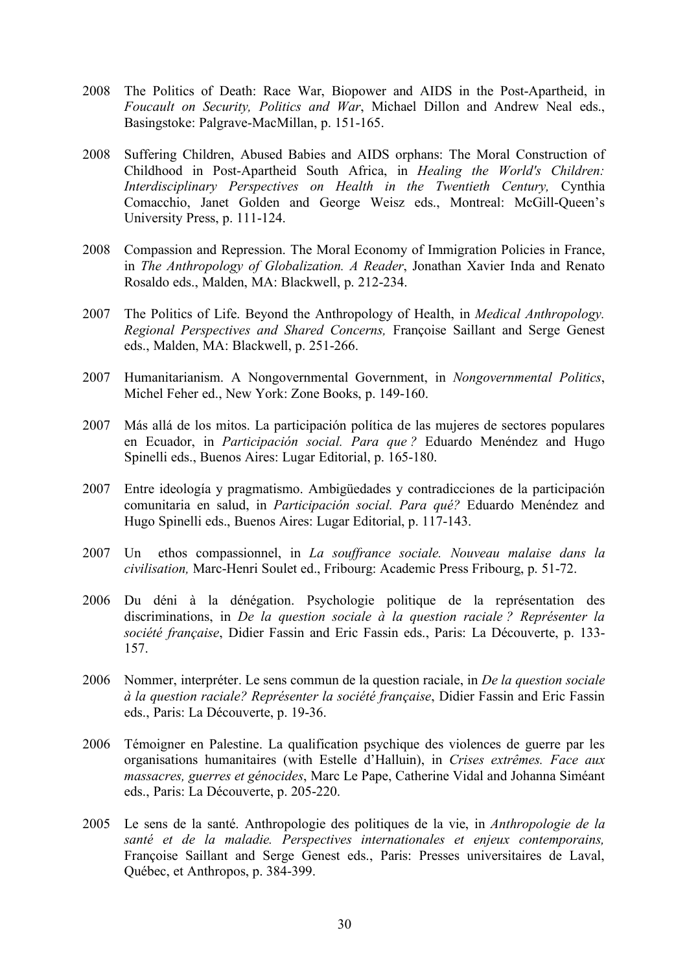- 2008 The Politics of Death: Race War, Biopower and AIDS in the Post-Apartheid, in *Foucault on Security, Politics and War*, Michael Dillon and Andrew Neal eds., Basingstoke: Palgrave-MacMillan, p. 151-165.
- 2008 Suffering Children, Abused Babies and AIDS orphans: The Moral Construction of Childhood in Post-Apartheid South Africa, in *Healing the World's Children: Interdisciplinary Perspectives on Health in the Twentieth Century,* Cynthia Comacchio, Janet Golden and George Weisz eds., Montreal: McGill-Queen's University Press, p. 111-124.
- 2008 Compassion and Repression. The Moral Economy of Immigration Policies in France, in *The Anthropology of Globalization. A Reader*, Jonathan Xavier Inda and Renato Rosaldo eds., Malden, MA: Blackwell, p. 212-234.
- 2007 The Politics of Life. Beyond the Anthropology of Health, in *Medical Anthropology. Regional Perspectives and Shared Concerns,* Françoise Saillant and Serge Genest eds., Malden, MA: Blackwell, p. 251-266.
- 2007 Humanitarianism. A Nongovernmental Government, in *Nongovernmental Politics*, Michel Feher ed., New York: Zone Books, p. 149-160.
- 2007 Más allá de los mitos. La participación política de las mujeres de sectores populares en Ecuador, in *Participación social. Para que ?* Eduardo Menéndez and Hugo Spinelli eds., Buenos Aires: Lugar Editorial, p. 165-180.
- 2007 Entre ideología y pragmatismo. Ambigüedades y contradicciones de la participación comunitaria en salud, in *Participación social. Para qué?* Eduardo Menéndez and Hugo Spinelli eds., Buenos Aires: Lugar Editorial, p. 117-143.
- 2007 Un ethos compassionnel, in *La souffrance sociale. Nouveau malaise dans la civilisation,* Marc-Henri Soulet ed., Fribourg: Academic Press Fribourg, p. 51-72.
- 2006 Du déni à la dénégation. Psychologie politique de la représentation des discriminations, in *De la question sociale à la question raciale ? Représenter la société française*, Didier Fassin and Eric Fassin eds., Paris: La Découverte, p. 133- 157.
- 2006 Nommer, interpréter. Le sens commun de la question raciale, in *De la question sociale à la question raciale? Représenter la société française*, Didier Fassin and Eric Fassin eds., Paris: La Découverte, p. 19-36.
- 2006 Témoigner en Palestine. La qualification psychique des violences de guerre par les organisations humanitaires (with Estelle d'Halluin), in *Crises extrêmes. Face aux massacres, guerres et génocides*, Marc Le Pape, Catherine Vidal and Johanna Siméant eds., Paris: La Découverte, p. 205-220.
- 2005 Le sens de la santé. Anthropologie des politiques de la vie, in *Anthropologie de la santé et de la maladie. Perspectives internationales et enjeux contemporains,*  Françoise Saillant and Serge Genest eds., Paris: Presses universitaires de Laval, Québec, et Anthropos, p. 384-399.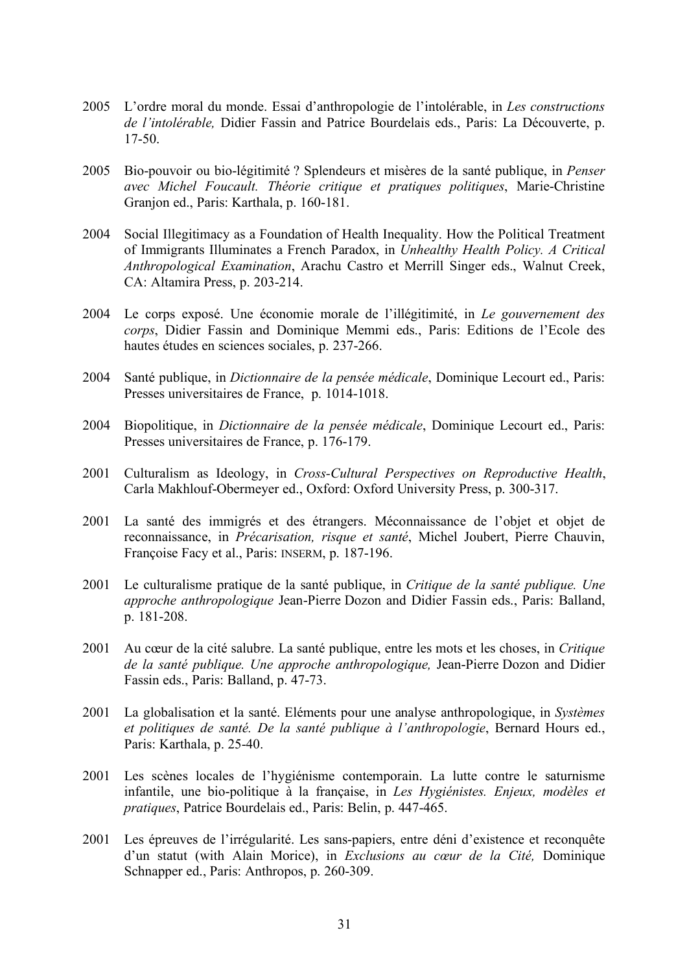- 2005 L'ordre moral du monde. Essai d'anthropologie de l'intolérable, in *Les constructions de l'intolérable,* Didier Fassin and Patrice Bourdelais eds., Paris: La Découverte, p. 17-50.
- 2005 Bio-pouvoir ou bio-légitimité ? Splendeurs et misères de la santé publique, in *Penser avec Michel Foucault. Théorie critique et pratiques politiques*, Marie-Christine Granjon ed., Paris: Karthala, p. 160-181.
- 2004 Social Illegitimacy as a Foundation of Health Inequality. How the Political Treatment of Immigrants Illuminates a French Paradox, in *Unhealthy Health Policy. A Critical Anthropological Examination*, Arachu Castro et Merrill Singer eds., Walnut Creek, CA: Altamira Press, p. 203-214.
- 2004 Le corps exposé. Une économie morale de l'illégitimité, in *Le gouvernement des corps*, Didier Fassin and Dominique Memmi eds., Paris: Editions de l'Ecole des hautes études en sciences sociales, p. 237-266.
- 2004 Santé publique, in *Dictionnaire de la pensée médicale*, Dominique Lecourt ed., Paris: Presses universitaires de France, p. 1014-1018.
- 2004 Biopolitique, in *Dictionnaire de la pensée médicale*, Dominique Lecourt ed., Paris: Presses universitaires de France, p. 176-179.
- 2001 Culturalism as Ideology, in *Cross-Cultural Perspectives on Reproductive Health*, Carla Makhlouf-Obermeyer ed., Oxford: Oxford University Press, p. 300-317.
- 2001 La santé des immigrés et des étrangers. Méconnaissance de l'objet et objet de reconnaissance, in *Précarisation, risque et santé*, Michel Joubert, Pierre Chauvin, Françoise Facy et al., Paris: INSERM, p. 187-196.
- 2001 Le culturalisme pratique de la santé publique, in *Critique de la santé publique. Une approche anthropologique* Jean-Pierre Dozon and Didier Fassin eds., Paris: Balland, p. 181-208.
- 2001 Au cœur de la cité salubre. La santé publique, entre les mots et les choses, in *Critique de la santé publique. Une approche anthropologique,* Jean-Pierre Dozon and Didier Fassin eds., Paris: Balland, p. 47-73.
- 2001 La globalisation et la santé. Eléments pour une analyse anthropologique, in *Systèmes et politiques de santé. De la santé publique à l'anthropologie*, Bernard Hours ed., Paris: Karthala, p. 25-40.
- 2001 Les scènes locales de l'hygiénisme contemporain. La lutte contre le saturnisme infantile, une bio-politique à la française, in *Les Hygiénistes. Enjeux, modèles et pratiques*, Patrice Bourdelais ed., Paris: Belin, p. 447-465.
- 2001 Les épreuves de l'irrégularité. Les sans-papiers, entre déni d'existence et reconquête d'un statut (with Alain Morice), in *Exclusions au cœur de la Cité,* Dominique Schnapper ed., Paris: Anthropos, p. 260-309.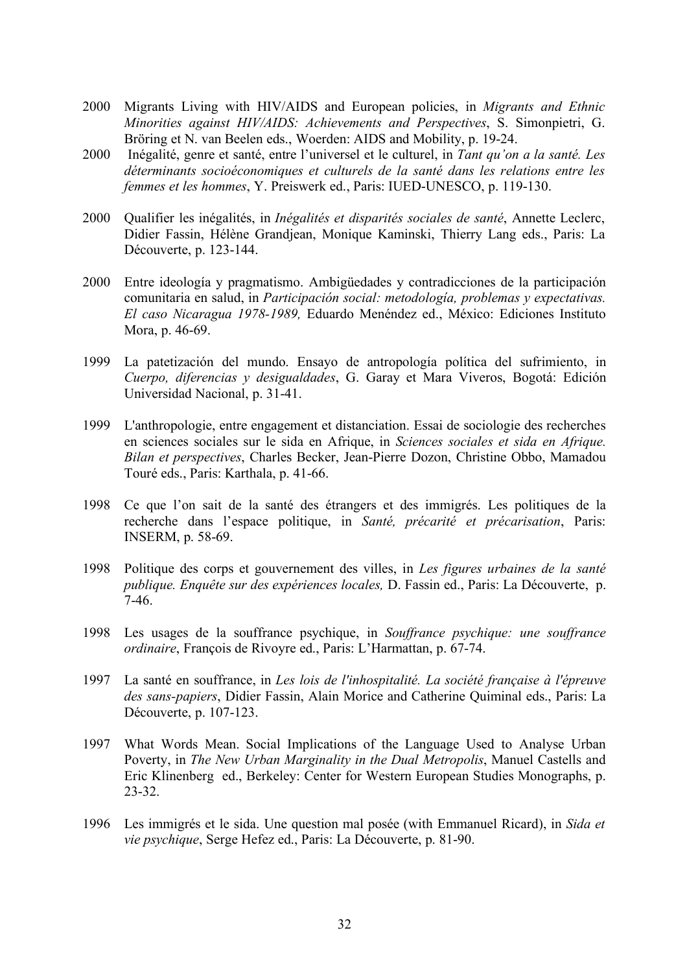- 2000 Migrants Living with HIV/AIDS and European policies, in *Migrants and Ethnic Minorities against HIV/AIDS: Achievements and Perspectives*, S. Simonpietri, G. Bröring et N. van Beelen eds., Woerden: AIDS and Mobility, p. 19-24.
- 2000 Inégalité, genre et santé, entre l'universel et le culturel, in *Tant qu'on a la santé. Les déterminants socioéconomiques et culturels de la santé dans les relations entre les femmes et les hommes*, Y. Preiswerk ed., Paris: IUED-UNESCO, p. 119-130.
- 2000 Qualifier les inégalités, in *Inégalités et disparités sociales de santé*, Annette Leclerc, Didier Fassin, Hélène Grandjean, Monique Kaminski, Thierry Lang eds., Paris: La Découverte, p. 123-144.
- 2000 Entre ideología y pragmatismo. Ambigüedades y contradicciones de la participación comunitaria en salud, in *Participación social: metodología, problemas y expectativas. El caso Nicaragua 1978-1989,* Eduardo Menéndez ed., México: Ediciones Instituto Mora, p. 46-69.
- 1999 La patetización del mundo. Ensayo de antropología política del sufrimiento, in *Cuerpo, diferencias y desigualdades*, G. Garay et Mara Viveros, Bogotá: Edición Universidad Nacional, p. 31-41.
- 1999 L'anthropologie, entre engagement et distanciation. Essai de sociologie des recherches en sciences sociales sur le sida en Afrique, in *Sciences sociales et sida en Afrique. Bilan et perspectives*, Charles Becker, Jean-Pierre Dozon, Christine Obbo, Mamadou Touré eds., Paris: Karthala, p. 41-66.
- 1998 Ce que l'on sait de la santé des étrangers et des immigrés. Les politiques de la recherche dans l'espace politique, in *Santé, précarité et précarisation*, Paris: INSERM, p. 58-69.
- 1998 Politique des corps et gouvernement des villes, in *Les figures urbaines de la santé publique. Enquête sur des expériences locales,* D. Fassin ed., Paris: La Découverte, p. 7-46.
- 1998 Les usages de la souffrance psychique, in *Souffrance psychique: une souffrance ordinaire*, François de Rivoyre ed., Paris: L'Harmattan, p. 67-74.
- 1997 La santé en souffrance, in *Les lois de l'inhospitalité. La société française à l'épreuve des sans-papiers*, Didier Fassin, Alain Morice and Catherine Quiminal eds., Paris: La Découverte, p. 107-123.
- 1997 What Words Mean. Social Implications of the Language Used to Analyse Urban Poverty, in *The New Urban Marginality in the Dual Metropolis*, Manuel Castells and Eric Klinenberg ed., Berkeley: Center for Western European Studies Monographs, p. 23-32.
- 1996 Les immigrés et le sida. Une question mal posée (with Emmanuel Ricard), in *Sida et vie psychique*, Serge Hefez ed., Paris: La Découverte, p. 81-90.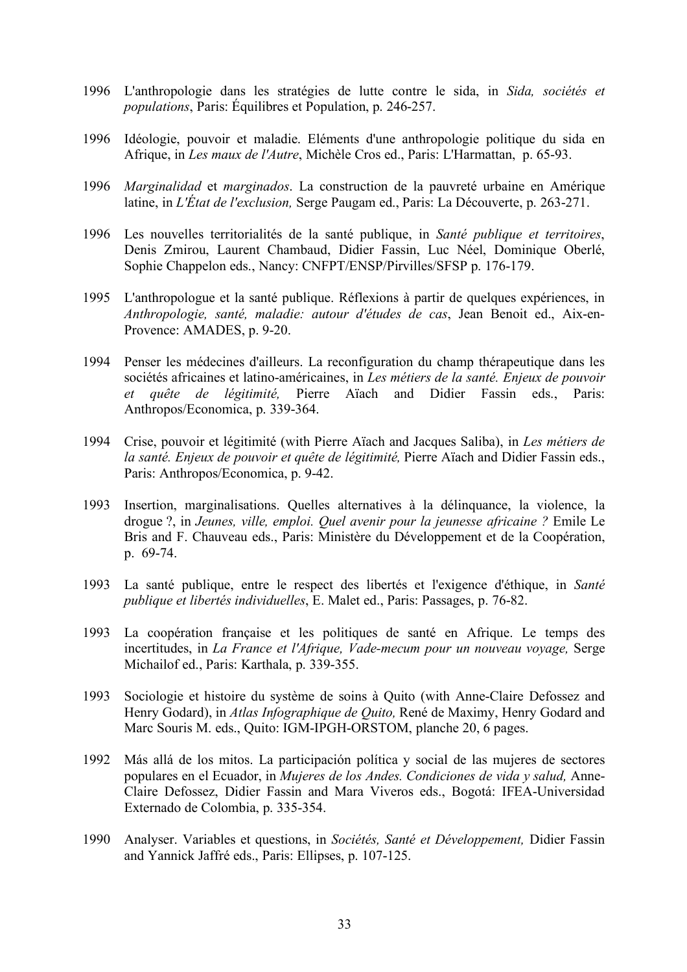- 1996 L'anthropologie dans les stratégies de lutte contre le sida, in *Sida, sociétés et populations*, Paris: Équilibres et Population, p. 246-257.
- 1996 Idéologie, pouvoir et maladie. Eléments d'une anthropologie politique du sida en Afrique, in *Les maux de l'Autre*, Michèle Cros ed., Paris: L'Harmattan, p. 65-93.
- 1996 *Marginalidad* et *marginados*. La construction de la pauvreté urbaine en Amérique latine, in *L'État de l'exclusion,* Serge Paugam ed., Paris: La Découverte, p. 263-271.
- 1996 Les nouvelles territorialités de la santé publique, in *Santé publique et territoires*, Denis Zmirou, Laurent Chambaud, Didier Fassin, Luc Néel, Dominique Oberlé, Sophie Chappelon eds., Nancy: CNFPT/ENSP/Pirvilles/SFSP p. 176-179.
- 1995 L'anthropologue et la santé publique. Réflexions à partir de quelques expériences, in *Anthropologie, santé, maladie: autour d'études de cas*, Jean Benoit ed., Aix-en-Provence: AMADES, p. 9-20.
- 1994 Penser les médecines d'ailleurs. La reconfiguration du champ thérapeutique dans les sociétés africaines et latino-américaines, in *Les métiers de la santé. Enjeux de pouvoir et quête de légitimité,* Pierre Aïach and Didier Fassin eds., Paris: Anthropos/Economica, p. 339-364.
- 1994 Crise, pouvoir et légitimité (with Pierre Aïach and Jacques Saliba), in *Les métiers de la santé. Enjeux de pouvoir et quête de légitimité,* Pierre Aïach and Didier Fassin eds., Paris: Anthropos/Economica, p. 9-42.
- 1993 Insertion, marginalisations. Quelles alternatives à la délinquance, la violence, la drogue ?, in *Jeunes, ville, emploi. Quel avenir pour la jeunesse africaine ?* Emile Le Bris and F. Chauveau eds., Paris: Ministère du Développement et de la Coopération, p. 69-74.
- 1993 La santé publique, entre le respect des libertés et l'exigence d'éthique, in *Santé publique et libertés individuelles*, E. Malet ed., Paris: Passages, p. 76-82.
- 1993 La coopération française et les politiques de santé en Afrique. Le temps des incertitudes, in *La France et l'Afrique, Vade-mecum pour un nouveau voyage,* Serge Michailof ed., Paris: Karthala, p. 339-355.
- 1993 Sociologie et histoire du système de soins à Quito (with Anne-Claire Defossez and Henry Godard), in *Atlas Infographique de Quito,* René de Maximy, Henry Godard and Marc Souris M. eds., Quito: IGM-IPGH-ORSTOM, planche 20, 6 pages.
- 1992 Más allá de los mitos. La participación política y social de las mujeres de sectores populares en el Ecuador, in *Mujeres de los Andes. Condiciones de vida y salud,* Anne-Claire Defossez, Didier Fassin and Mara Viveros eds., Bogotá: IFEA-Universidad Externado de Colombia, p. 335-354.
- 1990 Analyser. Variables et questions, in *Sociétés, Santé et Développement,* Didier Fassin and Yannick Jaffré eds., Paris: Ellipses, p. 107-125.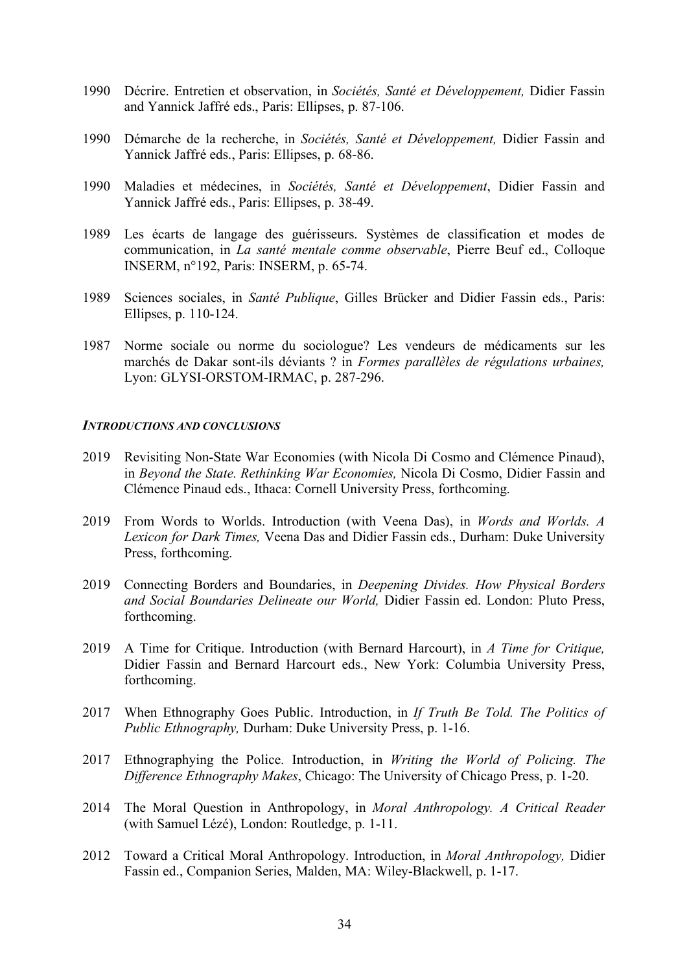- 1990 Décrire. Entretien et observation, in *Sociétés, Santé et Développement,* Didier Fassin and Yannick Jaffré eds., Paris: Ellipses, p. 87-106.
- 1990 Démarche de la recherche, in *Sociétés, Santé et Développement,* Didier Fassin and Yannick Jaffré eds., Paris: Ellipses, p. 68-86.
- 1990 Maladies et médecines, in *Sociétés, Santé et Développement*, Didier Fassin and Yannick Jaffré eds., Paris: Ellipses, p. 38-49.
- 1989 Les écarts de langage des guérisseurs. Systèmes de classification et modes de communication, in *La santé mentale comme observable*, Pierre Beuf ed., Colloque INSERM, n°192, Paris: INSERM, p. 65-74.
- 1989 Sciences sociales, in *Santé Publique*, Gilles Brücker and Didier Fassin eds., Paris: Ellipses, p. 110-124.
- 1987 Norme sociale ou norme du sociologue? Les vendeurs de médicaments sur les marchés de Dakar sont-ils déviants ? in *Formes parallèles de régulations urbaines,* Lyon: GLYSI-ORSTOM-IRMAC, p. 287-296.

### *INTRODUCTIONS AND CONCLUSIONS*

- 2019 Revisiting Non-State War Economies (with Nicola Di Cosmo and Clémence Pinaud), in *Beyond the State. Rethinking War Economies,* Nicola Di Cosmo, Didier Fassin and Clémence Pinaud eds., Ithaca: Cornell University Press, forthcoming.
- 2019 From Words to Worlds. Introduction (with Veena Das), in *Words and Worlds. A Lexicon for Dark Times,* Veena Das and Didier Fassin eds., Durham: Duke University Press, forthcoming.
- 2019 Connecting Borders and Boundaries, in *Deepening Divides. How Physical Borders and Social Boundaries Delineate our World,* Didier Fassin ed. London: Pluto Press, forthcoming.
- 2019 A Time for Critique. Introduction (with Bernard Harcourt), in *A Time for Critique,*  Didier Fassin and Bernard Harcourt eds., New York: Columbia University Press, forthcoming.
- 2017 When Ethnography Goes Public. Introduction, in *If Truth Be Told. The Politics of Public Ethnography,* Durham: Duke University Press, p. 1-16.
- 2017 Ethnographying the Police. Introduction, in *Writing the World of Policing. The Difference Ethnography Makes*, Chicago: The University of Chicago Press, p. 1-20.
- 2014 The Moral Question in Anthropology, in *Moral Anthropology. A Critical Reader* (with Samuel Lézé), London: Routledge, p. 1-11.
- 2012 Toward a Critical Moral Anthropology. Introduction, in *Moral Anthropology,* Didier Fassin ed., Companion Series, Malden, MA: Wiley-Blackwell, p. 1-17.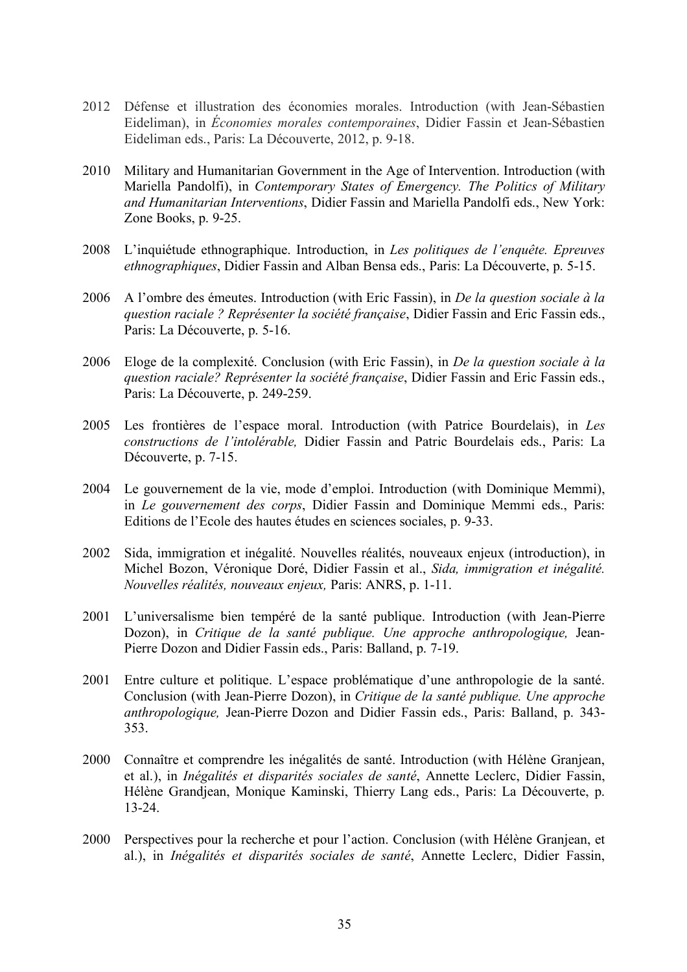- 2012 Défense et illustration des économies morales. Introduction (with Jean-Sébastien Eideliman), in *Économies morales contemporaines*, Didier Fassin et Jean-Sébastien Eideliman eds., Paris: La Découverte, 2012, p. 9-18.
- 2010 Military and Humanitarian Government in the Age of Intervention. Introduction (with Mariella Pandolfi), in *Contemporary States of Emergency. The Politics of Military and Humanitarian Interventions*, Didier Fassin and Mariella Pandolfi eds., New York: Zone Books, p. 9-25.
- 2008 L'inquiétude ethnographique. Introduction, in *Les politiques de l'enquête. Epreuves ethnographiques*, Didier Fassin and Alban Bensa eds., Paris: La Découverte, p. 5-15.
- 2006 A l'ombre des émeutes. Introduction (with Eric Fassin), in *De la question sociale à la question raciale ? Représenter la société française*, Didier Fassin and Eric Fassin eds., Paris: La Découverte, p. 5-16.
- 2006 Eloge de la complexité. Conclusion (with Eric Fassin), in *De la question sociale à la question raciale? Représenter la société française*, Didier Fassin and Eric Fassin eds., Paris: La Découverte, p. 249-259.
- 2005 Les frontières de l'espace moral. Introduction (with Patrice Bourdelais), in *Les constructions de l'intolérable,* Didier Fassin and Patric Bourdelais eds., Paris: La Découverte, p. 7-15.
- 2004 Le gouvernement de la vie, mode d'emploi. Introduction (with Dominique Memmi), in *Le gouvernement des corps*, Didier Fassin and Dominique Memmi eds., Paris: Editions de l'Ecole des hautes études en sciences sociales, p. 9-33.
- 2002 Sida, immigration et inégalité. Nouvelles réalités, nouveaux enjeux (introduction), in Michel Bozon, Véronique Doré, Didier Fassin et al., *Sida, immigration et inégalité. Nouvelles réalités, nouveaux enjeux,* Paris: ANRS, p. 1-11.
- 2001 L'universalisme bien tempéré de la santé publique. Introduction (with Jean-Pierre Dozon), in *Critique de la santé publique. Une approche anthropologique,* Jean-Pierre Dozon and Didier Fassin eds., Paris: Balland, p. 7-19.
- 2001 Entre culture et politique. L'espace problématique d'une anthropologie de la santé. Conclusion (with Jean-Pierre Dozon), in *Critique de la santé publique. Une approche anthropologique,* Jean-Pierre Dozon and Didier Fassin eds., Paris: Balland, p. 343- 353.
- 2000 Connaître et comprendre les inégalités de santé. Introduction (with Hélène Granjean, et al.), in *Inégalités et disparités sociales de santé*, Annette Leclerc, Didier Fassin, Hélène Grandjean, Monique Kaminski, Thierry Lang eds., Paris: La Découverte, p. 13-24.
- 2000 Perspectives pour la recherche et pour l'action. Conclusion (with Hélène Granjean, et al.), in *Inégalités et disparités sociales de santé*, Annette Leclerc, Didier Fassin,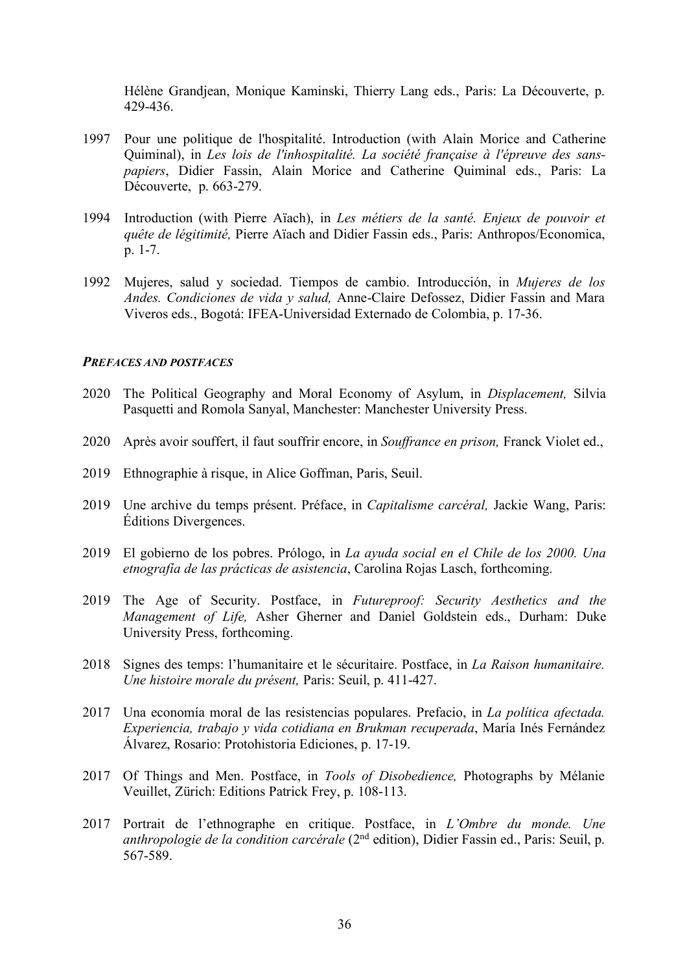Hélène Grandjean, Monique Kaminski, Thierry Lang eds., Paris: La Découverte, p. 429-436.

- 1997 Pour une politique de l'hospitalité. Introduction (with Alain Morice and Catherine Quiminal), in *Les lois de l'inhospitalité. La société française à l'épreuve des sanspapiers*, Didier Fassin, Alain Morice and Catherine Quiminal eds., Paris: La Découverte, p. 663-279.
- 1994 Introduction (with Pierre Aïach), in *Les métiers de la santé. Enjeux de pouvoir et quête de légitimité,* Pierre Aïach and Didier Fassin eds., Paris: Anthropos/Economica, p. 1-7.
- 1992 Mujeres, salud y sociedad. Tiempos de cambio. Introducción, in *Mujeres de los Andes. Condiciones de vida y salud,* Anne-Claire Defossez, Didier Fassin and Mara Viveros eds., Bogotá: IFEA-Universidad Externado de Colombia, p. 17-36.

#### *PREFACES AND POSTFACES*

- 2020 The Political Geography and Moral Economy of Asylum, in *Displacement,* Silvia Pasquetti and Romola Sanyal, Manchester: Manchester University Press.
- 2020 Après avoir souffert, il faut souffrir encore, in *Souffrance en prison,* Franck Violet ed.,
- 2019 Ethnographie à risque, in Alice Goffman, Paris, Seuil.
- 2019 Une archive du temps présent. Préface, in *Capitalisme carcéral,* Jackie Wang, Paris: Éditions Divergences.
- 2019 El gobierno de los pobres. Prólogo, in *La ayuda social en el Chile de los 2000. Una etnografía de las prácticas de asistencia*, Carolina Rojas Lasch, forthcoming.
- 2019 The Age of Security. Postface, in *Futureproof: Security Aesthetics and the Management of Life,* Asher Gherner and Daniel Goldstein eds., Durham: Duke University Press, forthcoming.
- 2018 Signes des temps: l'humanitaire et le sécuritaire. Postface, in *La Raison humanitaire. Une histoire morale du présent,* Paris: Seuil, p. 411-427.
- 2017 Una economía moral de las resistencias populares. Prefacio, in *La política afectada. Experiencia, trabajo y vida cotidiana en Brukman recuperada*, María Inés Fernández Álvarez, Rosario: Protohistoria Ediciones, p. 17-19.
- 2017 Of Things and Men. Postface, in *Tools of Disobedience,* Photographs by Mélanie Veuillet, Zürich: Editions Patrick Frey, p. 108-113.
- 2017 Portrait de l'ethnographe en critique. Postface, in *L'Ombre du monde. Une anthropologie de la condition carcérale* (2<sup>nd</sup> edition), Didier Fassin ed., Paris: Seuil, p. 567-589.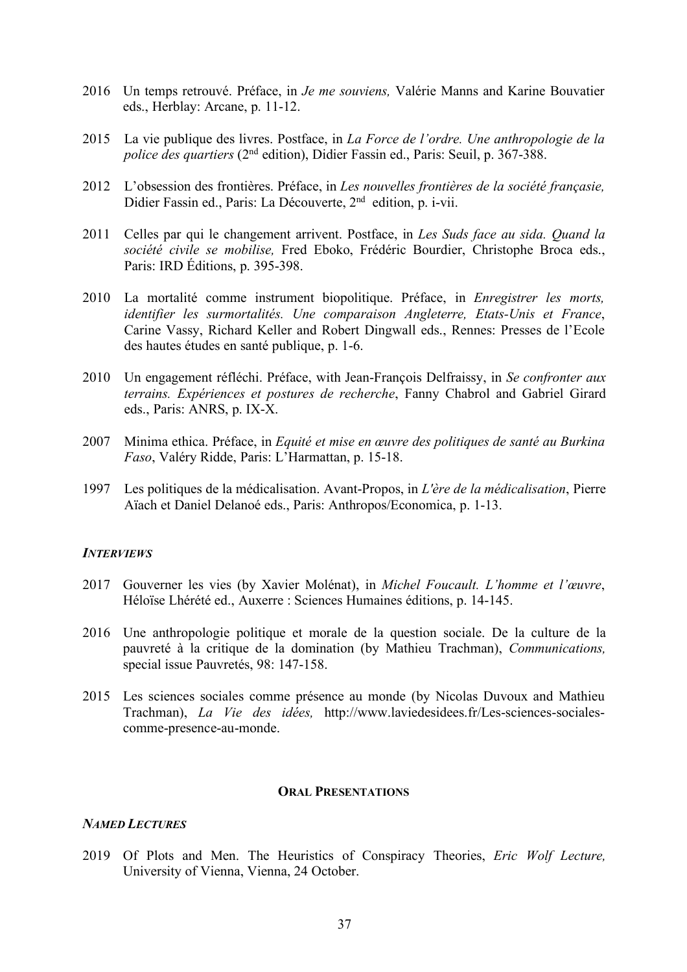- 2016 Un temps retrouvé. Préface, in *Je me souviens,* Valérie Manns and Karine Bouvatier eds., Herblay: Arcane, p. 11-12.
- 2015 La vie publique des livres. Postface, in *La Force de l'ordre. Une anthropologie de la police des quartiers* (2<sup>nd</sup> edition), Didier Fassin ed., Paris: Seuil, p. 367-388.
- 2012 L'obsession des frontières. Préface, in *Les nouvelles frontières de la société françasie,* Didier Fassin ed., Paris: La Découverte, 2nd edition, p. i-vii.
- 2011 Celles par qui le changement arrivent. Postface, in *Les Suds face au sida. Quand la société civile se mobilise,* Fred Eboko, Frédéric Bourdier, Christophe Broca eds., Paris: IRD Éditions, p. 395-398.
- 2010 La mortalité comme instrument biopolitique. Préface, in *Enregistrer les morts, identifier les surmortalités. Une comparaison Angleterre, Etats-Unis et France*, Carine Vassy, Richard Keller and Robert Dingwall eds., Rennes: Presses de l'Ecole des hautes études en santé publique, p. 1-6.
- 2010 Un engagement réfléchi. Préface, with Jean-François Delfraissy, in *Se confronter aux terrains. Expériences et postures de recherche*, Fanny Chabrol and Gabriel Girard eds., Paris: ANRS, p. IX-X.
- 2007 Minima ethica. Préface, in *Equité et mise en œuvre des politiques de santé au Burkina Faso*, Valéry Ridde, Paris: L'Harmattan, p. 15-18.
- 1997 Les politiques de la médicalisation. Avant-Propos, in *L'ère de la médicalisation*, Pierre Aïach et Daniel Delanoé eds., Paris: Anthropos/Economica, p. 1-13.

### *INTERVIEWS*

- 2017 Gouverner les vies (by Xavier Molénat), in *Michel Foucault. L'homme et l'œuvre*, Héloïse Lhérété ed., Auxerre : Sciences Humaines éditions, p. 14-145.
- 2016 Une anthropologie politique et morale de la question sociale. De la culture de la pauvreté à la critique de la domination (by Mathieu Trachman), *Communications,* special issue Pauvretés, 98: 147-158.
- 2015 Les sciences sociales comme présence au monde (by Nicolas Duvoux and Mathieu Trachman), *La Vie des idées,* http://www.laviedesidees.fr/Les-sciences-socialescomme-presence-au-monde.

### **ORAL PRESENTATIONS**

# *NAMED LECTURES*

2019 Of Plots and Men. The Heuristics of Conspiracy Theories, *Eric Wolf Lecture,* University of Vienna, Vienna, 24 October.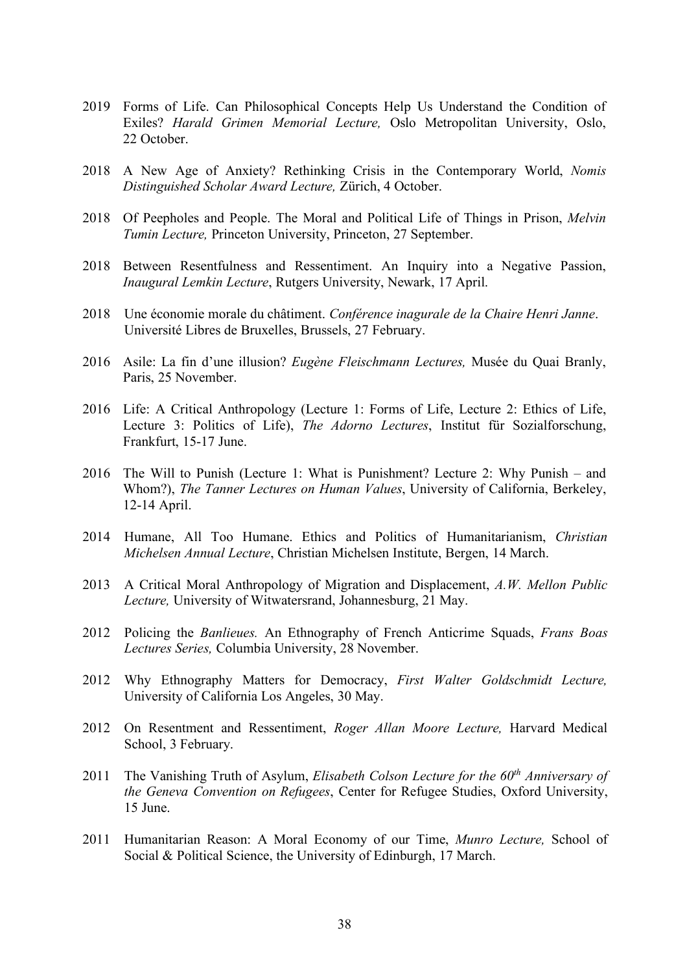- 2019 Forms of Life. Can Philosophical Concepts Help Us Understand the Condition of Exiles? *Harald Grimen Memorial Lecture,* Oslo Metropolitan University, Oslo, 22 October.
- 2018 A New Age of Anxiety? Rethinking Crisis in the Contemporary World, *Nomis Distinguished Scholar Award Lecture,* Zürich, 4 October.
- 2018 Of Peepholes and People. The Moral and Political Life of Things in Prison, *Melvin Tumin Lecture,* Princeton University, Princeton, 27 September.
- 2018 Between Resentfulness and Ressentiment. An Inquiry into a Negative Passion, *Inaugural Lemkin Lecture*, Rutgers University, Newark, 17 April.
- 2018 Une économie morale du châtiment. *Conférence inagurale de la Chaire Henri Janne*. Université Libres de Bruxelles, Brussels, 27 February.
- 2016 Asile: La fin d'une illusion? *Eugène Fleischmann Lectures,* Musée du Quai Branly, Paris, 25 November.
- 2016 Life: A Critical Anthropology (Lecture 1: Forms of Life, Lecture 2: Ethics of Life, Lecture 3: Politics of Life), *The Adorno Lectures*, Institut für Sozialforschung, Frankfurt, 15-17 June.
- 2016 The Will to Punish (Lecture 1: What is Punishment? Lecture 2: Why Punish and Whom?), *The Tanner Lectures on Human Values*, University of California, Berkeley, 12-14 April.
- 2014 Humane, All Too Humane. Ethics and Politics of Humanitarianism, *Christian Michelsen Annual Lecture*, Christian Michelsen Institute, Bergen, 14 March.
- 2013 A Critical Moral Anthropology of Migration and Displacement, *A.W. Mellon Public Lecture,* University of Witwatersrand, Johannesburg, 21 May.
- 2012 Policing the *Banlieues.* An Ethnography of French Anticrime Squads, *Frans Boas Lectures Series,* Columbia University, 28 November.
- 2012 Why Ethnography Matters for Democracy, *First Walter Goldschmidt Lecture,* University of California Los Angeles, 30 May.
- 2012 On Resentment and Ressentiment, *Roger Allan Moore Lecture,* Harvard Medical School, 3 February.
- 2011 The Vanishing Truth of Asylum, *Elisabeth Colson Lecture for the 60th Anniversary of the Geneva Convention on Refugees*, Center for Refugee Studies, Oxford University, 15 June.
- 2011 Humanitarian Reason: A Moral Economy of our Time, *Munro Lecture,* School of Social & Political Science, the University of Edinburgh, 17 March.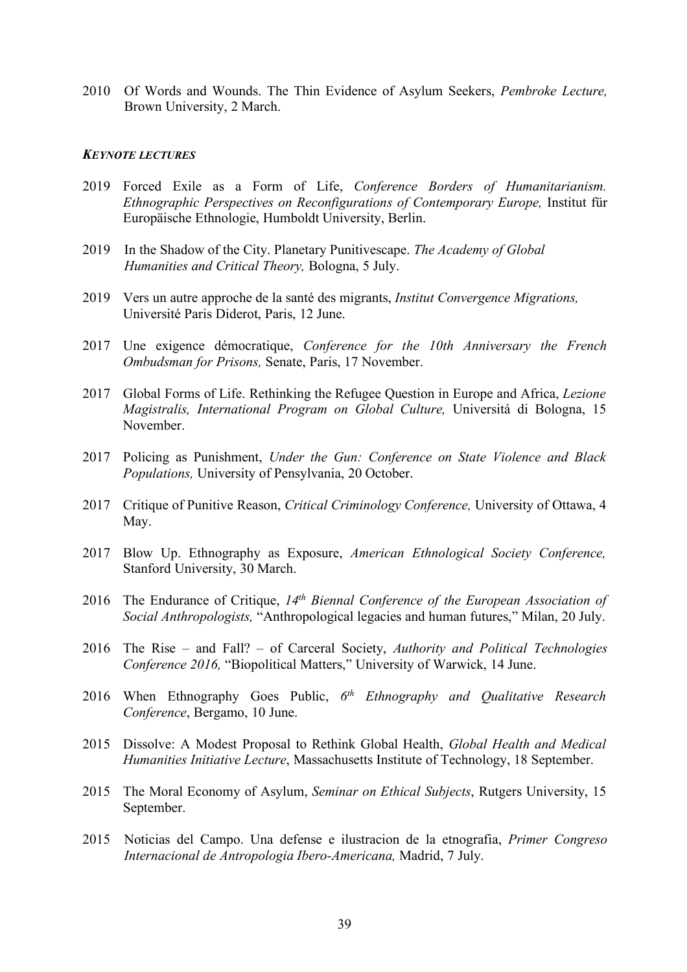2010 Of Words and Wounds. The Thin Evidence of Asylum Seekers, *Pembroke Lecture,* Brown University, 2 March.

#### *KEYNOTE LECTURES*

- 2019 Forced Exile as a Form of Life, *Conference Borders of Humanitarianism. Ethnographic Perspectives on Reconfigurations of Contemporary Europe,* Institut für Europäische Ethnologie, Humboldt University, Berlin.
- 2019 In the Shadow of the City. Planetary Punitivescape. *The Academy of Global Humanities and Critical Theory,* Bologna, 5 July.
- 2019 Vers un autre approche de la santé des migrants, *Institut Convergence Migrations,* Université Paris Diderot, Paris, 12 June.
- 2017 Une exigence démocratique, *Conference for the 10th Anniversary the French Ombudsman for Prisons,* Senate, Paris, 17 November.
- 2017 Global Forms of Life. Rethinking the Refugee Question in Europe and Africa, *Lezione Magistralis, International Program on Global Culture,* Universitá di Bologna, 15 November.
- 2017 Policing as Punishment, *Under the Gun: Conference on State Violence and Black Populations,* University of Pensylvania, 20 October.
- 2017 Critique of Punitive Reason, *Critical Criminology Conference,* University of Ottawa, 4 May.
- 2017 Blow Up. Ethnography as Exposure, *American Ethnological Society Conference,*  Stanford University, 30 March.
- 2016 The Endurance of Critique, *14th Biennal Conference of the European Association of Social Anthropologists,* "Anthropological legacies and human futures," Milan, 20 July.
- 2016 The Rise and Fall? of Carceral Society, *Authority and Political Technologies Conference 2016,* "Biopolitical Matters," University of Warwick, 14 June.
- 2016 When Ethnography Goes Public, *6th Ethnography and Qualitative Research Conference*, Bergamo, 10 June.
- 2015 Dissolve: A Modest Proposal to Rethink Global Health, *Global Health and Medical Humanities Initiative Lecture*, Massachusetts Institute of Technology, 18 September.
- 2015 The Moral Economy of Asylum, *Seminar on Ethical Subjects*, Rutgers University, 15 September.
- 2015 Noticias del Campo. Una defense e ilustracion de la etnografia, *Primer Congreso Internacional de Antropologia Ibero-Americana,* Madrid, 7 July.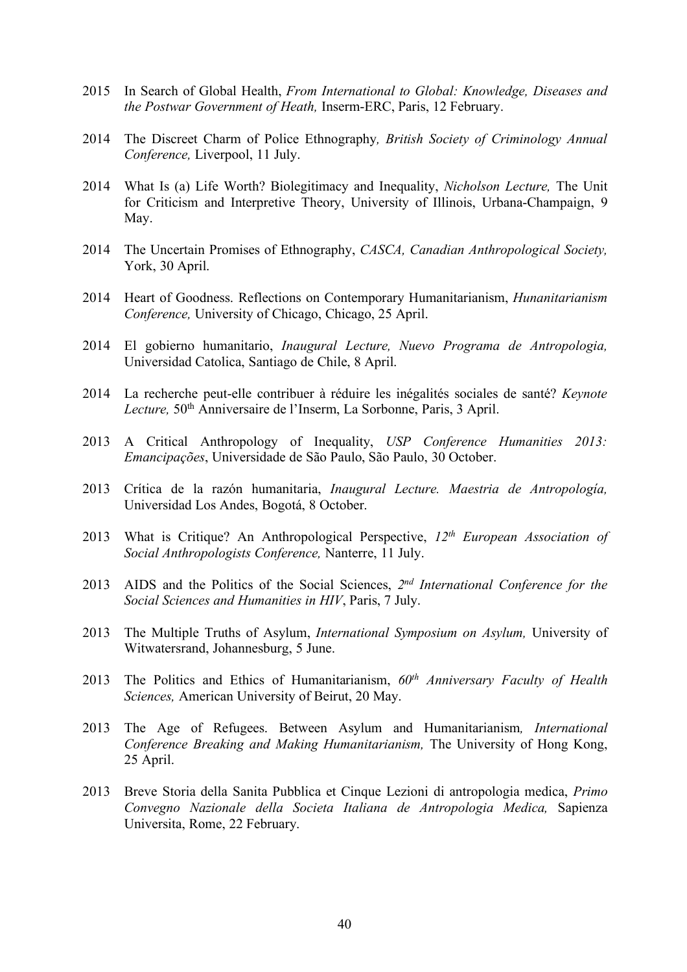- 2015 In Search of Global Health, *From International to Global: Knowledge, Diseases and the Postwar Government of Heath,* Inserm-ERC, Paris, 12 February.
- 2014 The Discreet Charm of Police Ethnography*, British Society of Criminology Annual Conference,* Liverpool, 11 July.
- 2014 What Is (a) Life Worth? Biolegitimacy and Inequality, *Nicholson Lecture,* The Unit for Criticism and Interpretive Theory, University of Illinois, Urbana-Champaign, 9 May.
- 2014 The Uncertain Promises of Ethnography, *CASCA, Canadian Anthropological Society,* York, 30 April.
- 2014 Heart of Goodness. Reflections on Contemporary Humanitarianism, *Hunanitarianism Conference,* University of Chicago, Chicago, 25 April.
- 2014 El gobierno humanitario, *Inaugural Lecture, Nuevo Programa de Antropologia,* Universidad Catolica, Santiago de Chile, 8 April.
- 2014 La recherche peut-elle contribuer à réduire les inégalités sociales de santé? *Keynote*  Lecture, 50<sup>th</sup> Anniversaire de l'Inserm, La Sorbonne, Paris, 3 April.
- 2013 A Critical Anthropology of Inequality, *USP Conference Humanities 2013: Emancipações*, Universidade de São Paulo, São Paulo, 30 October.
- 2013 Crítica de la razón humanitaria, *Inaugural Lecture. Maestria de Antropología,* Universidad Los Andes, Bogotá, 8 October.
- 2013 What is Critique? An Anthropological Perspective, *12th European Association of Social Anthropologists Conference,* Nanterre, 11 July.
- 2013 AIDS and the Politics of the Social Sciences, *2nd International Conference for the Social Sciences and Humanities in HIV*, Paris, 7 July.
- 2013 The Multiple Truths of Asylum, *International Symposium on Asylum,* University of Witwatersrand, Johannesburg, 5 June.
- 2013 The Politics and Ethics of Humanitarianism, *60th Anniversary Faculty of Health Sciences,* American University of Beirut, 20 May.
- 2013 The Age of Refugees. Between Asylum and Humanitarianism*, International Conference Breaking and Making Humanitarianism,* The University of Hong Kong, 25 April.
- 2013 Breve Storia della Sanita Pubblica et Cinque Lezioni di antropologia medica, *Primo Convegno Nazionale della Societa Italiana de Antropologia Medica,* Sapienza Universita, Rome, 22 February.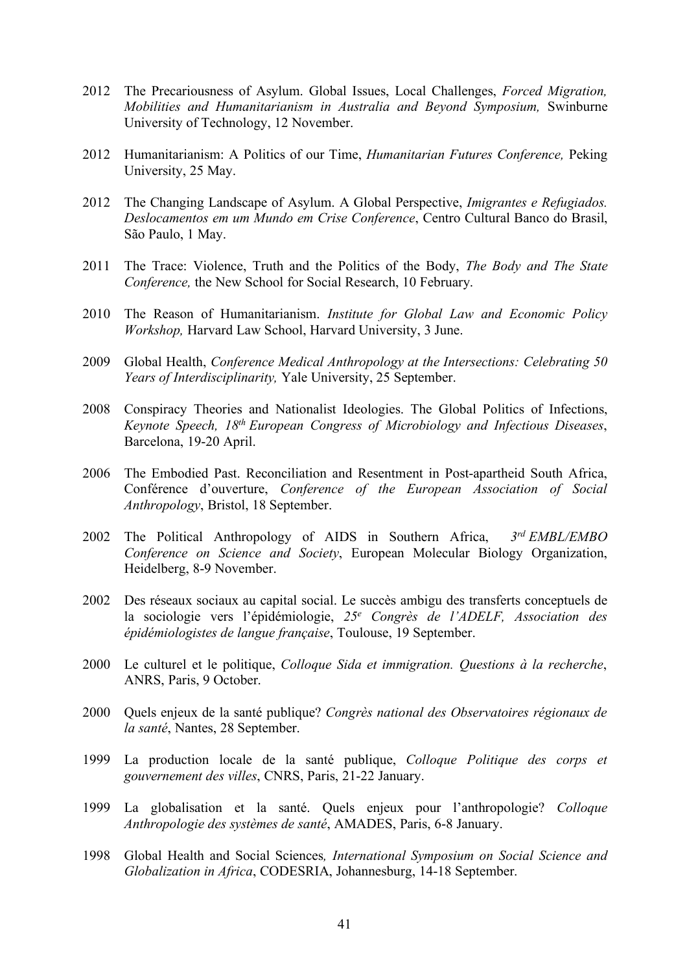- 2012 The Precariousness of Asylum. Global Issues, Local Challenges, *Forced Migration, Mobilities and Humanitarianism in Australia and Beyond Symposium,* Swinburne University of Technology, 12 November.
- 2012 Humanitarianism: A Politics of our Time, *Humanitarian Futures Conference,* Peking University, 25 May.
- 2012 The Changing Landscape of Asylum. A Global Perspective, *Imigrantes e Refugiados. Deslocamentos em um Mundo em Crise Conference*, Centro Cultural Banco do Brasil, São Paulo, 1 May.
- 2011 The Trace: Violence, Truth and the Politics of the Body, *The Body and The State Conference,* the New School for Social Research, 10 February.
- 2010 The Reason of Humanitarianism. *Institute for Global Law and Economic Policy Workshop,* Harvard Law School, Harvard University, 3 June.
- 2009 Global Health, *Conference Medical Anthropology at the Intersections: Celebrating 50 Years of Interdisciplinarity,* Yale University, 25 September.
- 2008 Conspiracy Theories and Nationalist Ideologies. The Global Politics of Infections, *Keynote Speech, 18th European Congress of Microbiology and Infectious Diseases*, Barcelona, 19-20 April.
- 2006 The Embodied Past. Reconciliation and Resentment in Post-apartheid South Africa, Conférence d'ouverture, *Conference of the European Association of Social Anthropology*, Bristol, 18 September.
- 2002 The Political Anthropology of AIDS in Southern Africa, *3rd EMBL/EMBO Conference on Science and Society*, European Molecular Biology Organization, Heidelberg, 8-9 November.
- 2002 Des réseaux sociaux au capital social. Le succès ambigu des transferts conceptuels de la sociologie vers l'épidémiologie, *25e Congrès de l'ADELF, Association des épidémiologistes de langue française*, Toulouse, 19 September.
- 2000 Le culturel et le politique, *Colloque Sida et immigration. Questions à la recherche*, ANRS, Paris, 9 October.
- 2000 Quels enjeux de la santé publique? *Congrès national des Observatoires régionaux de la santé*, Nantes, 28 September.
- 1999 La production locale de la santé publique, *Colloque Politique des corps et gouvernement des villes*, CNRS, Paris, 21-22 January.
- 1999 La globalisation et la santé. Quels enjeux pour l'anthropologie? *Colloque Anthropologie des systèmes de santé*, AMADES, Paris, 6-8 January.
- 1998 Global Health and Social Sciences*, International Symposium on Social Science and Globalization in Africa*, CODESRIA, Johannesburg, 14-18 September.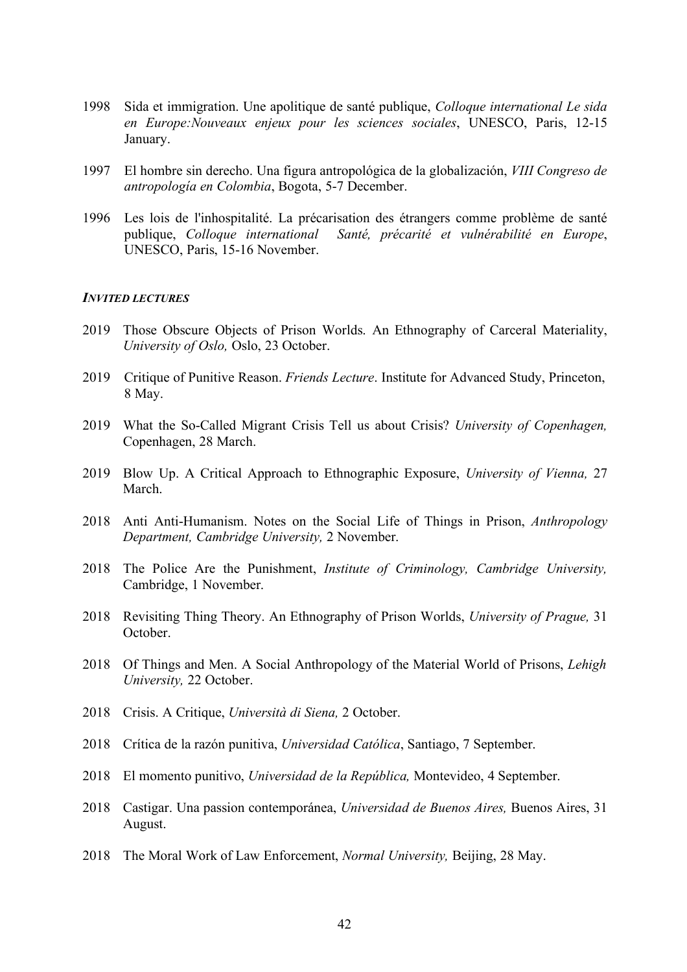- 1998 Sida et immigration. Une apolitique de santé publique, *Colloque international Le sida en Europe:Nouveaux enjeux pour les sciences sociales*, UNESCO, Paris, 12-15 January.
- 1997 El hombre sin derecho. Una figura antropológica de la globalización, *VIII Congreso de antropología en Colombia*, Bogota, 5-7 December.
- 1996 Les lois de l'inhospitalité. La précarisation des étrangers comme problème de santé publique, *Colloque international Santé, précarité et vulnérabilité en Europe*, UNESCO, Paris, 15-16 November.

### *INVITED LECTURES*

- 2019 Those Obscure Objects of Prison Worlds. An Ethnography of Carceral Materiality, *University of Oslo,* Oslo, 23 October.
- 2019 Critique of Punitive Reason. *Friends Lecture*. Institute for Advanced Study, Princeton, 8 May.
- 2019 What the So-Called Migrant Crisis Tell us about Crisis? *University of Copenhagen,* Copenhagen, 28 March.
- 2019 Blow Up. A Critical Approach to Ethnographic Exposure, *University of Vienna,* 27 March.
- 2018 Anti Anti-Humanism. Notes on the Social Life of Things in Prison, *Anthropology Department, Cambridge University,* 2 November.
- 2018 The Police Are the Punishment, *Institute of Criminology, Cambridge University,* Cambridge, 1 November.
- 2018 Revisiting Thing Theory. An Ethnography of Prison Worlds, *University of Prague,* 31 October.
- 2018 Of Things and Men. A Social Anthropology of the Material World of Prisons, *Lehigh University,* 22 October.
- 2018 Crisis. A Critique, *Università di Siena,* 2 October.
- 2018 Crítica de la razón punitiva, *Universidad Católica*, Santiago, 7 September.
- 2018 El momento punitivo, *Universidad de la República,* Montevideo, 4 September.
- 2018 Castigar. Una passion contemporánea, *Universidad de Buenos Aires,* Buenos Aires, 31 August.
- 2018 The Moral Work of Law Enforcement, *Normal University,* Beijing, 28 May.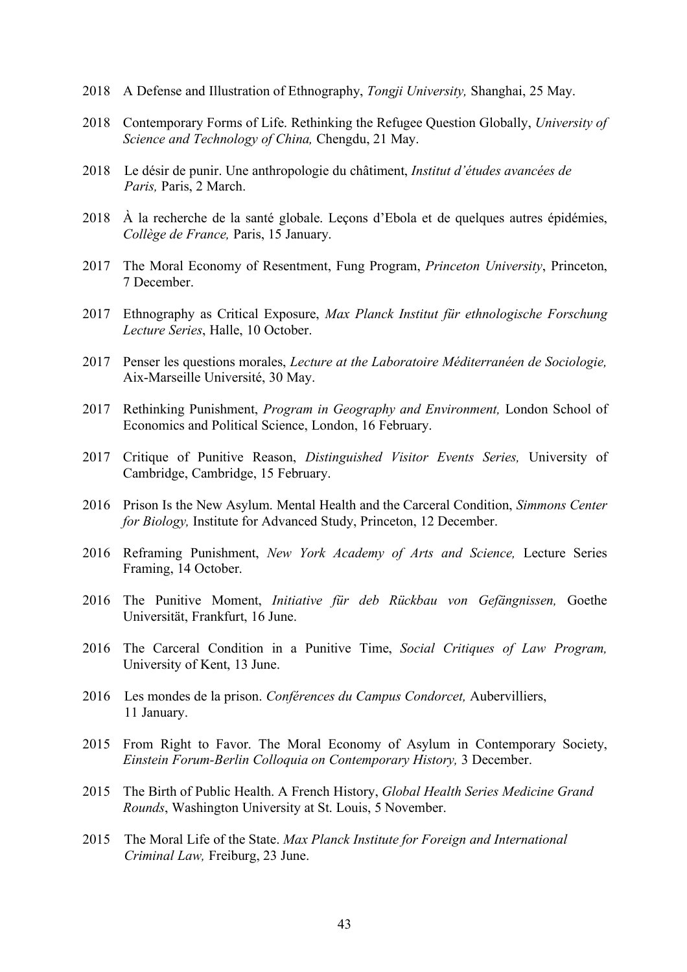- 2018 A Defense and Illustration of Ethnography, *Tongji University,* Shanghai, 25 May.
- 2018 Contemporary Forms of Life. Rethinking the Refugee Question Globally, *University of Science and Technology of China,* Chengdu, 21 May.
- 2018 Le désir de punir. Une anthropologie du châtiment, *Institut d'études avancées de Paris,* Paris, 2 March.
- 2018 À la recherche de la santé globale. Leçons d'Ebola et de quelques autres épidémies, *Collège de France,* Paris, 15 January.
- 2017 The Moral Economy of Resentment, Fung Program, *Princeton University*, Princeton, 7 December.
- 2017 Ethnography as Critical Exposure, *Max Planck Institut für ethnologische Forschung Lecture Series*, Halle, 10 October.
- 2017 Penser les questions morales, *Lecture at the Laboratoire Méditerranéen de Sociologie,*  Aix-Marseille Université, 30 May.
- 2017 Rethinking Punishment, *Program in Geography and Environment,* London School of Economics and Political Science, London, 16 February.
- 2017 Critique of Punitive Reason, *Distinguished Visitor Events Series,* University of Cambridge, Cambridge, 15 February.
- 2016 Prison Is the New Asylum. Mental Health and the Carceral Condition, *Simmons Center for Biology,* Institute for Advanced Study, Princeton, 12 December.
- 2016 Reframing Punishment, *New York Academy of Arts and Science,* Lecture Series Framing, 14 October.
- 2016 The Punitive Moment, *Initiative für deb Rückbau von Gefängnissen,* Goethe Universität, Frankfurt, 16 June.
- 2016 The Carceral Condition in a Punitive Time, *Social Critiques of Law Program,* University of Kent, 13 June.
- 2016 Les mondes de la prison. *Conférences du Campus Condorcet,* Aubervilliers, 11 January.
- 2015 From Right to Favor. The Moral Economy of Asylum in Contemporary Society, *Einstein Forum-Berlin Colloquia on Contemporary History,* 3 December.
- 2015 The Birth of Public Health. A French History, *Global Health Series Medicine Grand Rounds*, Washington University at St. Louis, 5 November.
- 2015 The Moral Life of the State. *Max Planck Institute for Foreign and International Criminal Law,* Freiburg, 23 June.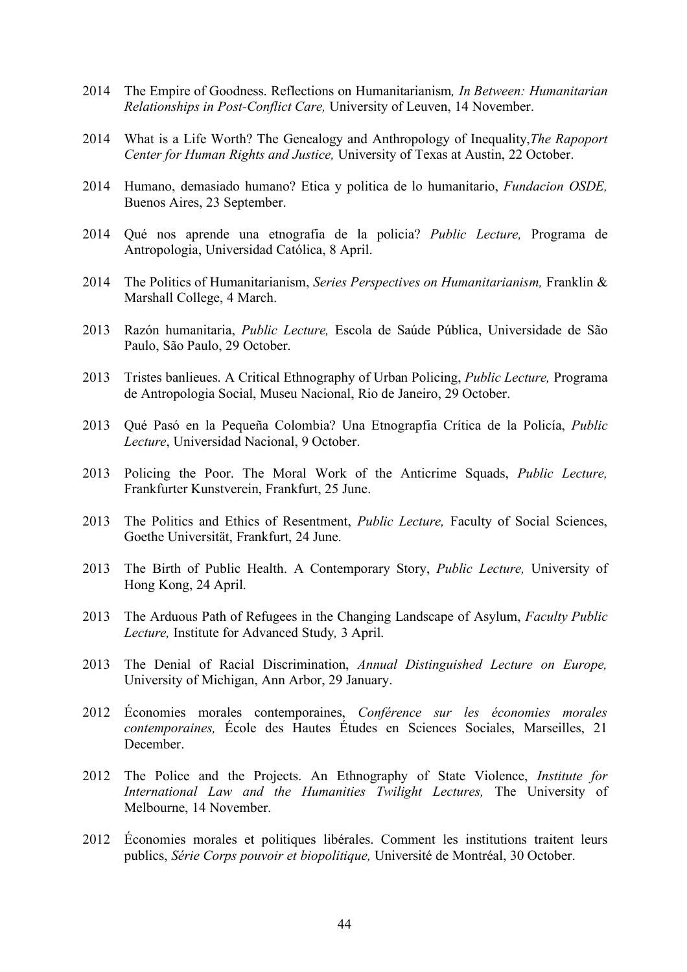- 2014 The Empire of Goodness. Reflections on Humanitarianism*, In Between: Humanitarian Relationships in Post-Conflict Care,* University of Leuven, 14 November.
- 2014 What is a Life Worth? The Genealogy and Anthropology of Inequality,*The Rapoport Center for Human Rights and Justice,* University of Texas at Austin, 22 October.
- 2014 Humano, demasiado humano? Etica y politica de lo humanitario, *Fundacion OSDE,* Buenos Aires, 23 September.
- 2014 Qué nos aprende una etnografia de la policia? *Public Lecture,* Programa de Antropologia, Universidad Católica, 8 April.
- 2014 The Politics of Humanitarianism, *Series Perspectives on Humanitarianism,* Franklin & Marshall College, 4 March.
- 2013 Razón humanitaria, *Public Lecture,* Escola de Saúde Pública, Universidade de São Paulo, São Paulo, 29 October.
- 2013 Tristes banlieues. A Critical Ethnography of Urban Policing, *Public Lecture,* Programa de Antropologia Social, Museu Nacional, Rio de Janeiro, 29 October.
- 2013 Qué Pasó en la Pequeña Colombia? Una Etnograpfia Crítica de la Policía, *Public Lecture*, Universidad Nacional, 9 October.
- 2013 Policing the Poor. The Moral Work of the Anticrime Squads, *Public Lecture,* Frankfurter Kunstverein, Frankfurt, 25 June.
- 2013 The Politics and Ethics of Resentment, *Public Lecture,* Faculty of Social Sciences, Goethe Universität, Frankfurt, 24 June.
- 2013 The Birth of Public Health. A Contemporary Story, *Public Lecture,* University of Hong Kong, 24 April.
- 2013 The Arduous Path of Refugees in the Changing Landscape of Asylum, *Faculty Public Lecture,* Institute for Advanced Study*,* 3 April.
- 2013 The Denial of Racial Discrimination, *Annual Distinguished Lecture on Europe,* University of Michigan, Ann Arbor, 29 January.
- 2012 Économies morales contemporaines, *Conférence sur les économies morales contemporaines,* École des Hautes Études en Sciences Sociales, Marseilles, 21 December.
- 2012 The Police and the Projects. An Ethnography of State Violence, *Institute for International Law and the Humanities Twilight Lectures,* The University of Melbourne, 14 November.
- 2012 Économies morales et politiques libérales. Comment les institutions traitent leurs publics, *Série Corps pouvoir et biopolitique,* Université de Montréal, 30 October.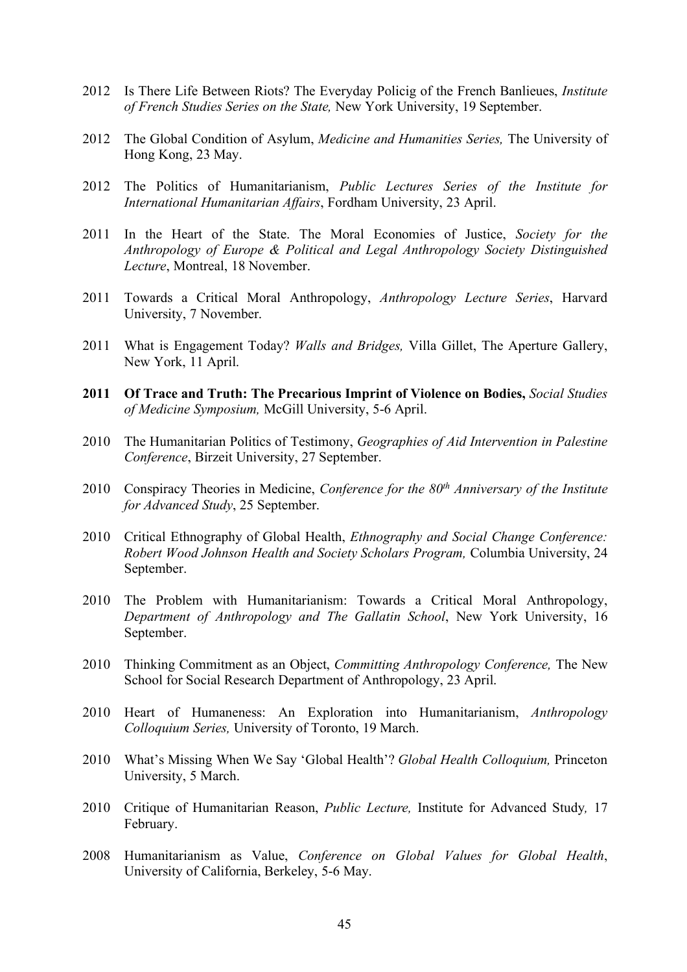- 2012 Is There Life Between Riots? The Everyday Policig of the French Banlieues, *Institute of French Studies Series on the State,* New York University, 19 September.
- 2012 The Global Condition of Asylum, *Medicine and Humanities Series,* The University of Hong Kong, 23 May.
- 2012 The Politics of Humanitarianism, *Public Lectures Series of the Institute for International Humanitarian Affairs*, Fordham University, 23 April.
- 2011 In the Heart of the State. The Moral Economies of Justice, *Society for the Anthropology of Europe & Political and Legal Anthropology Society Distinguished Lecture*, Montreal, 18 November.
- 2011 Towards a Critical Moral Anthropology, *Anthropology Lecture Series*, Harvard University, 7 November.
- 2011 What is Engagement Today? *Walls and Bridges,* Villa Gillet, The Aperture Gallery, New York, 11 April.
- **2011 Of Trace and Truth: The Precarious Imprint of Violence on Bodies,** *Social Studies of Medicine Symposium,* McGill University, 5-6 April.
- 2010 The Humanitarian Politics of Testimony, *Geographies of Aid Intervention in Palestine Conference*, Birzeit University, 27 September.
- 2010 Conspiracy Theories in Medicine, *Conference for the 80th Anniversary of the Institute for Advanced Study*, 25 September.
- 2010 Critical Ethnography of Global Health, *Ethnography and Social Change Conference: Robert Wood Johnson Health and Society Scholars Program,* Columbia University, 24 September.
- 2010 The Problem with Humanitarianism: Towards a Critical Moral Anthropology, *Department of Anthropology and The Gallatin School*, New York University, 16 September.
- 2010 Thinking Commitment as an Object, *Committing Anthropology Conference,* The New School for Social Research Department of Anthropology, 23 April.
- 2010 Heart of Humaneness: An Exploration into Humanitarianism, *Anthropology Colloquium Series,* University of Toronto, 19 March.
- 2010 What's Missing When We Say 'Global Health'? *Global Health Colloquium,* Princeton University, 5 March.
- 2010 Critique of Humanitarian Reason, *Public Lecture,* Institute for Advanced Study*,* 17 February.
- 2008 Humanitarianism as Value, *Conference on Global Values for Global Health*, University of California, Berkeley, 5-6 May.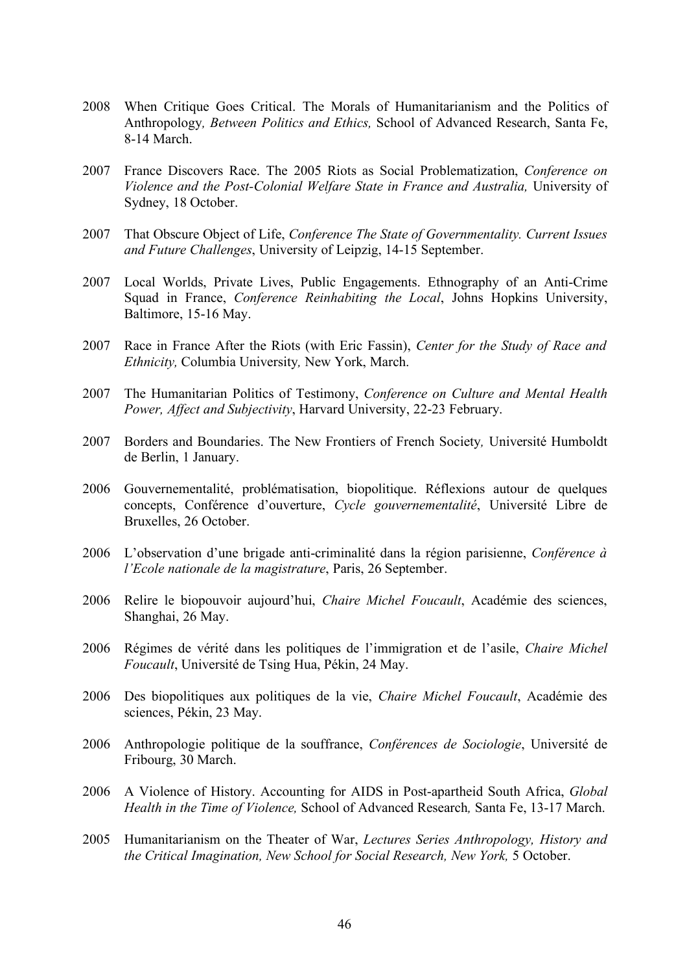- 2008 When Critique Goes Critical. The Morals of Humanitarianism and the Politics of Anthropology*, Between Politics and Ethics,* School of Advanced Research, Santa Fe, 8-14 March.
- 2007 France Discovers Race. The 2005 Riots as Social Problematization, *Conference on Violence and the Post-Colonial Welfare State in France and Australia,* University of Sydney, 18 October.
- 2007 That Obscure Object of Life, *Conference The State of Governmentality. Current Issues and Future Challenges*, University of Leipzig, 14-15 September.
- 2007 Local Worlds, Private Lives, Public Engagements. Ethnography of an Anti-Crime Squad in France, *Conference Reinhabiting the Local*, Johns Hopkins University, Baltimore, 15-16 May.
- 2007 Race in France After the Riots (with Eric Fassin), *Center for the Study of Race and Ethnicity,* Columbia University*,* New York, March.
- 2007 The Humanitarian Politics of Testimony, *Conference on Culture and Mental Health Power, Affect and Subjectivity*, Harvard University, 22-23 February.
- 2007 Borders and Boundaries. The New Frontiers of French Society*,* Université Humboldt de Berlin, 1 January.
- 2006 Gouvernementalité, problématisation, biopolitique. Réflexions autour de quelques concepts, Conférence d'ouverture, *Cycle gouvernementalité*, Université Libre de Bruxelles, 26 October.
- 2006 L'observation d'une brigade anti-criminalité dans la région parisienne, *Conférence à l'Ecole nationale de la magistrature*, Paris, 26 September.
- 2006 Relire le biopouvoir aujourd'hui, *Chaire Michel Foucault*, Académie des sciences, Shanghai, 26 May.
- 2006 Régimes de vérité dans les politiques de l'immigration et de l'asile, *Chaire Michel Foucault*, Université de Tsing Hua, Pékin, 24 May.
- 2006 Des biopolitiques aux politiques de la vie, *Chaire Michel Foucault*, Académie des sciences, Pékin, 23 May.
- 2006 Anthropologie politique de la souffrance, *Conférences de Sociologie*, Université de Fribourg, 30 March.
- 2006 A Violence of History. Accounting for AIDS in Post-apartheid South Africa, *Global Health in the Time of Violence,* School of Advanced Research*,* Santa Fe, 13-17 March.
- 2005 Humanitarianism on the Theater of War, *Lectures Series Anthropology, History and the Critical Imagination, New School for Social Research, New York,* 5 October.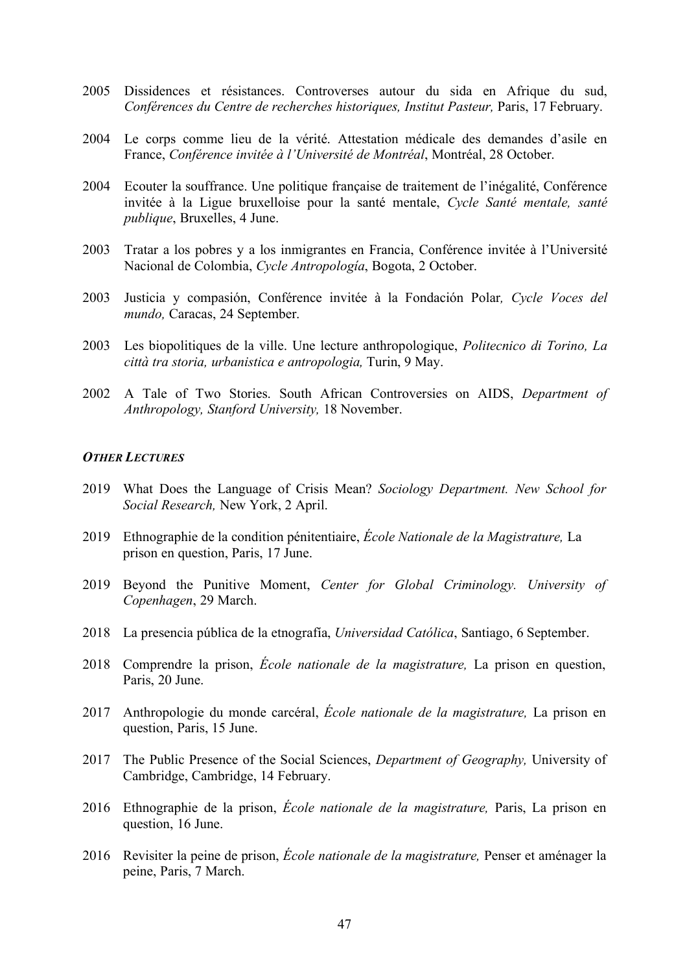- 2005 Dissidences et résistances. Controverses autour du sida en Afrique du sud, *Conférences du Centre de recherches historiques, Institut Pasteur,* Paris, 17 February.
- 2004 Le corps comme lieu de la vérité. Attestation médicale des demandes d'asile en France, *Conférence invitée à l'Université de Montréal*, Montréal, 28 October.
- 2004 Ecouter la souffrance. Une politique française de traitement de l'inégalité, Conférence invitée à la Ligue bruxelloise pour la santé mentale, *Cycle Santé mentale, santé publique*, Bruxelles, 4 June.
- 2003 Tratar a los pobres y a los inmigrantes en Francia, Conférence invitée à l'Université Nacional de Colombia, *Cycle Antropología*, Bogota, 2 October.
- 2003 Justicia y compasión, Conférence invitée à la Fondación Polar*, Cycle Voces del mundo,* Caracas, 24 September.
- 2003 Les biopolitiques de la ville. Une lecture anthropologique, *Politecnico di Torino, La città tra storia, urbanistica e antropologia,* Turin, 9 May.
- 2002 A Tale of Two Stories. South African Controversies on AIDS, *Department of Anthropology, Stanford University,* 18 November.

### *OTHER LECTURES*

- 2019 What Does the Language of Crisis Mean? *Sociology Department. New School for Social Research,* New York, 2 April.
- 2019 Ethnographie de la condition pénitentiaire, *École Nationale de la Magistrature,* La prison en question, Paris, 17 June.
- 2019 Beyond the Punitive Moment, *Center for Global Criminology. University of Copenhagen*, 29 March.
- 2018 La presencia pública de la etnografía, *Universidad Católica*, Santiago, 6 September.
- 2018 Comprendre la prison, *École nationale de la magistrature,* La prison en question, Paris, 20 June.
- 2017 Anthropologie du monde carcéral, *École nationale de la magistrature,* La prison en question, Paris, 15 June.
- 2017 The Public Presence of the Social Sciences, *Department of Geography,* University of Cambridge, Cambridge, 14 February.
- 2016 Ethnographie de la prison, *École nationale de la magistrature,* Paris, La prison en question, 16 June.
- 2016 Revisiter la peine de prison, *École nationale de la magistrature,* Penser et aménager la peine, Paris, 7 March.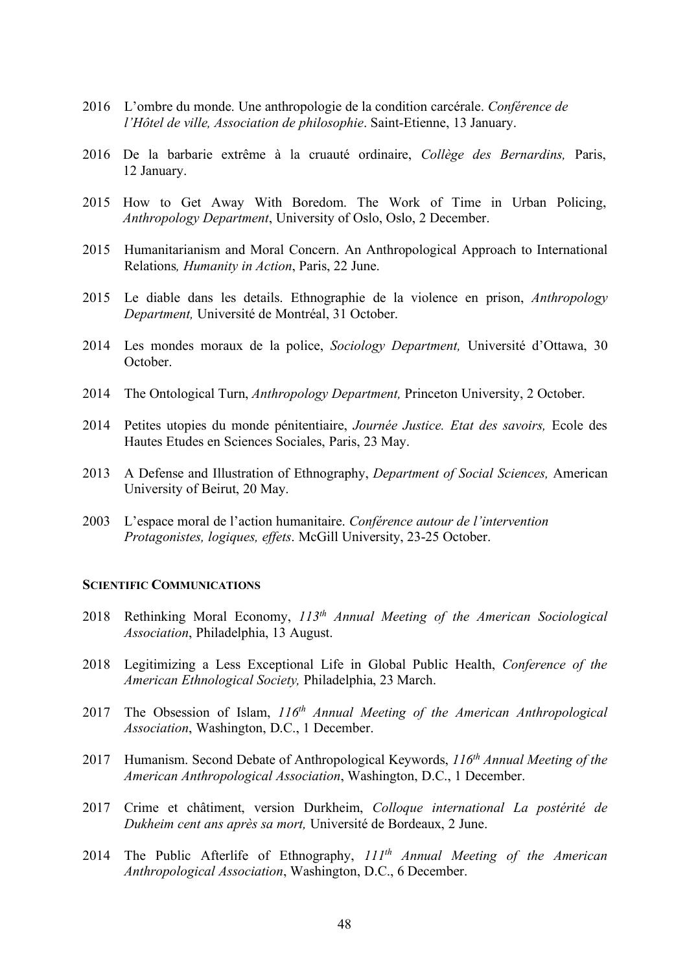- 2016 L'ombre du monde. Une anthropologie de la condition carcérale. *Conférence de l'Hôtel de ville, Association de philosophie*. Saint-Etienne, 13 January.
- 2016 De la barbarie extrême à la cruauté ordinaire, *Collège des Bernardins,* Paris, 12 January.
- 2015 How to Get Away With Boredom. The Work of Time in Urban Policing, *Anthropology Department*, University of Oslo, Oslo, 2 December.
- 2015 Humanitarianism and Moral Concern. An Anthropological Approach to International Relations*, Humanity in Action*, Paris, 22 June.
- 2015 Le diable dans les details. Ethnographie de la violence en prison, *Anthropology Department,* Université de Montréal, 31 October.
- 2014 Les mondes moraux de la police, *Sociology Department,* Université d'Ottawa, 30 October.
- 2014 The Ontological Turn, *Anthropology Department,* Princeton University, 2 October.
- 2014 Petites utopies du monde pénitentiaire, *Journée Justice. Etat des savoirs,* Ecole des Hautes Etudes en Sciences Sociales, Paris, 23 May.
- 2013 A Defense and Illustration of Ethnography, *Department of Social Sciences,* American University of Beirut, 20 May.
- 2003 L'espace moral de l'action humanitaire. *Conférence autour de l'intervention Protagonistes, logiques, effets*. McGill University, 23-25 October.

### **SCIENTIFIC COMMUNICATIONS**

- 2018 Rethinking Moral Economy, *113th Annual Meeting of the American Sociological Association*, Philadelphia, 13 August.
- 2018 Legitimizing a Less Exceptional Life in Global Public Health, *Conference of the American Ethnological Society,* Philadelphia, 23 March.
- 2017 The Obsession of Islam, *116th Annual Meeting of the American Anthropological Association*, Washington, D.C., 1 December.
- 2017 Humanism. Second Debate of Anthropological Keywords, *116th Annual Meeting of the American Anthropological Association*, Washington, D.C., 1 December.
- 2017 Crime et châtiment, version Durkheim, *Colloque international La postérité de Dukheim cent ans après sa mort,* Université de Bordeaux, 2 June.
- 2014 The Public Afterlife of Ethnography, *111th Annual Meeting of the American Anthropological Association*, Washington, D.C., 6 December.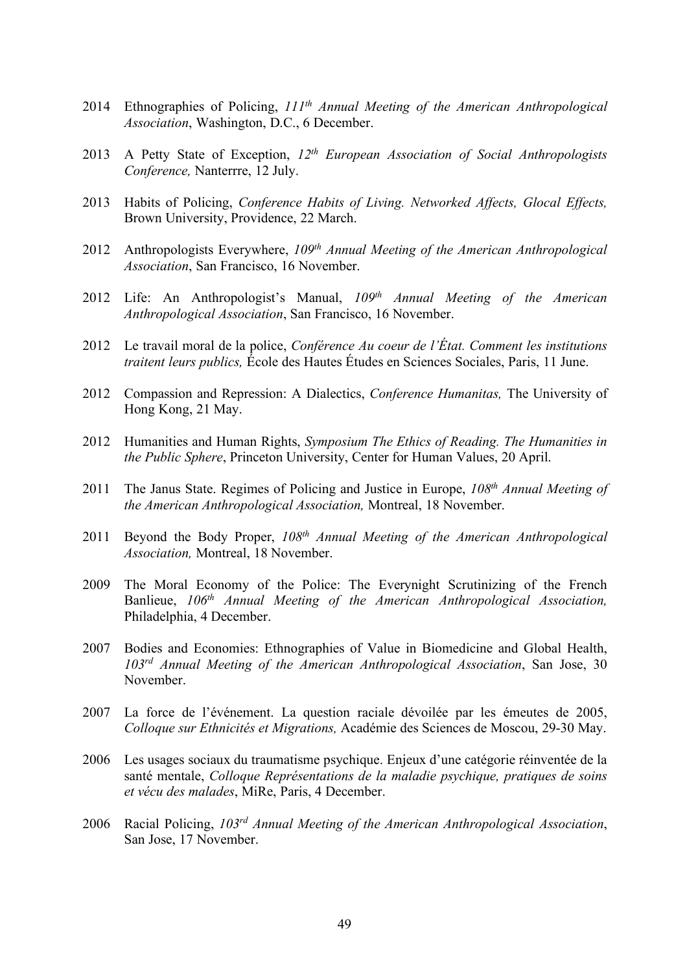- 2014 Ethnographies of Policing, *111th Annual Meeting of the American Anthropological Association*, Washington, D.C., 6 December.
- 2013 A Petty State of Exception, *12th European Association of Social Anthropologists Conference,* Nanterrre, 12 July.
- 2013 Habits of Policing, *Conference Habits of Living. Networked Affects, Glocal Effects,* Brown University, Providence, 22 March.
- 2012 Anthropologists Everywhere, *109th Annual Meeting of the American Anthropological Association*, San Francisco, 16 November.
- 2012 Life: An Anthropologist's Manual, *109th Annual Meeting of the American Anthropological Association*, San Francisco, 16 November.
- 2012 Le travail moral de la police, *Conférence Au coeur de l'État. Comment les institutions traitent leurs publics,* École des Hautes Études en Sciences Sociales, Paris, 11 June.
- 2012 Compassion and Repression: A Dialectics, *Conference Humanitas,* The University of Hong Kong, 21 May.
- 2012 Humanities and Human Rights, *Symposium The Ethics of Reading. The Humanities in the Public Sphere*, Princeton University, Center for Human Values, 20 April.
- 2011 The Janus State. Regimes of Policing and Justice in Europe, *108th Annual Meeting of the American Anthropological Association,* Montreal, 18 November.
- 2011 Beyond the Body Proper, *108th Annual Meeting of the American Anthropological Association,* Montreal, 18 November.
- 2009 The Moral Economy of the Police: The Everynight Scrutinizing of the French Banlieue, *106th Annual Meeting of the American Anthropological Association,* Philadelphia, 4 December.
- 2007 Bodies and Economies: Ethnographies of Value in Biomedicine and Global Health, *103rd Annual Meeting of the American Anthropological Association*, San Jose, 30 November.
- 2007 La force de l'événement. La question raciale dévoilée par les émeutes de 2005, *Colloque sur Ethnicités et Migrations,* Académie des Sciences de Moscou, 29-30 May.
- 2006 Les usages sociaux du traumatisme psychique. Enjeux d'une catégorie réinventée de la santé mentale, *Colloque Représentations de la maladie psychique, pratiques de soins et vécu des malades*, MiRe, Paris, 4 December.
- 2006 Racial Policing, *103rd Annual Meeting of the American Anthropological Association*, San Jose, 17 November.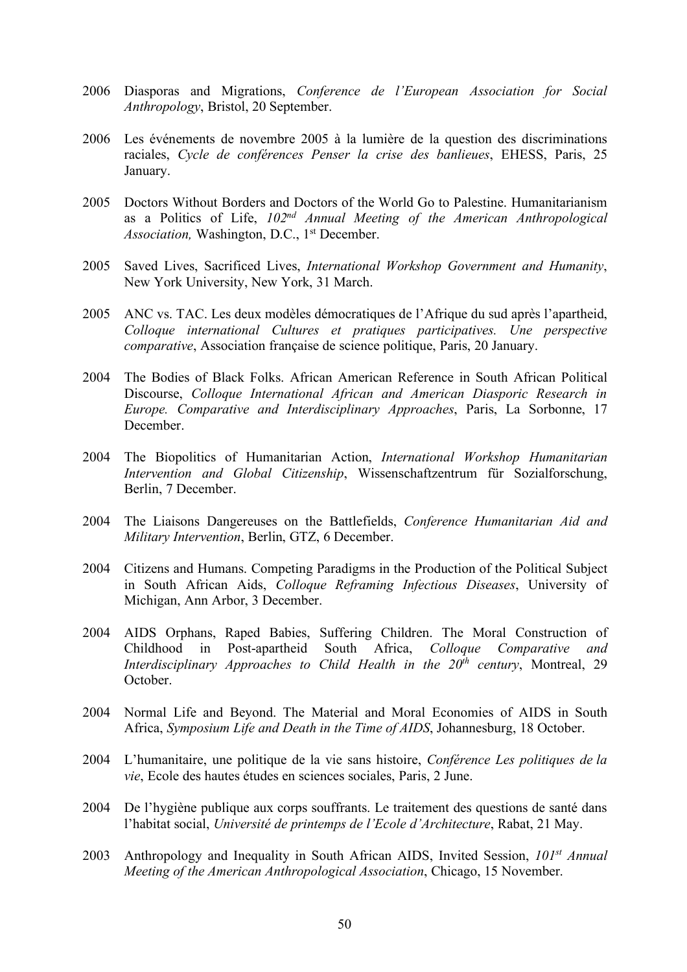- 2006 Diasporas and Migrations, *Conference de l'European Association for Social Anthropology*, Bristol, 20 September.
- 2006 Les événements de novembre 2005 à la lumière de la question des discriminations raciales, *Cycle de conférences Penser la crise des banlieues*, EHESS, Paris, 25 January.
- 2005 Doctors Without Borders and Doctors of the World Go to Palestine. Humanitarianism as a Politics of Life, *102nd Annual Meeting of the American Anthropological Association, Washington, D.C., 1<sup>st</sup> December.*
- 2005 Saved Lives, Sacrificed Lives, *International Workshop Government and Humanity*, New York University, New York, 31 March.
- 2005 ANC vs. TAC. Les deux modèles démocratiques de l'Afrique du sud après l'apartheid, *Colloque international Cultures et pratiques participatives. Une perspective comparative*, Association française de science politique, Paris, 20 January.
- 2004 The Bodies of Black Folks. African American Reference in South African Political Discourse, *Colloque International African and American Diasporic Research in Europe. Comparative and Interdisciplinary Approaches*, Paris, La Sorbonne, 17 December.
- 2004 The Biopolitics of Humanitarian Action, *International Workshop Humanitarian Intervention and Global Citizenship*, Wissenschaftzentrum für Sozialforschung, Berlin, 7 December.
- 2004 The Liaisons Dangereuses on the Battlefields, *Conference Humanitarian Aid and Military Intervention*, Berlin, GTZ, 6 December.
- 2004 Citizens and Humans. Competing Paradigms in the Production of the Political Subject in South African Aids, *Colloque Reframing Infectious Diseases*, University of Michigan, Ann Arbor, 3 December.
- 2004 AIDS Orphans, Raped Babies, Suffering Children. The Moral Construction of Childhood in Post-apartheid South Africa, *Colloque Comparative and Interdisciplinary Approaches to Child Health in the 20th century*, Montreal, 29 **October**
- 2004 Normal Life and Beyond. The Material and Moral Economies of AIDS in South Africa, *Symposium Life and Death in the Time of AIDS*, Johannesburg, 18 October.
- 2004 L'humanitaire, une politique de la vie sans histoire, *Conférence Les politiques de la vie*, Ecole des hautes études en sciences sociales, Paris, 2 June.
- 2004 De l'hygiène publique aux corps souffrants. Le traitement des questions de santé dans l'habitat social, *Université de printemps de l'Ecole d'Architecture*, Rabat, 21 May.
- 2003 Anthropology and Inequality in South African AIDS, Invited Session, *101st Annual Meeting of the American Anthropological Association*, Chicago, 15 November.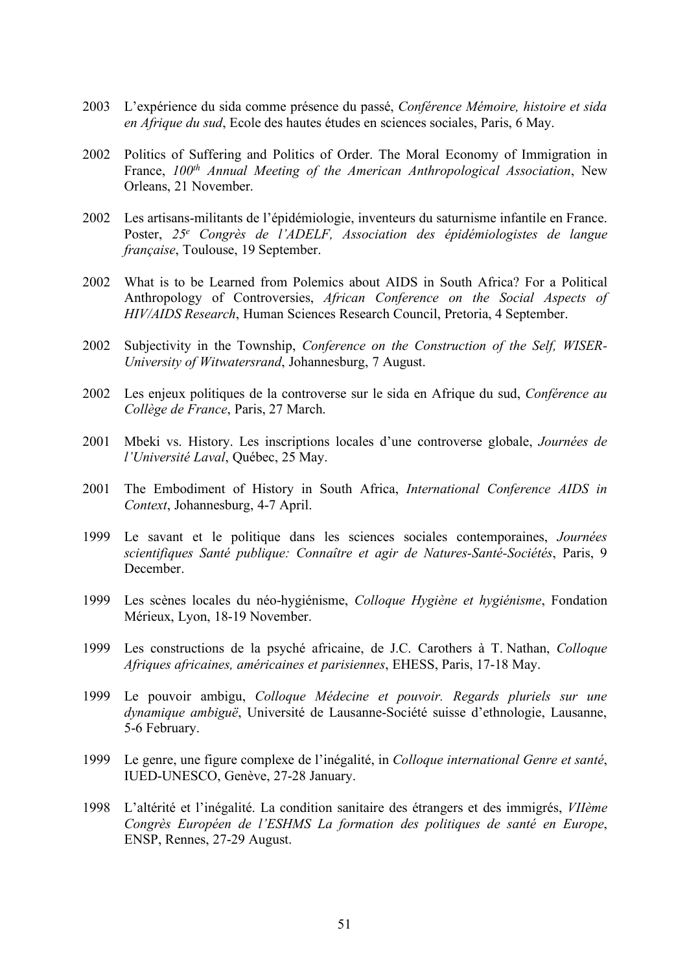- 2003 L'expérience du sida comme présence du passé, *Conférence Mémoire, histoire et sida en Afrique du sud*, Ecole des hautes études en sciences sociales, Paris, 6 May.
- 2002 Politics of Suffering and Politics of Order. The Moral Economy of Immigration in France, *100th Annual Meeting of the American Anthropological Association*, New Orleans, 21 November.
- 2002 Les artisans-militants de l'épidémiologie, inventeurs du saturnisme infantile en France. Poster, *25e Congrès de l'ADELF, Association des épidémiologistes de langue française*, Toulouse, 19 September.
- 2002 What is to be Learned from Polemics about AIDS in South Africa? For a Political Anthropology of Controversies, *African Conference on the Social Aspects of HIV/AIDS Research*, Human Sciences Research Council, Pretoria, 4 September.
- 2002 Subjectivity in the Township, *Conference on the Construction of the Self, WISER-University of Witwatersrand*, Johannesburg, 7 August.
- 2002 Les enjeux politiques de la controverse sur le sida en Afrique du sud, *Conférence au Collège de France*, Paris, 27 March.
- 2001 Mbeki vs. History. Les inscriptions locales d'une controverse globale, *Journées de l'Université Laval*, Québec, 25 May.
- 2001 The Embodiment of History in South Africa, *International Conference AIDS in Context*, Johannesburg, 4-7 April.
- 1999 Le savant et le politique dans les sciences sociales contemporaines, *Journées scientifiques Santé publique: Connaître et agir de Natures-Santé-Sociétés*, Paris, 9 December.
- 1999 Les scènes locales du néo-hygiénisme, *Colloque Hygiène et hygiénisme*, Fondation Mérieux, Lyon, 18-19 November.
- 1999 Les constructions de la psyché africaine, de J.C. Carothers à T. Nathan, *Colloque Afriques africaines, américaines et parisiennes*, EHESS, Paris, 17-18 May.
- 1999 Le pouvoir ambigu, *Colloque Médecine et pouvoir. Regards pluriels sur une dynamique ambiguë*, Université de Lausanne-Société suisse d'ethnologie, Lausanne, 5-6 February.
- 1999 Le genre, une figure complexe de l'inégalité, in *Colloque international Genre et santé*, IUED-UNESCO, Genève, 27-28 January.
- 1998 L'altérité et l'inégalité. La condition sanitaire des étrangers et des immigrés, *VIIème Congrès Européen de l'ESHMS La formation des politiques de santé en Europe*, ENSP, Rennes, 27-29 August.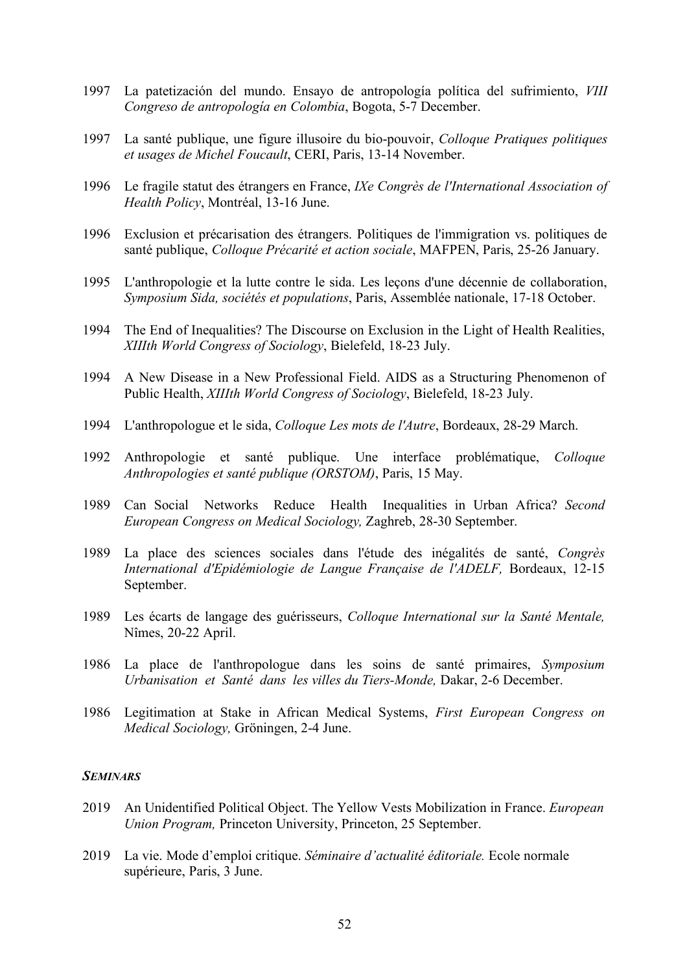- 1997 La patetización del mundo. Ensayo de antropología política del sufrimiento, *VIII Congreso de antropología en Colombia*, Bogota, 5-7 December.
- 1997 La santé publique, une figure illusoire du bio-pouvoir, *Colloque Pratiques politiques et usages de Michel Foucault*, CERI, Paris, 13-14 November.
- 1996 Le fragile statut des étrangers en France, *IXe Congrès de l'International Association of Health Policy*, Montréal, 13-16 June.
- 1996 Exclusion et précarisation des étrangers. Politiques de l'immigration vs. politiques de santé publique, *Colloque Précarité et action sociale*, MAFPEN, Paris, 25-26 January.
- 1995 L'anthropologie et la lutte contre le sida. Les leçons d'une décennie de collaboration, *Symposium Sida, sociétés et populations*, Paris, Assemblée nationale, 17-18 October.
- 1994 The End of Inequalities? The Discourse on Exclusion in the Light of Health Realities, *XIIIth World Congress of Sociology*, Bielefeld, 18-23 July.
- 1994 A New Disease in a New Professional Field. AIDS as a Structuring Phenomenon of Public Health, *XIIIth World Congress of Sociology*, Bielefeld, 18-23 July.
- 1994 L'anthropologue et le sida, *Colloque Les mots de l'Autre*, Bordeaux, 28-29 March.
- 1992 Anthropologie et santé publique. Une interface problématique, *Colloque Anthropologies et santé publique (ORSTOM)*, Paris, 15 May.
- 1989 Can Social Networks Reduce Health Inequalities in Urban Africa? *Second European Congress on Medical Sociology,* Zaghreb, 28-30 September.
- 1989 La place des sciences sociales dans l'étude des inégalités de santé, *Congrès International d'Epidémiologie de Langue Française de l'ADELF,* Bordeaux, 12-15 September.
- 1989 Les écarts de langage des guérisseurs, *Colloque International sur la Santé Mentale,* Nîmes, 20-22 April.
- 1986 La place de l'anthropologue dans les soins de santé primaires, *Symposium Urbanisation et Santé dans les villes du Tiers-Monde,* Dakar, 2-6 December.
- 1986 Legitimation at Stake in African Medical Systems, *First European Congress on Medical Sociology,* Gröningen, 2-4 June.

## *SEMINARS*

- 2019 An Unidentified Political Object. The Yellow Vests Mobilization in France. *European Union Program,* Princeton University, Princeton, 25 September.
- 2019 La vie. Mode d'emploi critique. *Séminaire d'actualité éditoriale.* Ecole normale supérieure, Paris, 3 June.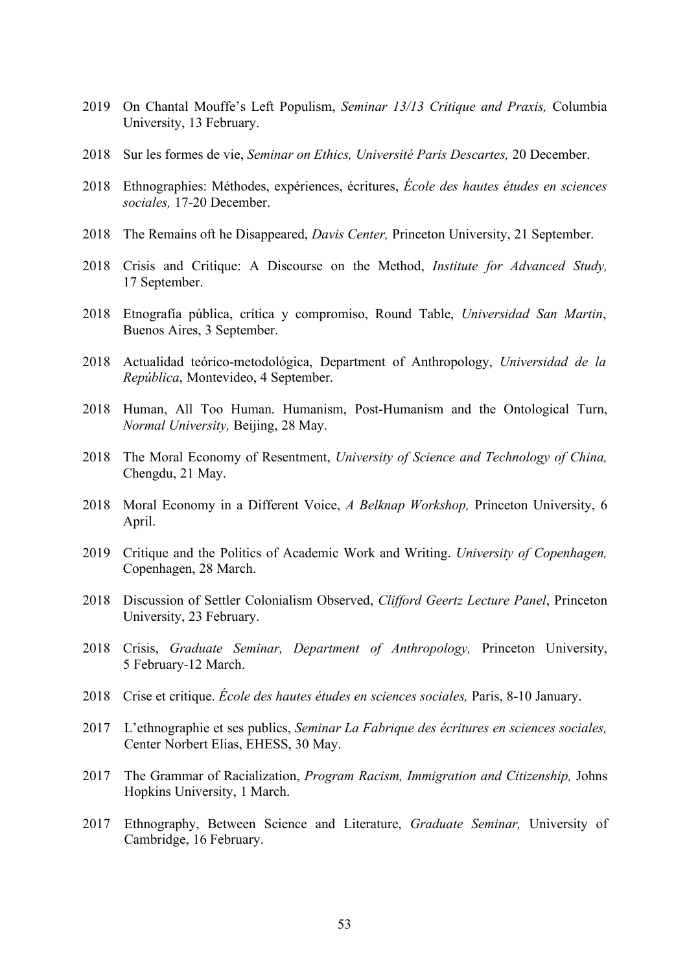- 2019 On Chantal Mouffe's Left Populism, *Seminar 13/13 Critique and Praxis,* Columbia University, 13 February.
- 2018 Sur les formes de vie, *Seminar on Ethics, Université Paris Descartes,* 20 December.
- 2018 Ethnographies: Méthodes, expériences, écritures, *École des hautes études en sciences sociales,* 17-20 December.
- 2018 The Remains oft he Disappeared, *Davis Center,* Princeton University, 21 September.
- 2018 Crisis and Critique: A Discourse on the Method, *Institute for Advanced Study,* 17 September.
- 2018 Etnografía pública, crítica y compromiso, Round Table, *Universidad San Martin*, Buenos Aires, 3 September.
- 2018 Actualidad teórico-metodológica, Department of Anthropology, *Universidad de la República*, Montevideo, 4 September.
- 2018 Human, All Too Human. Humanism, Post-Humanism and the Ontological Turn, *Normal University,* Beijing, 28 May.
- 2018 The Moral Economy of Resentment, *University of Science and Technology of China,*  Chengdu, 21 May.
- 2018 Moral Economy in a Different Voice, *A Belknap Workshop,* Princeton University, 6 April.
- 2019 Critique and the Politics of Academic Work and Writing. *University of Copenhagen,* Copenhagen, 28 March.
- 2018 Discussion of Settler Colonialism Observed, *Clifford Geertz Lecture Panel*, Princeton University, 23 February.
- 2018 Crisis, *Graduate Seminar, Department of Anthropology,* Princeton University, 5 February-12 March.
- 2018 Crise et critique. *École des hautes études en sciences sociales,* Paris, 8-10 January.
- 2017 L'ethnographie et ses publics, *Seminar La Fabrique des écritures en sciences sociales,* Center Norbert Elias, EHESS, 30 May.
- 2017 The Grammar of Racialization, *Program Racism, Immigration and Citizenship,* Johns Hopkins University, 1 March.
- 2017 Ethnography, Between Science and Literature, *Graduate Seminar,* University of Cambridge, 16 February.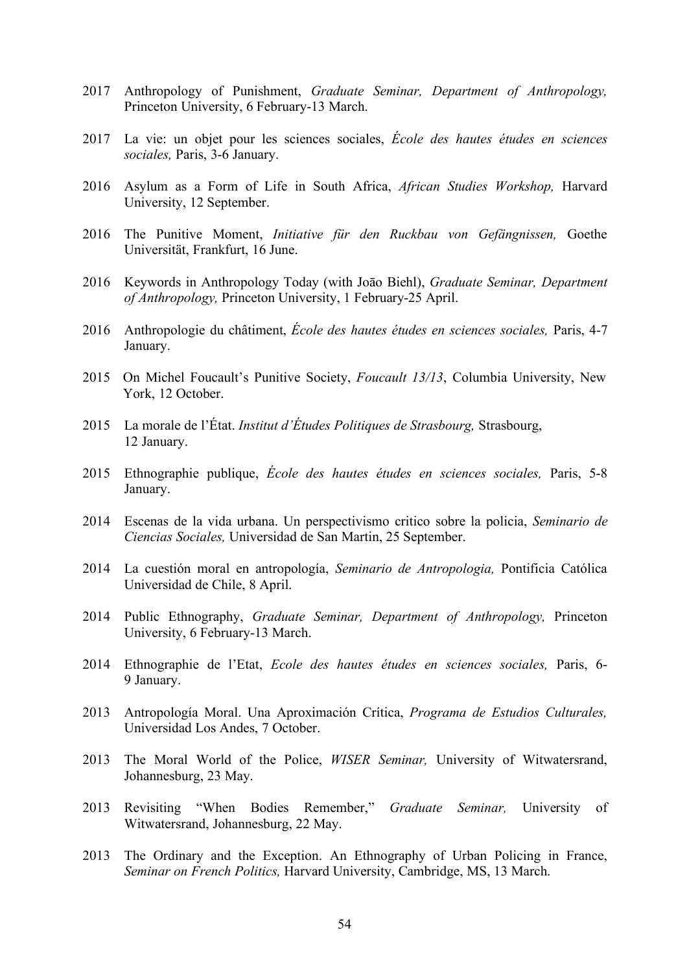- 2017 Anthropology of Punishment, *Graduate Seminar, Department of Anthropology,*  Princeton University, 6 February-13 March.
- 2017 La vie: un objet pour les sciences sociales, *École des hautes études en sciences sociales,* Paris, 3-6 January.
- 2016 Asylum as a Form of Life in South Africa, *African Studies Workshop,* Harvard University, 12 September.
- 2016 The Punitive Moment, *Initiative für den Ruckbau von Gefängnissen,* Goethe Universität, Frankfurt, 16 June.
- 2016 Keywords in Anthropology Today (with Joāo Biehl), *Graduate Seminar, Department of Anthropology,* Princeton University, 1 February-25 April.
- 2016 Anthropologie du châtiment, *École des hautes études en sciences sociales,* Paris, 4-7 January.
- 2015 On Michel Foucault's Punitive Society, *Foucault 13/13*, Columbia University, New York, 12 October.
- 2015 La morale de l'État. *Institut d'Études Politiques de Strasbourg,* Strasbourg, 12 January.
- 2015 Ethnographie publique, *École des hautes études en sciences sociales,* Paris, 5-8 January.
- 2014 Escenas de la vida urbana. Un perspectivismo critico sobre la policia, *Seminario de Ciencias Sociales,* Universidad de San Martin, 25 September.
- 2014 La cuestión moral en antropología, *Seminario de Antropologia,* Pontificia Católica Universidad de Chile, 8 April.
- 2014 Public Ethnography, *Graduate Seminar, Department of Anthropology,* Princeton University, 6 February-13 March.
- 2014 Ethnographie de l'Etat, *Ecole des hautes études en sciences sociales,* Paris, 6- 9 January.
- 2013 Antropología Moral. Una Aproximación Crítica, *Programa de Estudios Culturales,* Universidad Los Andes, 7 October.
- 2013 The Moral World of the Police, *WISER Seminar,* University of Witwatersrand, Johannesburg, 23 May.
- 2013 Revisiting "When Bodies Remember," *Graduate Seminar,* University of Witwatersrand, Johannesburg, 22 May.
- 2013 The Ordinary and the Exception. An Ethnography of Urban Policing in France, *Seminar on French Politics,* Harvard University, Cambridge, MS, 13 March.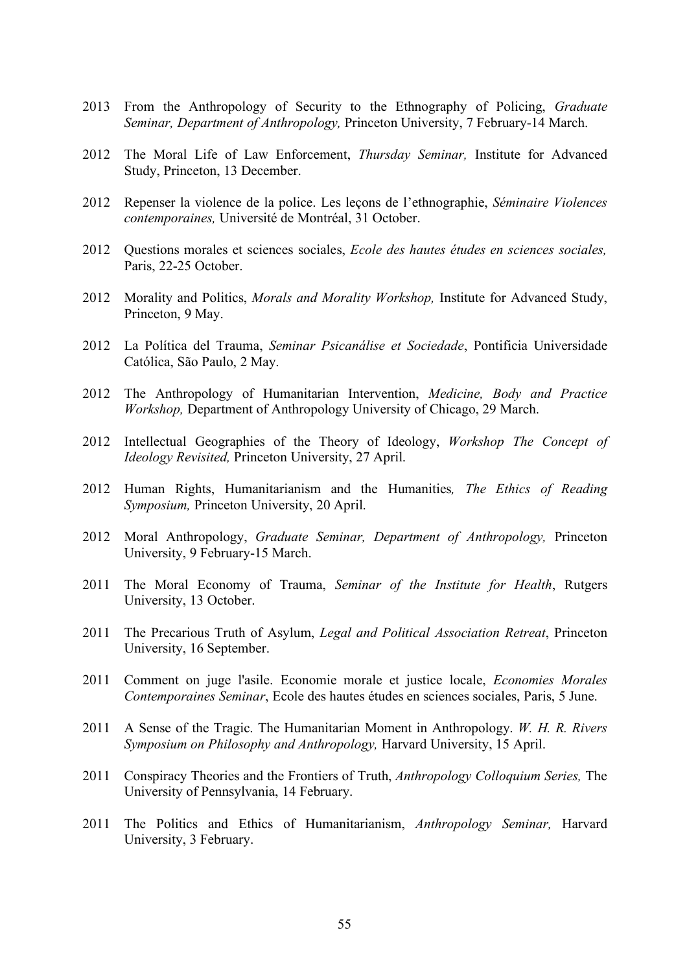- 2013 From the Anthropology of Security to the Ethnography of Policing, *Graduate Seminar, Department of Anthropology,* Princeton University, 7 February-14 March.
- 2012 The Moral Life of Law Enforcement, *Thursday Seminar,* Institute for Advanced Study, Princeton, 13 December.
- 2012 Repenser la violence de la police. Les leçons de l'ethnographie, *Séminaire Violences contemporaines,* Université de Montréal, 31 October.
- 2012 Questions morales et sciences sociales, *Ecole des hautes études en sciences sociales,* Paris, 22-25 October.
- 2012 Morality and Politics, *Morals and Morality Workshop,* Institute for Advanced Study, Princeton, 9 May.
- 2012 La Política del Trauma, *Seminar Psicanálise et Sociedade*, Pontificia Universidade Católica, São Paulo, 2 May.
- 2012 The Anthropology of Humanitarian Intervention, *Medicine, Body and Practice Workshop,* Department of Anthropology University of Chicago, 29 March.
- 2012 Intellectual Geographies of the Theory of Ideology, *Workshop The Concept of Ideology Revisited,* Princeton University, 27 April.
- 2012 Human Rights, Humanitarianism and the Humanities*, The Ethics of Reading Symposium,* Princeton University, 20 April.
- 2012 Moral Anthropology, *Graduate Seminar, Department of Anthropology,* Princeton University, 9 February-15 March.
- 2011 The Moral Economy of Trauma, *Seminar of the Institute for Health*, Rutgers University, 13 October.
- 2011 The Precarious Truth of Asylum, *Legal and Political Association Retreat*, Princeton University, 16 September.
- 2011 Comment on juge l'asile. Economie morale et justice locale, *Economies Morales Contemporaines Seminar*, Ecole des hautes études en sciences sociales, Paris, 5 June.
- 2011 A Sense of the Tragic. The Humanitarian Moment in Anthropology. *W. H. R. Rivers Symposium on Philosophy and Anthropology,* Harvard University, 15 April.
- 2011 Conspiracy Theories and the Frontiers of Truth, *Anthropology Colloquium Series,* The University of Pennsylvania, 14 February.
- 2011 The Politics and Ethics of Humanitarianism, *Anthropology Seminar,* Harvard University, 3 February.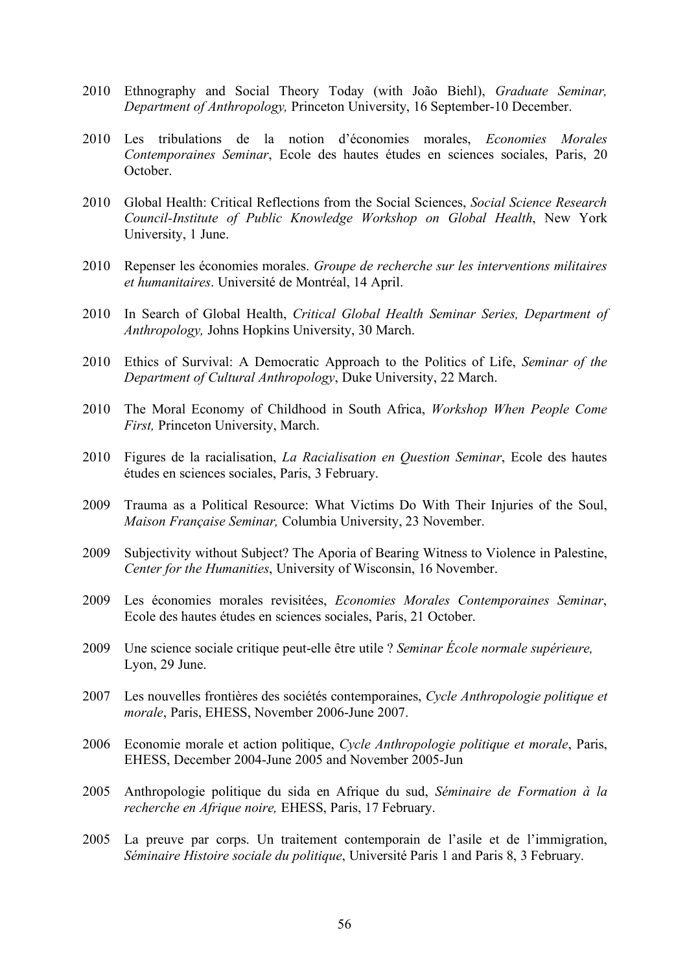- 2010 Ethnography and Social Theory Today (with João Biehl), *Graduate Seminar, Department of Anthropology,* Princeton University, 16 September-10 December.
- 2010 Les tribulations de la notion d'économies morales, *Economies Morales Contemporaines Seminar*, Ecole des hautes études en sciences sociales, Paris, 20 October.
- 2010 Global Health: Critical Reflections from the Social Sciences, *Social Science Research Council-Institute of Public Knowledge Workshop on Global Health*, New York University, 1 June.
- 2010 Repenser les économies morales. *Groupe de recherche sur les interventions militaires et humanitaires*. Université de Montréal, 14 April.
- 2010 In Search of Global Health, *Critical Global Health Seminar Series, Department of Anthropology,* Johns Hopkins University, 30 March.
- 2010 Ethics of Survival: A Democratic Approach to the Politics of Life, *Seminar of the Department of Cultural Anthropology*, Duke University, 22 March.
- 2010 The Moral Economy of Childhood in South Africa, *Workshop When People Come First,* Princeton University, March.
- 2010 Figures de la racialisation, *La Racialisation en Question Seminar*, Ecole des hautes études en sciences sociales, Paris, 3 February.
- 2009 Trauma as a Political Resource: What Victims Do With Their Injuries of the Soul, *Maison Française Seminar,* Columbia University, 23 November.
- 2009 Subjectivity without Subject? The Aporia of Bearing Witness to Violence in Palestine, *Center for the Humanities*, University of Wisconsin, 16 November.
- 2009 Les économies morales revisitées, *Economies Morales Contemporaines Seminar*, Ecole des hautes études en sciences sociales, Paris, 21 October.
- 2009 Une science sociale critique peut-elle être utile ? *Seminar École normale supérieure,* Lyon, 29 June.
- 2007 Les nouvelles frontières des sociétés contemporaines, *Cycle Anthropologie politique et morale*, Paris, EHESS, November 2006-June 2007.
- 2006 Economie morale et action politique, *Cycle Anthropologie politique et morale*, Paris, EHESS, December 2004-June 2005 and November 2005-Jun
- 2005 Anthropologie politique du sida en Afrique du sud, *Séminaire de Formation à la recherche en Afrique noire,* EHESS, Paris, 17 February.
- 2005 La preuve par corps. Un traitement contemporain de l'asile et de l'immigration, *Séminaire Histoire sociale du politique*, Université Paris 1 and Paris 8, 3 February.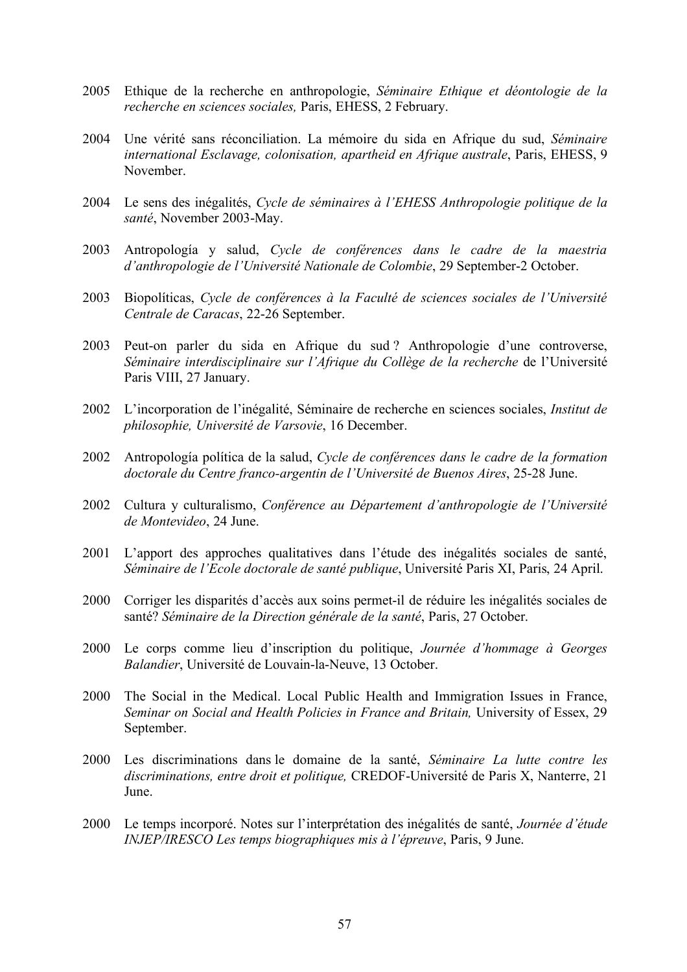- 2005 Ethique de la recherche en anthropologie, *Séminaire Ethique et déontologie de la recherche en sciences sociales,* Paris, EHESS, 2 February.
- 2004 Une vérité sans réconciliation. La mémoire du sida en Afrique du sud, *Séminaire international Esclavage, colonisation, apartheid en Afrique australe*, Paris, EHESS, 9 November.
- 2004 Le sens des inégalités, *Cycle de séminaires à l'EHESS Anthropologie politique de la santé*, November 2003-May.
- 2003 Antropología y salud, *Cycle de conférences dans le cadre de la maestria d'anthropologie de l'Université Nationale de Colombie*, 29 September-2 October.
- 2003 Biopolíticas, *Cycle de conférences à la Faculté de sciences sociales de l'Université Centrale de Caracas*, 22-26 September.
- 2003 Peut-on parler du sida en Afrique du sud ? Anthropologie d'une controverse, *Séminaire interdisciplinaire sur l'Afrique du Collège de la recherche* de l'Université Paris VIII, 27 January.
- 2002 L'incorporation de l'inégalité, Séminaire de recherche en sciences sociales, *Institut de philosophie, Université de Varsovie*, 16 December.
- 2002 Antropología política de la salud, *Cycle de conférences dans le cadre de la formation doctorale du Centre franco-argentin de l'Université de Buenos Aires*, 25-28 June.
- 2002 Cultura y culturalismo, *Conférence au Département d'anthropologie de l'Université de Montevideo*, 24 June.
- 2001 L'apport des approches qualitatives dans l'étude des inégalités sociales de santé, *Séminaire de l'Ecole doctorale de santé publique*, Université Paris XI, Paris, 24 April.
- 2000 Corriger les disparités d'accès aux soins permet-il de réduire les inégalités sociales de santé? *Séminaire de la Direction générale de la santé*, Paris, 27 October.
- 2000 Le corps comme lieu d'inscription du politique, *Journée d'hommage à Georges Balandier*, Université de Louvain-la-Neuve, 13 October.
- 2000 The Social in the Medical. Local Public Health and Immigration Issues in France, *Seminar on Social and Health Policies in France and Britain,* University of Essex, 29 September.
- 2000 Les discriminations dans le domaine de la santé, *Séminaire La lutte contre les discriminations, entre droit et politique,* CREDOF-Université de Paris X, Nanterre, 21 **June**
- 2000 Le temps incorporé. Notes sur l'interprétation des inégalités de santé, *Journée d'étude INJEP/IRESCO Les temps biographiques mis à l'épreuve*, Paris, 9 June.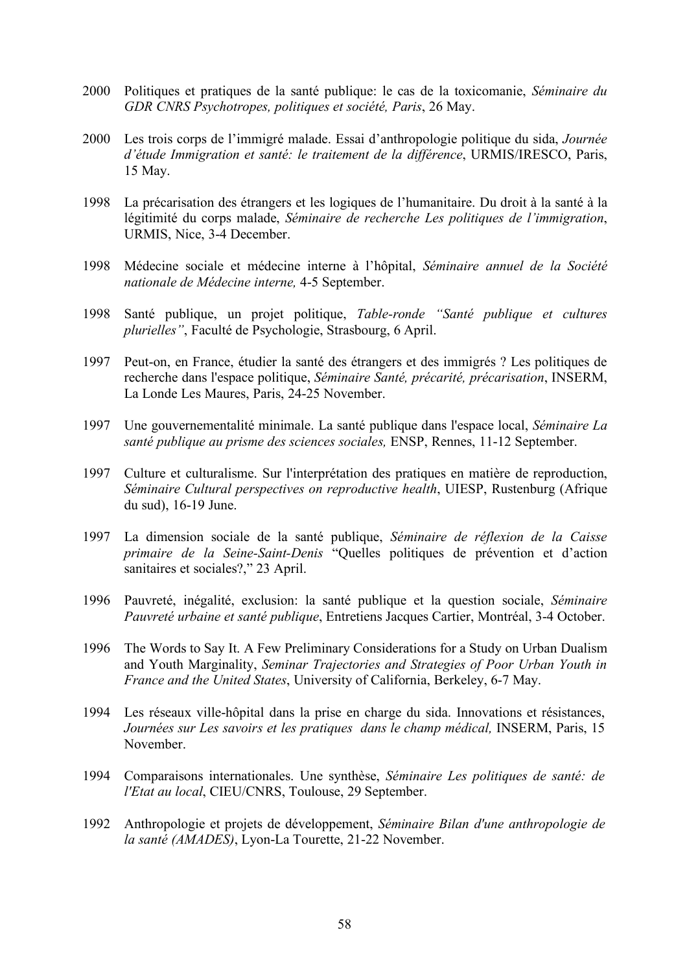- 2000 Politiques et pratiques de la santé publique: le cas de la toxicomanie, *Séminaire du GDR CNRS Psychotropes, politiques et société, Paris*, 26 May.
- 2000 Les trois corps de l'immigré malade. Essai d'anthropologie politique du sida, *Journée d'étude Immigration et santé: le traitement de la différence*, URMIS/IRESCO, Paris, 15 May.
- 1998 La précarisation des étrangers et les logiques de l'humanitaire. Du droit à la santé à la légitimité du corps malade, *Séminaire de recherche Les politiques de l'immigration*, URMIS, Nice, 3-4 December.
- 1998 Médecine sociale et médecine interne à l'hôpital, *Séminaire annuel de la Société nationale de Médecine interne,* 4-5 September.
- 1998 Santé publique, un projet politique, *Table-ronde "Santé publique et cultures plurielles"*, Faculté de Psychologie, Strasbourg, 6 April.
- 1997 Peut-on, en France, étudier la santé des étrangers et des immigrés ? Les politiques de recherche dans l'espace politique, *Séminaire Santé, précarité, précarisation*, INSERM, La Londe Les Maures, Paris, 24-25 November.
- 1997 Une gouvernementalité minimale. La santé publique dans l'espace local, *Séminaire La santé publique au prisme des sciences sociales,* ENSP, Rennes, 11-12 September.
- 1997 Culture et culturalisme. Sur l'interprétation des pratiques en matière de reproduction, *Séminaire Cultural perspectives on reproductive health*, UIESP, Rustenburg (Afrique du sud), 16-19 June.
- 1997 La dimension sociale de la santé publique, *Séminaire de réflexion de la Caisse primaire de la Seine-Saint-Denis* "Quelles politiques de prévention et d'action sanitaires et sociales?," 23 April.
- 1996 Pauvreté, inégalité, exclusion: la santé publique et la question sociale, *Séminaire Pauvreté urbaine et santé publique*, Entretiens Jacques Cartier, Montréal, 3-4 October.
- 1996 The Words to Say It. A Few Preliminary Considerations for a Study on Urban Dualism and Youth Marginality, *Seminar Trajectories and Strategies of Poor Urban Youth in France and the United States*, University of California, Berkeley, 6-7 May.
- 1994 Les réseaux ville-hôpital dans la prise en charge du sida. Innovations et résistances, *Journées sur Les savoirs et les pratiques dans le champ médical,* INSERM, Paris, 15 November.
- 1994 Comparaisons internationales. Une synthèse, *Séminaire Les politiques de santé: de l'Etat au local*, CIEU/CNRS, Toulouse, 29 September.
- 1992 Anthropologie et projets de développement, *Séminaire Bilan d'une anthropologie de la santé (AMADES)*, Lyon-La Tourette, 21-22 November.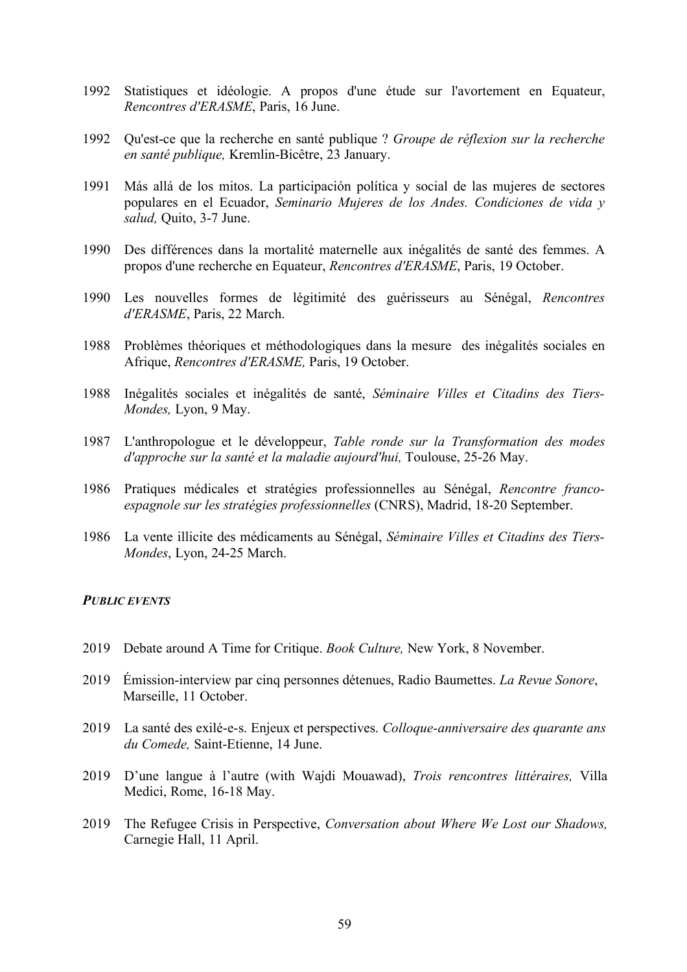- 1992 Statistiques et idéologie. A propos d'une étude sur l'avortement en Equateur, *Rencontres d'ERASME*, Paris, 16 June.
- 1992 Qu'est-ce que la recherche en santé publique ? *Groupe de réflexion sur la recherche en santé publique,* Kremlin-Bicêtre, 23 January.
- 1991 Más allá de los mitos. La participación política y social de las mujeres de sectores populares en el Ecuador, *Seminario Mujeres de los Andes. Condiciones de vida y salud,* Quito, 3-7 June.
- 1990 Des différences dans la mortalité maternelle aux inégalités de santé des femmes. A propos d'une recherche en Equateur, *Rencontres d'ERASME*, Paris, 19 October.
- 1990 Les nouvelles formes de légitimité des guérisseurs au Sénégal, *Rencontres d'ERASME*, Paris, 22 March.
- 1988 Problèmes théoriques et méthodologiques dans la mesure des inégalités sociales en Afrique, *Rencontres d'ERASME,* Paris, 19 October.
- 1988 Inégalités sociales et inégalités de santé, *Séminaire Villes et Citadins des Tiers-Mondes,* Lyon, 9 May.
- 1987 L'anthropologue et le développeur, *Table ronde sur la Transformation des modes d'approche sur la santé et la maladie aujourd'hui,* Toulouse, 25-26 May.
- 1986 Pratiques médicales et stratégies professionnelles au Sénégal, *Rencontre francoespagnole sur les stratégies professionnelles* (CNRS), Madrid, 18-20 September.
- 1986 La vente illicite des médicaments au Sénégal, *Séminaire Villes et Citadins des Tiers-Mondes*, Lyon, 24-25 March.

### *PUBLIC EVENTS*

- 2019 Debate around A Time for Critique. *Book Culture,* New York, 8 November.
- 2019 Émission-interview par cinq personnes détenues, Radio Baumettes. *La Revue Sonore*, Marseille, 11 October.
- 2019 La santé des exilé-e-s. Enjeux et perspectives. *Colloque-anniversaire des quarante ans du Comede,* Saint-Etienne, 14 June.
- 2019 D'une langue à l'autre (with Wajdi Mouawad), *Trois rencontres littéraires,* Villa Medici, Rome, 16-18 May.
- 2019 The Refugee Crisis in Perspective, *Conversation about Where We Lost our Shadows,* Carnegie Hall, 11 April.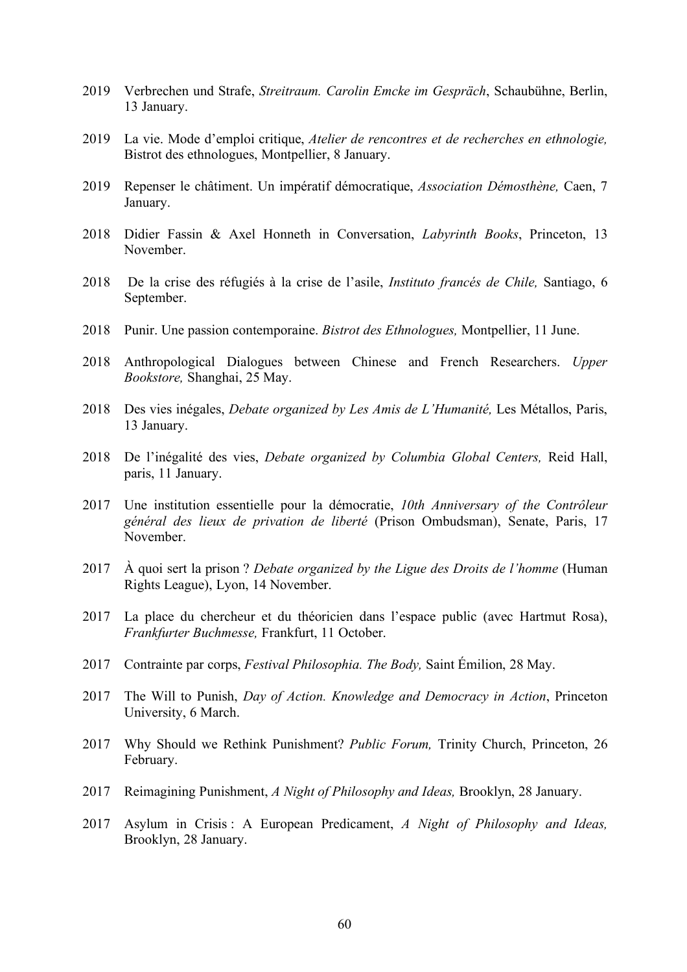- 2019 Verbrechen und Strafe, *Streitraum. Carolin Emcke im Gespräch*, Schaubühne, Berlin, 13 January.
- 2019 La vie. Mode d'emploi critique, *Atelier de rencontres et de recherches en ethnologie,*  Bistrot des ethnologues, Montpellier, 8 January.
- 2019 Repenser le châtiment. Un impératif démocratique, *Association Démosthène,* Caen, 7 January.
- 2018 Didier Fassin & Axel Honneth in Conversation, *Labyrinth Books*, Princeton, 13 November.
- 2018 De la crise des réfugiés à la crise de l'asile, *Instituto francés de Chile,* Santiago, 6 September.
- 2018 Punir. Une passion contemporaine. *Bistrot des Ethnologues,* Montpellier, 11 June.
- 2018 Anthropological Dialogues between Chinese and French Researchers. *Upper Bookstore,* Shanghai, 25 May.
- 2018 Des vies inégales, *Debate organized by Les Amis de L'Humanité,* Les Métallos, Paris, 13 January.
- 2018 De l'inégalité des vies, *Debate organized by Columbia Global Centers,* Reid Hall, paris, 11 January.
- 2017 Une institution essentielle pour la démocratie, *10th Anniversary of the Contrôleur général des lieux de privation de liberté* (Prison Ombudsman), Senate, Paris, 17 November.
- 2017 À quoi sert la prison ? *Debate organized by the Ligue des Droits de l'homme* (Human Rights League), Lyon, 14 November.
- 2017 La place du chercheur et du théoricien dans l'espace public (avec Hartmut Rosa), *Frankfurter Buchmesse,* Frankfurt, 11 October.
- 2017 Contrainte par corps, *Festival Philosophia. The Body,* Saint Émilion, 28 May.
- 2017 The Will to Punish, *Day of Action. Knowledge and Democracy in Action*, Princeton University, 6 March.
- 2017 Why Should we Rethink Punishment? *Public Forum,* Trinity Church, Princeton, 26 February.
- 2017 Reimagining Punishment, *A Night of Philosophy and Ideas,* Brooklyn, 28 January.
- 2017 Asylum in Crisis : A European Predicament, *A Night of Philosophy and Ideas,* Brooklyn, 28 January.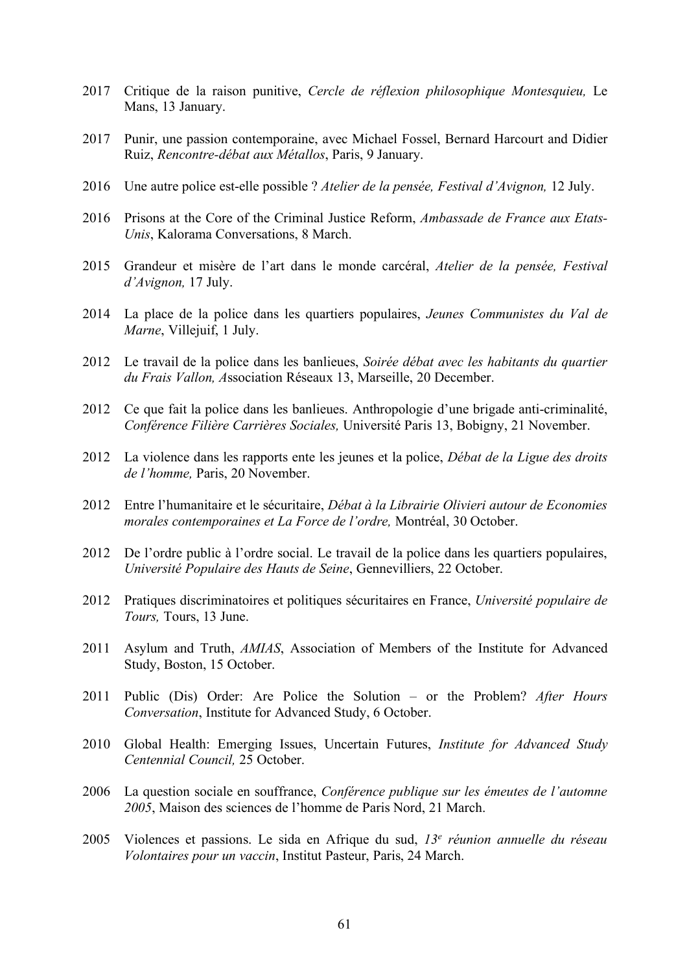- 2017 Critique de la raison punitive, *Cercle de réflexion philosophique Montesquieu,* Le Mans, 13 January.
- 2017 Punir, une passion contemporaine, avec Michael Fossel, Bernard Harcourt and Didier Ruiz, *Rencontre-débat aux Métallos*, Paris, 9 January.
- 2016 Une autre police est-elle possible ? *Atelier de la pensée, Festival d'Avignon,* 12 July.
- 2016 Prisons at the Core of the Criminal Justice Reform, *Ambassade de France aux Etats-Unis*, Kalorama Conversations, 8 March.
- 2015 Grandeur et misère de l'art dans le monde carcéral, *Atelier de la pensée, Festival d'Avignon,* 17 July.
- 2014 La place de la police dans les quartiers populaires, *Jeunes Communistes du Val de Marne*, Villejuif, 1 July.
- 2012 Le travail de la police dans les banlieues, *Soirée débat avec les habitants du quartier du Frais Vallon, A*ssociation Réseaux 13, Marseille, 20 December.
- 2012 Ce que fait la police dans les banlieues. Anthropologie d'une brigade anti-criminalité, *Conférence Filière Carrières Sociales,* Université Paris 13, Bobigny, 21 November.
- 2012 La violence dans les rapports ente les jeunes et la police, *Débat de la Ligue des droits de l'homme,* Paris, 20 November.
- 2012 Entre l'humanitaire et le sécuritaire, *Débat à la Librairie Olivieri autour de Economies morales contemporaines et La Force de l'ordre,* Montréal, 30 October.
- 2012 De l'ordre public à l'ordre social. Le travail de la police dans les quartiers populaires, *Université Populaire des Hauts de Seine*, Gennevilliers, 22 October.
- 2012 Pratiques discriminatoires et politiques sécuritaires en France, *Université populaire de Tours,* Tours, 13 June.
- 2011 Asylum and Truth, *AMIAS*, Association of Members of the Institute for Advanced Study, Boston, 15 October.
- 2011 Public (Dis) Order: Are Police the Solution or the Problem? *After Hours Conversation*, Institute for Advanced Study, 6 October.
- 2010 Global Health: Emerging Issues, Uncertain Futures, *Institute for Advanced Study Centennial Council,* 25 October.
- 2006 La question sociale en souffrance, *Conférence publique sur les émeutes de l'automne 2005*, Maison des sciences de l'homme de Paris Nord, 21 March.
- 2005 Violences et passions. Le sida en Afrique du sud, *13e réunion annuelle du réseau Volontaires pour un vaccin*, Institut Pasteur, Paris, 24 March.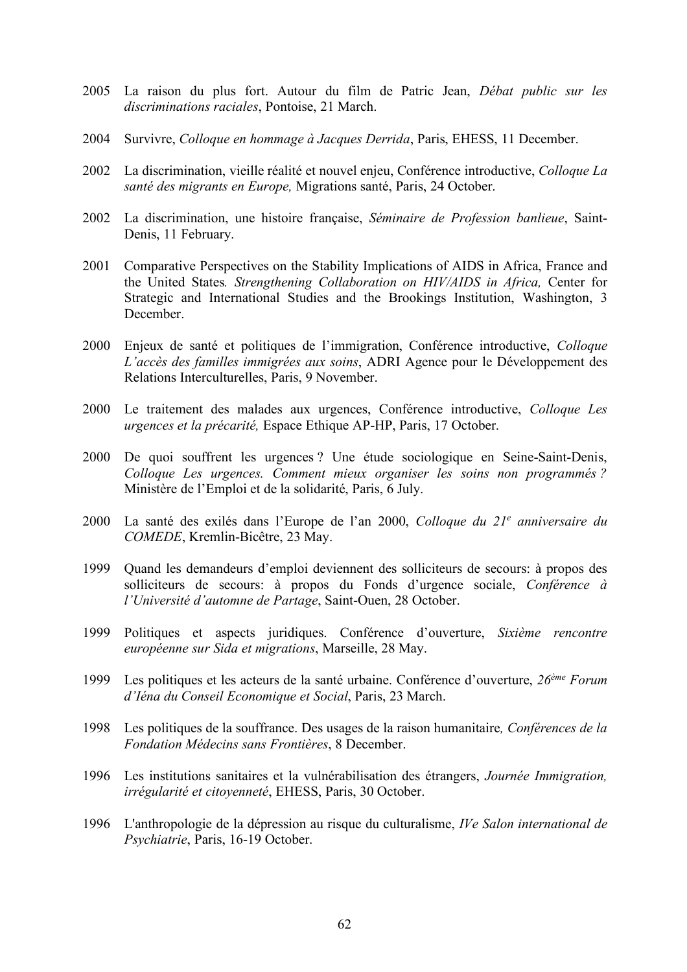- 2005 La raison du plus fort. Autour du film de Patric Jean, *Débat public sur les discriminations raciales*, Pontoise, 21 March.
- 2004 Survivre, *Colloque en hommage à Jacques Derrida*, Paris, EHESS, 11 December.
- 2002 La discrimination, vieille réalité et nouvel enjeu, Conférence introductive, *Colloque La santé des migrants en Europe,* Migrations santé, Paris, 24 October.
- 2002 La discrimination, une histoire française, *Séminaire de Profession banlieue*, Saint-Denis, 11 February.
- 2001 Comparative Perspectives on the Stability Implications of AIDS in Africa, France and the United States*. Strengthening Collaboration on HIV/AIDS in Africa,* Center for Strategic and International Studies and the Brookings Institution, Washington, 3 December.
- 2000 Enjeux de santé et politiques de l'immigration, Conférence introductive, *Colloque L'accès des familles immigrées aux soins*, ADRI Agence pour le Développement des Relations Interculturelles, Paris, 9 November.
- 2000 Le traitement des malades aux urgences, Conférence introductive, *Colloque Les urgences et la précarité,* Espace Ethique AP-HP, Paris, 17 October.
- 2000 De quoi souffrent les urgences ? Une étude sociologique en Seine-Saint-Denis, *Colloque Les urgences. Comment mieux organiser les soins non programmés ?* Ministère de l'Emploi et de la solidarité, Paris, 6 July.
- 2000 La santé des exilés dans l'Europe de l'an 2000, *Colloque du 21e anniversaire du COMEDE*, Kremlin-Bicêtre, 23 May.
- 1999 Quand les demandeurs d'emploi deviennent des solliciteurs de secours: à propos des solliciteurs de secours: à propos du Fonds d'urgence sociale, *Conférence à l'Université d'automne de Partage*, Saint-Ouen, 28 October.
- 1999 Politiques et aspects juridiques. Conférence d'ouverture, *Sixième rencontre européenne sur Sida et migrations*, Marseille, 28 May.
- 1999 Les politiques et les acteurs de la santé urbaine. Conférence d'ouverture, *26ème Forum d'Iéna du Conseil Economique et Social*, Paris, 23 March.
- 1998 Les politiques de la souffrance. Des usages de la raison humanitaire*, Conférences de la Fondation Médecins sans Frontières*, 8 December.
- 1996 Les institutions sanitaires et la vulnérabilisation des étrangers, *Journée Immigration, irrégularité et citoyenneté*, EHESS, Paris, 30 October.
- 1996 L'anthropologie de la dépression au risque du culturalisme, *IVe Salon international de Psychiatrie*, Paris, 16-19 October.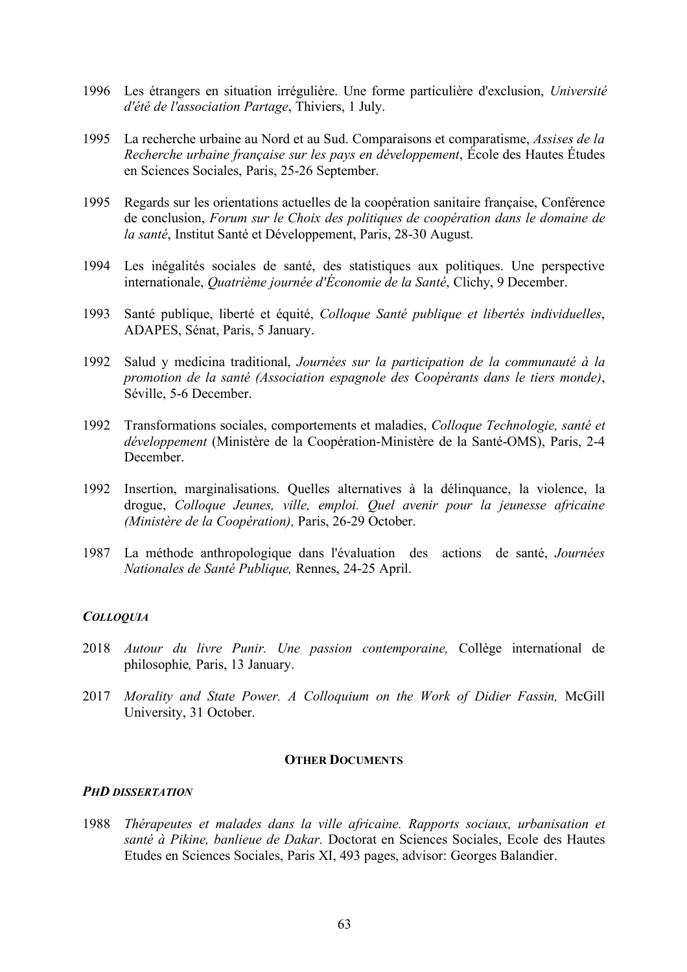- 1996 Les étrangers en situation irrégulière. Une forme particulière d'exclusion, *Université d'été de l'association Partage*, Thiviers, 1 July.
- 1995 La recherche urbaine au Nord et au Sud. Comparaisons et comparatisme, *Assises de la Recherche urbaine française sur les pays en développement*, École des Hautes Études en Sciences Sociales, Paris, 25-26 September.
- 1995 Regards sur les orientations actuelles de la coopération sanitaire française, Conférence de conclusion, *Forum sur le Choix des politiques de coopération dans le domaine de la santé*, Institut Santé et Développement, Paris, 28-30 August.
- 1994 Les inégalités sociales de santé, des statistiques aux politiques. Une perspective internationale, *Quatrième journée d'Économie de la Santé*, Clichy, 9 December.
- 1993 Santé publique, liberté et équité, *Colloque Santé publique et libertés individuelles*, ADAPES, Sénat, Paris, 5 January.
- 1992 Salud y medicina traditional, *Journées sur la participation de la communauté à la promotion de la santé (Association espagnole des Coopérants dans le tiers monde)*, Séville, 5-6 December.
- 1992 Transformations sociales, comportements et maladies, *Colloque Technologie, santé et développement* (Ministère de la Coopération-Ministère de la Santé-OMS), Paris, 2-4 **December**
- 1992 Insertion, marginalisations. Quelles alternatives à la délinquance, la violence, la drogue, *Colloque Jeunes, ville, emploi. Quel avenir pour la jeunesse africaine (Ministère de la Coopération),* Paris, 26-29 October.
- 1987 La méthode anthropologique dans l'évaluation des actions de santé, *Journées Nationales de Santé Publique,* Rennes, 24-25 April.

# *COLLOQUIA*

- 2018 *Autour du livre Punir. Une passion contemporaine,* Collège international de philosophie*,* Paris, 13 January.
- 2017 *Morality and State Power. A Colloquium on the Work of Didier Fassin,* McGill University, 31 October.

### **OTHER DOCUMENTS**

### *PHD DISSERTATION*

1988 *Thérapeutes et malades dans la ville africaine. Rapports sociaux, urbanisation et santé à Pikine, banlieue de Dakar.* Doctorat en Sciences Sociales, Ecole des Hautes Etudes en Sciences Sociales, Paris XI, 493 pages, advisor: Georges Balandier.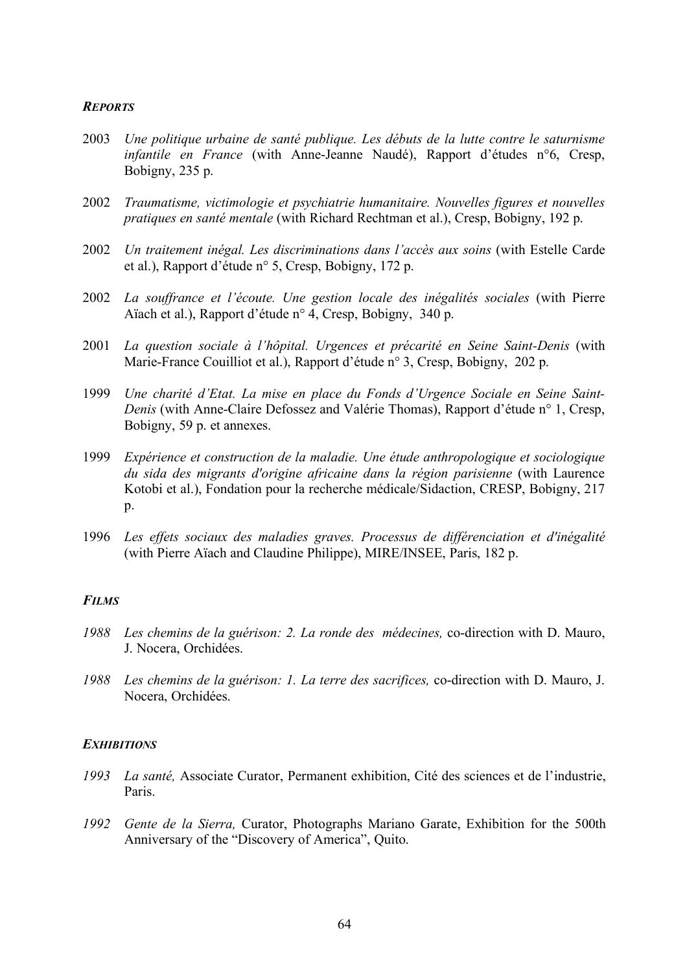## *REPORTS*

- 2003 *Une politique urbaine de santé publique. Les débuts de la lutte contre le saturnisme infantile en France* (with Anne-Jeanne Naudé), Rapport d'études n°6, Cresp, Bobigny, 235 p.
- 2002 *Traumatisme, victimologie et psychiatrie humanitaire. Nouvelles figures et nouvelles pratiques en santé mentale* (with Richard Rechtman et al.), Cresp, Bobigny, 192 p.
- 2002 *Un traitement inégal. Les discriminations dans l'accès aux soins* (with Estelle Carde et al.), Rapport d'étude n° 5, Cresp, Bobigny, 172 p.
- 2002 *La souffrance et l'écoute. Une gestion locale des inégalités sociales* (with Pierre Aïach et al.), Rapport d'étude n° 4, Cresp, Bobigny, 340 p.
- 2001 *La question sociale à l'hôpital. Urgences et précarité en Seine Saint-Denis* (with Marie-France Couilliot et al.), Rapport d'étude n° 3, Cresp, Bobigny, 202 p.
- 1999 *Une charité d'Etat. La mise en place du Fonds d'Urgence Sociale en Seine Saint-Denis* (with Anne-Claire Defossez and Valérie Thomas), Rapport d'étude n° 1, Cresp, Bobigny, 59 p. et annexes.
- 1999 *Expérience et construction de la maladie. Une étude anthropologique et sociologique du sida des migrants d'origine africaine dans la région parisienne* (with Laurence Kotobi et al.), Fondation pour la recherche médicale/Sidaction, CRESP, Bobigny, 217  $p_{\cdot}$
- 1996 *Les effets sociaux des maladies graves. Processus de différenciation et d'inégalité* (with Pierre Aïach and Claudine Philippe), MIRE/INSEE, Paris, 182 p.

# *FILMS*

- *1988 Les chemins de la guérison: 2. La ronde des médecines,* co-direction with D. Mauro, J. Nocera, Orchidées.
- *1988 Les chemins de la guérison: 1. La terre des sacrifices,* co-direction with D. Mauro, J. Nocera, Orchidées.

### *EXHIBITIONS*

- *1993 La santé,* Associate Curator, Permanent exhibition, Cité des sciences et de l'industrie, Paris.
- *1992 Gente de la Sierra,* Curator, Photographs Mariano Garate, Exhibition for the 500th Anniversary of the "Discovery of America", Quito.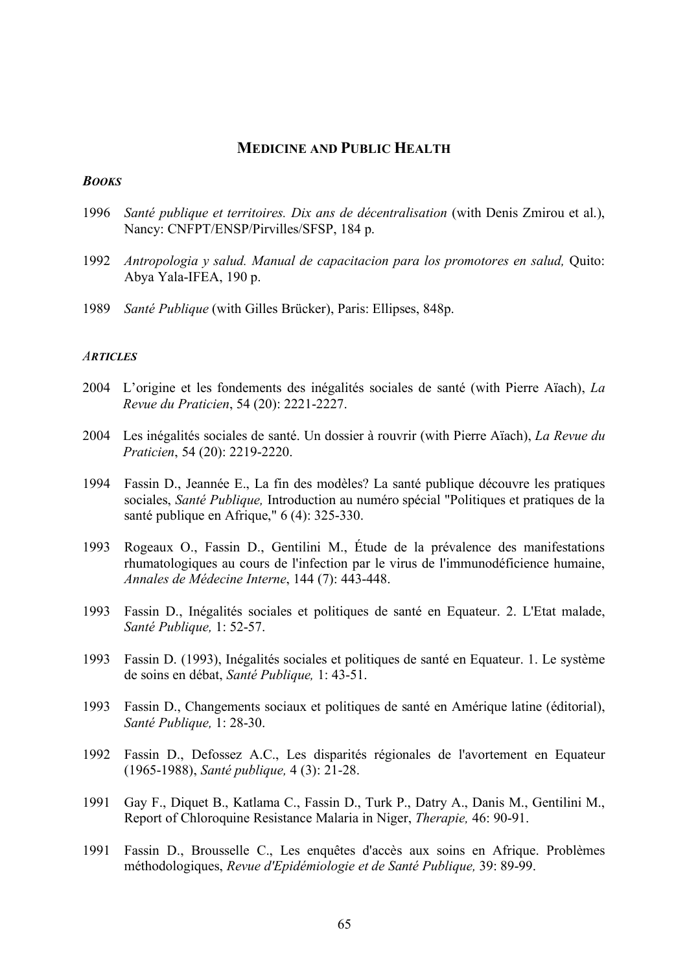# **MEDICINE AND PUBLIC HEALTH**

#### *BOOKS*

- 1996 *Santé publique et territoires. Dix ans de décentralisation* (with Denis Zmirou et al.), Nancy: CNFPT/ENSP/Pirvilles/SFSP, 184 p.
- 1992 *Antropologia y salud. Manual de capacitacion para los promotores en salud,* Quito: Abya Yala-IFEA, 190 p.
- 1989 *Santé Publique* (with Gilles Brücker), Paris: Ellipses, 848p.

#### *ARTICLES*

- 2004 L'origine et les fondements des inégalités sociales de santé (with Pierre Aïach), *La Revue du Praticien*, 54 (20): 2221-2227.
- 2004 Les inégalités sociales de santé. Un dossier à rouvrir (with Pierre Aïach), *La Revue du Praticien*, 54 (20): 2219-2220.
- 1994 Fassin D., Jeannée E., La fin des modèles? La santé publique découvre les pratiques sociales, *Santé Publique,* Introduction au numéro spécial "Politiques et pratiques de la santé publique en Afrique," 6 (4): 325-330.
- 1993 Rogeaux O., Fassin D., Gentilini M., Étude de la prévalence des manifestations rhumatologiques au cours de l'infection par le virus de l'immunodéficience humaine, *Annales de Médecine Interne*, 144 (7): 443-448.
- 1993 Fassin D., Inégalités sociales et politiques de santé en Equateur. 2. L'Etat malade, *Santé Publique,* 1: 52-57.
- 1993 Fassin D. (1993), Inégalités sociales et politiques de santé en Equateur. 1. Le système de soins en débat, *Santé Publique,* 1: 43-51.
- 1993 Fassin D., Changements sociaux et politiques de santé en Amérique latine (éditorial), *Santé Publique,* 1: 28-30.
- 1992 Fassin D., Defossez A.C., Les disparités régionales de l'avortement en Equateur (1965-1988), *Santé publique,* 4 (3): 21-28.
- 1991 Gay F., Diquet B., Katlama C., Fassin D., Turk P., Datry A., Danis M., Gentilini M., Report of Chloroquine Resistance Malaria in Niger, *Therapie,* 46: 90-91.
- 1991 Fassin D., Brousselle C., Les enquêtes d'accès aux soins en Afrique. Problèmes méthodologiques, *Revue d'Epidémiologie et de Santé Publique,* 39: 89-99.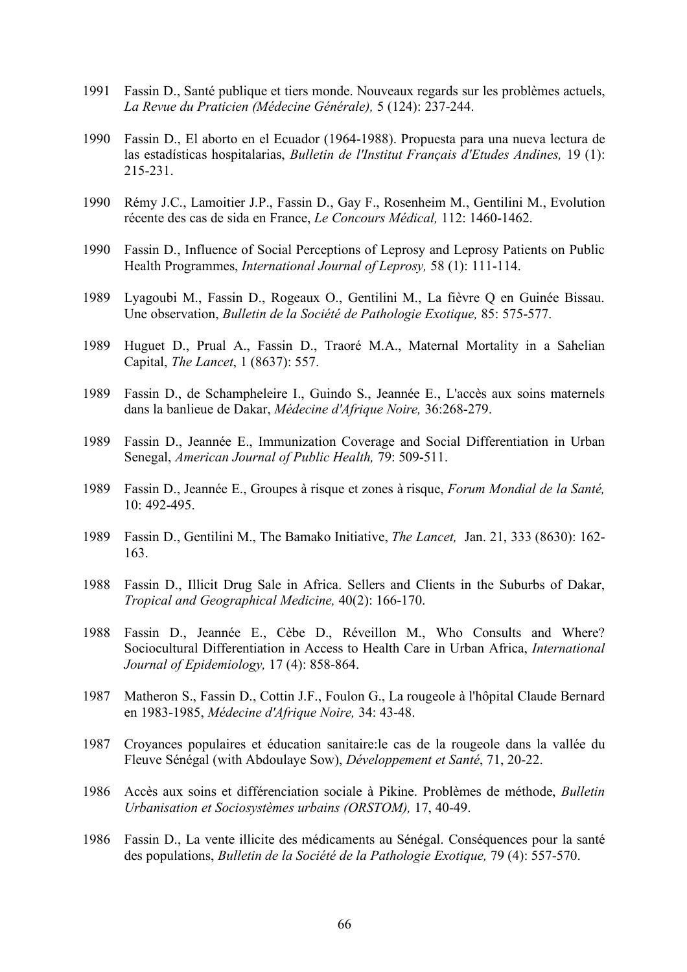- 1991 Fassin D., Santé publique et tiers monde. Nouveaux regards sur les problèmes actuels, *La Revue du Praticien (Médecine Générale),* 5 (124): 237-244.
- 1990 Fassin D., El aborto en el Ecuador (1964-1988). Propuesta para una nueva lectura de las estadísticas hospitalarias, *Bulletin de l'Institut Français d'Etudes Andines,* 19 (1): 215-231.
- 1990 Rémy J.C., Lamoitier J.P., Fassin D., Gay F., Rosenheim M., Gentilini M., Evolution récente des cas de sida en France, *Le Concours Médical,* 112: 1460-1462.
- 1990 Fassin D., Influence of Social Perceptions of Leprosy and Leprosy Patients on Public Health Programmes, *International Journal of Leprosy,* 58 (1): 111-114.
- 1989 Lyagoubi M., Fassin D., Rogeaux O., Gentilini M., La fièvre Q en Guinée Bissau. Une observation, *Bulletin de la Société de Pathologie Exotique,* 85: 575-577.
- 1989 Huguet D., Prual A., Fassin D., Traoré M.A., Maternal Mortality in a Sahelian Capital, *The Lancet*, 1 (8637): 557.
- 1989 Fassin D., de Schampheleire I., Guindo S., Jeannée E., L'accès aux soins maternels dans la banlieue de Dakar, *Médecine d'Afrique Noire,* 36:268-279.
- 1989 Fassin D., Jeannée E., Immunization Coverage and Social Differentiation in Urban Senegal, *American Journal of Public Health,* 79: 509-511.
- 1989 Fassin D., Jeannée E., Groupes à risque et zones à risque, *Forum Mondial de la Santé,* 10: 492-495.
- 1989 Fassin D., Gentilini M., The Bamako Initiative, *The Lancet,* Jan. 21, 333 (8630): 162- 163.
- 1988 Fassin D., Illicit Drug Sale in Africa. Sellers and Clients in the Suburbs of Dakar, *Tropical and Geographical Medicine,* 40(2): 166-170.
- 1988 Fassin D., Jeannée E., Cèbe D., Réveillon M., Who Consults and Where? Sociocultural Differentiation in Access to Health Care in Urban Africa, *International Journal of Epidemiology,* 17 (4): 858-864.
- 1987 Matheron S., Fassin D., Cottin J.F., Foulon G., La rougeole à l'hôpital Claude Bernard en 1983-1985, *Médecine d'Afrique Noire,* 34: 43-48.
- 1987 Croyances populaires et éducation sanitaire:le cas de la rougeole dans la vallée du Fleuve Sénégal (with Abdoulaye Sow), *Développement et Santé*, 71, 20-22.
- 1986 Accès aux soins et différenciation sociale à Pikine. Problèmes de méthode, *Bulletin Urbanisation et Sociosystèmes urbains (ORSTOM),* 17, 40-49.
- 1986 Fassin D., La vente illicite des médicaments au Sénégal. Conséquences pour la santé des populations, *Bulletin de la Société de la Pathologie Exotique,* 79 (4): 557-570.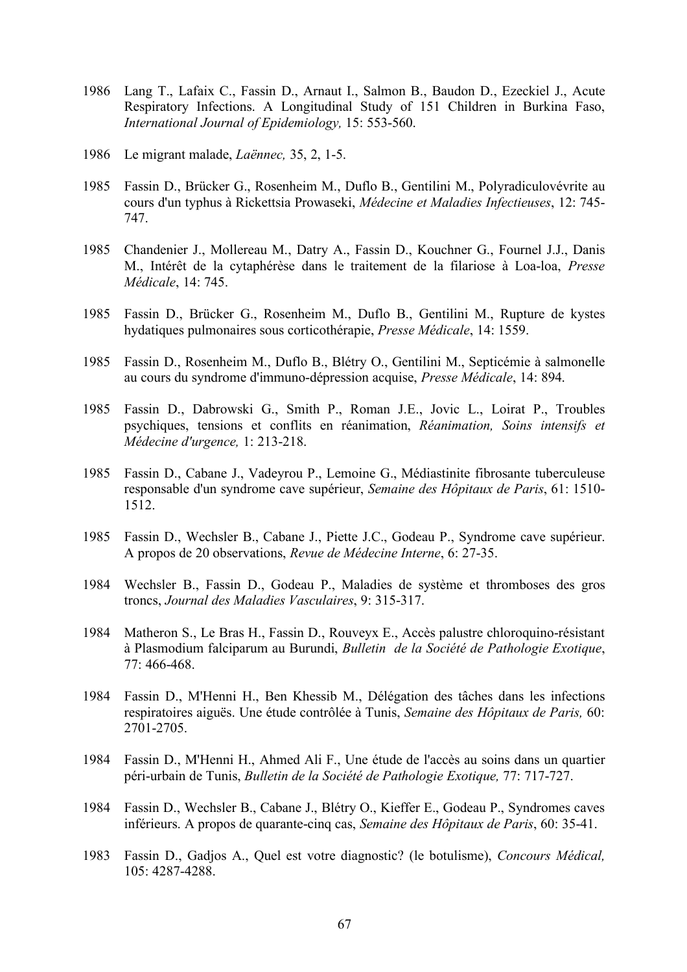- 1986 Lang T., Lafaix C., Fassin D., Arnaut I., Salmon B., Baudon D., Ezeckiel J., Acute Respiratory Infections. A Longitudinal Study of 151 Children in Burkina Faso, *International Journal of Epidemiology,* 15: 553-560.
- 1986 Le migrant malade, *Laënnec,* 35, 2, 1-5.
- 1985 Fassin D., Brücker G., Rosenheim M., Duflo B., Gentilini M., Polyradiculovévrite au cours d'un typhus à Rickettsia Prowaseki, *Médecine et Maladies Infectieuses*, 12: 745- 747.
- 1985 Chandenier J., Mollereau M., Datry A., Fassin D., Kouchner G., Fournel J.J., Danis M., Intérêt de la cytaphérèse dans le traitement de la filariose à Loa-loa, *Presse Médicale*, 14: 745.
- 1985 Fassin D., Brücker G., Rosenheim M., Duflo B., Gentilini M., Rupture de kystes hydatiques pulmonaires sous corticothérapie, *Presse Médicale*, 14: 1559.
- 1985 Fassin D., Rosenheim M., Duflo B., Blétry O., Gentilini M., Septicémie à salmonelle au cours du syndrome d'immuno-dépression acquise, *Presse Médicale*, 14: 894.
- 1985 Fassin D., Dabrowski G., Smith P., Roman J.E., Jovic L., Loirat P., Troubles psychiques, tensions et conflits en réanimation, *Réanimation, Soins intensifs et Médecine d'urgence,* 1: 213-218.
- 1985 Fassin D., Cabane J., Vadeyrou P., Lemoine G., Médiastinite fibrosante tuberculeuse responsable d'un syndrome cave supérieur, *Semaine des Hôpitaux de Paris*, 61: 1510- 1512.
- 1985 Fassin D., Wechsler B., Cabane J., Piette J.C., Godeau P., Syndrome cave supérieur. A propos de 20 observations, *Revue de Médecine Interne*, 6: 27-35.
- 1984 Wechsler B., Fassin D., Godeau P., Maladies de système et thromboses des gros troncs, *Journal des Maladies Vasculaires*, 9: 315-317.
- 1984 Matheron S., Le Bras H., Fassin D., Rouveyx E., Accès palustre chloroquino-résistant à Plasmodium falciparum au Burundi, *Bulletin de la Société de Pathologie Exotique*, 77: 466-468.
- 1984 Fassin D., M'Henni H., Ben Khessib M., Délégation des tâches dans les infections respiratoires aiguës. Une étude contrôlée à Tunis, *Semaine des Hôpitaux de Paris,* 60: 2701-2705.
- 1984 Fassin D., M'Henni H., Ahmed Ali F., Une étude de l'accès au soins dans un quartier péri-urbain de Tunis, *Bulletin de la Société de Pathologie Exotique,* 77: 717-727.
- 1984 Fassin D., Wechsler B., Cabane J., Blétry O., Kieffer E., Godeau P., Syndromes caves inférieurs. A propos de quarante-cinq cas, *Semaine des Hôpitaux de Paris*, 60: 35-41.
- 1983 Fassin D., Gadjos A., Quel est votre diagnostic? (le botulisme), *Concours Médical,* 105: 4287-4288.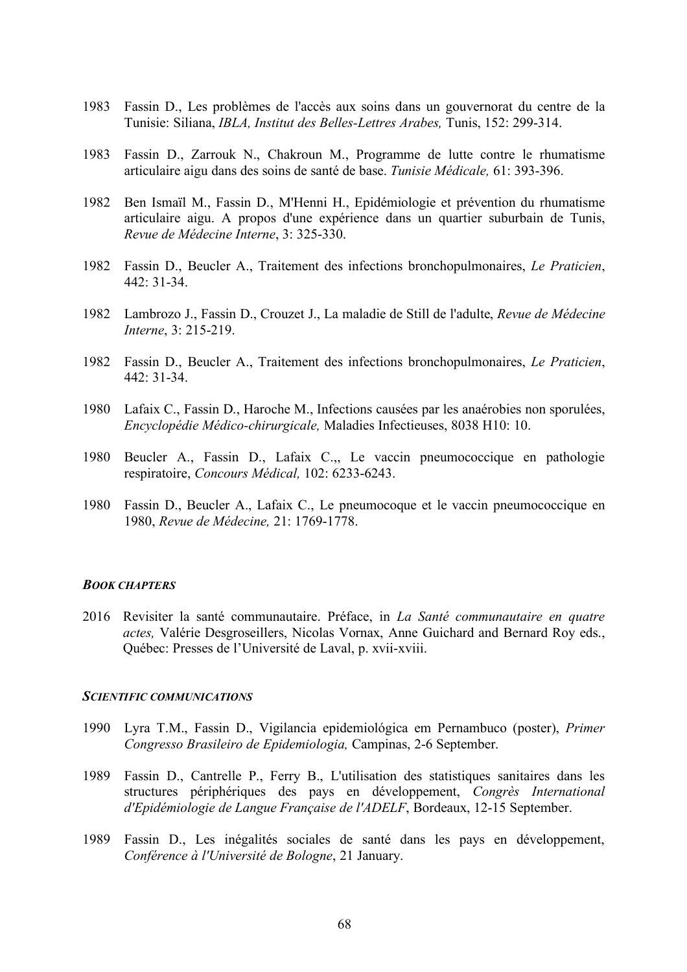- 1983 Fassin D., Les problèmes de l'accès aux soins dans un gouvernorat du centre de la Tunisie: Siliana, *IBLA, Institut des Belles-Lettres Arabes,* Tunis, 152: 299-314.
- 1983 Fassin D., Zarrouk N., Chakroun M., Programme de lutte contre le rhumatisme articulaire aigu dans des soins de santé de base. *Tunisie Médicale,* 61: 393-396.
- 1982 Ben Ismaïl M., Fassin D., M'Henni H., Epidémiologie et prévention du rhumatisme articulaire aigu. A propos d'une expérience dans un quartier suburbain de Tunis, *Revue de Médecine Interne*, 3: 325-330.
- 1982 Fassin D., Beucler A., Traitement des infections bronchopulmonaires, *Le Praticien*, 442: 31-34.
- 1982 Lambrozo J., Fassin D., Crouzet J., La maladie de Still de l'adulte, *Revue de Médecine Interne*, 3: 215-219.
- 1982 Fassin D., Beucler A., Traitement des infections bronchopulmonaires, *Le Praticien*,  $442 \cdot 31 - 34$
- 1980 Lafaix C., Fassin D., Haroche M., Infections causées par les anaérobies non sporulées, *Encyclopédie Médico-chirurgicale,* Maladies Infectieuses, 8038 H10: 10.
- 1980 Beucler A., Fassin D., Lafaix C.,, Le vaccin pneumococcique en pathologie respiratoire, *Concours Médical,* 102: 6233-6243.
- 1980 Fassin D., Beucler A., Lafaix C., Le pneumocoque et le vaccin pneumococcique en 1980, *Revue de Médecine,* 21: 1769-1778.

#### *BOOK CHAPTERS*

2016 Revisiter la santé communautaire. Préface, in *La Santé communautaire en quatre actes,* Valérie Desgroseillers, Nicolas Vornax, Anne Guichard and Bernard Roy eds., Québec: Presses de l'Université de Laval, p. xvii-xviii.

#### *SCIENTIFIC COMMUNICATIONS*

- 1990 Lyra T.M., Fassin D., Vigilancia epidemiológica em Pernambuco (poster), *Primer Congresso Brasileiro de Epidemiologia,* Campinas, 2-6 September.
- 1989 Fassin D., Cantrelle P., Ferry B., L'utilisation des statistiques sanitaires dans les structures périphériques des pays en développement, *Congrès International d'Epidémiologie de Langue Française de l'ADELF*, Bordeaux, 12-15 September.
- 1989 Fassin D., Les inégalités sociales de santé dans les pays en développement, *Conférence à l'Université de Bologne*, 21 January.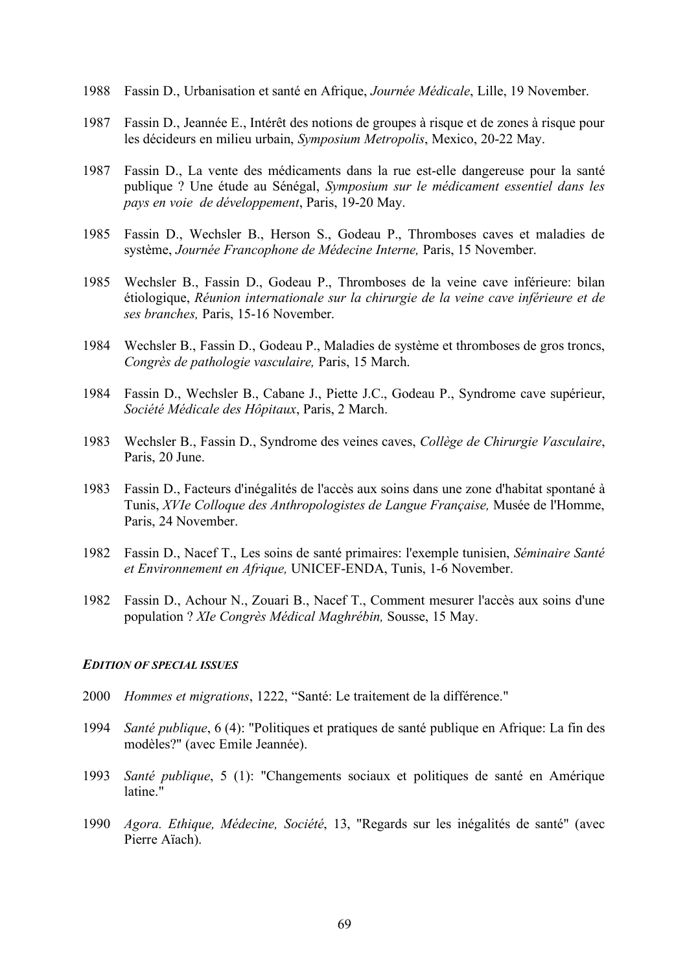- 1988 Fassin D., Urbanisation et santé en Afrique, *Journée Médicale*, Lille, 19 November.
- 1987 Fassin D., Jeannée E., Intérêt des notions de groupes à risque et de zones à risque pour les décideurs en milieu urbain, *Symposium Metropolis*, Mexico, 20-22 May.
- 1987 Fassin D., La vente des médicaments dans la rue est-elle dangereuse pour la santé publique ? Une étude au Sénégal, *Symposium sur le médicament essentiel dans les pays en voie de développement*, Paris, 19-20 May.
- 1985 Fassin D., Wechsler B., Herson S., Godeau P., Thromboses caves et maladies de système, *Journée Francophone de Médecine Interne,* Paris, 15 November.
- 1985 Wechsler B., Fassin D., Godeau P., Thromboses de la veine cave inférieure: bilan étiologique, *Réunion internationale sur la chirurgie de la veine cave inférieure et de ses branches,* Paris, 15-16 November.
- 1984 Wechsler B., Fassin D., Godeau P., Maladies de système et thromboses de gros troncs, *Congrès de pathologie vasculaire,* Paris, 15 March.
- 1984 Fassin D., Wechsler B., Cabane J., Piette J.C., Godeau P., Syndrome cave supérieur, *Société Médicale des Hôpitaux*, Paris, 2 March.
- 1983 Wechsler B., Fassin D., Syndrome des veines caves, *Collège de Chirurgie Vasculaire*, Paris, 20 June.
- 1983 Fassin D., Facteurs d'inégalités de l'accès aux soins dans une zone d'habitat spontané à Tunis, *XVIe Colloque des Anthropologistes de Langue Française,* Musée de l'Homme, Paris, 24 November.
- 1982 Fassin D., Nacef T., Les soins de santé primaires: l'exemple tunisien, *Séminaire Santé et Environnement en Afrique,* UNICEF-ENDA, Tunis, 1-6 November.
- 1982 Fassin D., Achour N., Zouari B., Nacef T., Comment mesurer l'accès aux soins d'une population ? *XIe Congrès Médical Maghrébin,* Sousse, 15 May.

### *EDITION OF SPECIAL ISSUES*

- 2000 *Hommes et migrations*, 1222, "Santé: Le traitement de la différence."
- 1994 *Santé publique*, 6 (4): "Politiques et pratiques de santé publique en Afrique: La fin des modèles?" (avec Emile Jeannée).
- 1993 *Santé publique*, 5 (1): "Changements sociaux et politiques de santé en Amérique latine."
- 1990 *Agora. Ethique, Médecine, Société*, 13, "Regards sur les inégalités de santé" (avec Pierre Aïach).